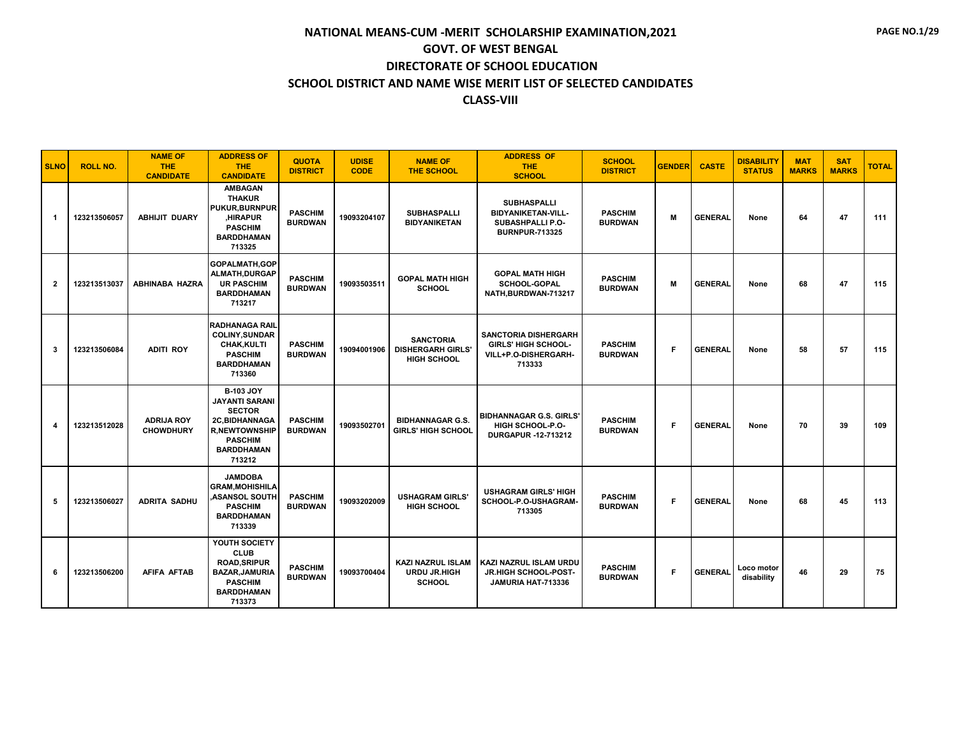| <b>SLNO</b>    | <b>ROLL NO.</b> | <b>NAME OF</b><br>THE.<br><b>CANDIDATE</b> | <b>ADDRESS OF</b><br><b>THE</b><br><b>CANDIDATE</b>                                                                                                   | <b>QUOTA</b><br><b>DISTRICT</b>  | <b>UDISE</b><br><b>CODE</b> | <b>NAME OF</b><br><b>THE SCHOOL</b>                                | <b>ADDRESS OF</b><br><b>THE</b><br><b>SCHOOL</b>                                                    | <b>SCHOOL</b><br><b>DISTRICT</b> | <b>GENDER</b> | <b>CASTE</b>   | <b>DISABILITY</b><br><b>STATUS</b> | <b>MAT</b><br><b>MARKS</b> | <b>SAT</b><br><b>MARKS</b> | <b>TOTAL</b> |
|----------------|-----------------|--------------------------------------------|-------------------------------------------------------------------------------------------------------------------------------------------------------|----------------------------------|-----------------------------|--------------------------------------------------------------------|-----------------------------------------------------------------------------------------------------|----------------------------------|---------------|----------------|------------------------------------|----------------------------|----------------------------|--------------|
| $\mathbf 1$    | 123213506057    | <b>ABHIJIT DUARY</b>                       | <b>AMBAGAN</b><br><b>THAKUR</b><br>PUKUR, BURNPUR<br><b>HIRAPUR</b><br><b>PASCHIM</b><br><b>BARDDHAMAN</b><br>713325                                  | <b>PASCHIM</b><br><b>BURDWAN</b> | 19093204107                 | <b>SUBHASPALLI</b><br><b>BIDYANIKETAN</b>                          | <b>SUBHASPALLI</b><br><b>BIDYANIKETAN-VILL-</b><br><b>SUBASHPALLI P.O-</b><br><b>BURNPUR-713325</b> | <b>PASCHIM</b><br><b>BURDWAN</b> | M             | <b>GENERAL</b> | None                               | 64                         | 47                         | 111          |
| $\overline{2}$ | 123213513037    | ABHINABA HAZRA                             | GOPALMATH, GOP<br><b>ALMATH.DURGAP</b><br><b>UR PASCHIM</b><br><b>BARDDHAMAN</b><br>713217                                                            | <b>PASCHIM</b><br><b>BURDWAN</b> | 19093503511                 | <b>GOPAL MATH HIGH</b><br><b>SCHOOL</b>                            | <b>GOPAL MATH HIGH</b><br><b>SCHOOL-GOPAL</b><br>NATH.BURDWAN-713217                                | <b>PASCHIM</b><br><b>BURDWAN</b> | M             | <b>GENERAL</b> | None                               | 68                         | 47                         | 115          |
| 3              | 123213506084    | <b>ADITI ROY</b>                           | <b>RADHANAGA RAIL</b><br><b>COLINY, SUNDAR</b><br><b>CHAK, KULTI</b><br><b>PASCHIM</b><br><b>BARDDHAMAN</b><br>713360                                 | <b>PASCHIM</b><br><b>BURDWAN</b> | 19094001906                 | <b>SANCTORIA</b><br><b>DISHERGARH GIRLS'</b><br><b>HIGH SCHOOL</b> | <b>SANCTORIA DISHERGARH</b><br><b>GIRLS' HIGH SCHOOL-</b><br>VILL+P.O-DISHERGARH-<br>713333         | <b>PASCHIM</b><br><b>BURDWAN</b> | F             | <b>GENERAL</b> | None                               | 58                         | 57                         | 115          |
| 4              | 123213512028    | <b>ADRIJA ROY</b><br><b>CHOWDHURY</b>      | <b>B-103 JOY</b><br><b>JAYANTI SARANI</b><br><b>SECTOR</b><br>2C, BIDHANNAGA<br><b>R,NEWTOWNSHIP</b><br><b>PASCHIM</b><br><b>BARDDHAMAN</b><br>713212 | <b>PASCHIM</b><br><b>BURDWAN</b> | 19093502701                 | <b>BIDHANNAGAR G.S.</b><br><b>GIRLS' HIGH SCHOOL</b>               | <b>BIDHANNAGAR G.S. GIRLS'</b><br>HIGH SCHOOL-P.O-<br><b>DURGAPUR -12-713212</b>                    | <b>PASCHIM</b><br><b>BURDWAN</b> | F             | <b>GENERAL</b> | None                               | 70                         | 39                         | 109          |
| 5              | 123213506027    | <b>ADRITA SADHU</b>                        | <b>JAMDOBA</b><br><b>GRAM, MOHISHILA</b><br><b>ASANSOL SOUTH</b><br><b>PASCHIM</b><br><b>BARDDHAMAN</b><br>713339                                     | <b>PASCHIM</b><br><b>BURDWAN</b> | 19093202009                 | <b>USHAGRAM GIRLS'</b><br><b>HIGH SCHOOL</b>                       | <b>USHAGRAM GIRLS' HIGH</b><br>SCHOOL-P.O-USHAGRAM-<br>713305                                       | <b>PASCHIM</b><br><b>BURDWAN</b> | F.            | <b>GENERAL</b> | None                               | 68                         | 45                         | 113          |
| 6              | 123213506200    | AFIFA AFTAB                                | YOUTH SOCIETY<br><b>CLUB</b><br><b>ROAD.SRIPUR</b><br><b>BAZAR.JAMURIA</b><br><b>PASCHIM</b><br><b>BARDDHAMAN</b><br>713373                           | <b>PASCHIM</b><br><b>BURDWAN</b> | 19093700404                 | <b>KAZI NAZRUL ISLAM</b><br><b>URDU JR.HIGH</b><br><b>SCHOOL</b>   | KAZI NAZRUL ISLAM URDU<br><b>JR.HIGH SCHOOL-POST-</b><br>JAMURIA HAT-713336                         | <b>PASCHIM</b><br><b>BURDWAN</b> | F             | <b>GENERAL</b> | Loco motor<br>disability           | 46                         | 29                         | 75           |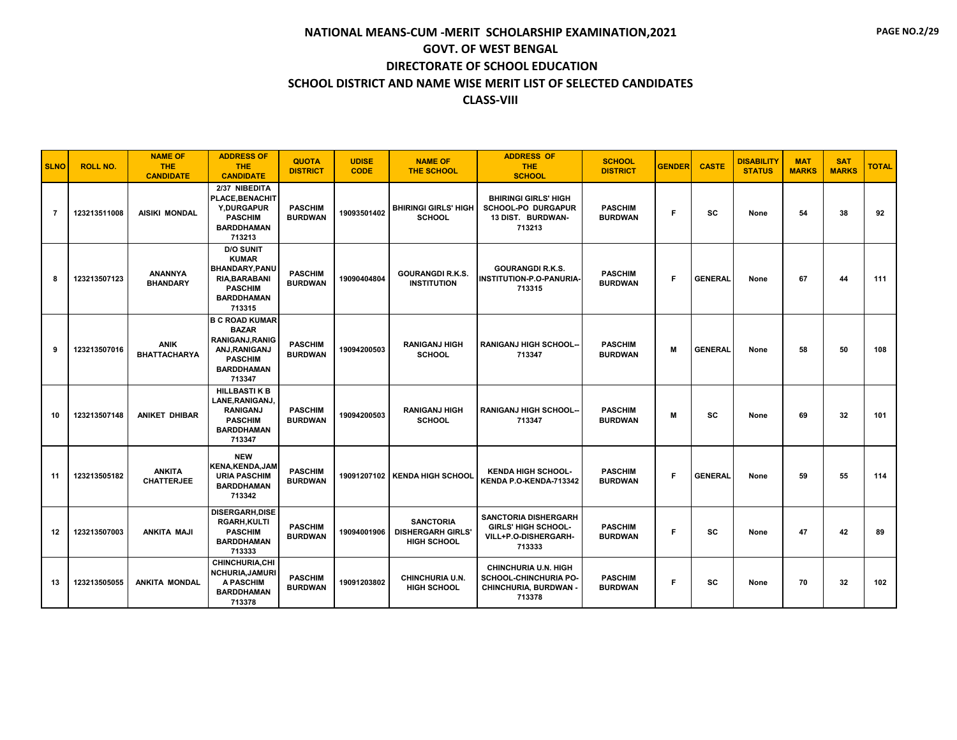| <b>SLNO</b>    | <b>ROLL NO.</b> | <b>NAME OF</b><br><b>THE</b><br><b>CANDIDATE</b> | <b>ADDRESS OF</b><br><b>THE</b><br><b>CANDIDATE</b>                                                                               | <b>QUOTA</b><br><b>DISTRICT</b>  | <b>UDISE</b><br><b>CODE</b> | <b>NAME OF</b><br><b>THE SCHOOL</b>                                | <b>ADDRESS OF</b><br><b>THE</b><br><b>SCHOOL</b>                                               | <b>SCHOOL</b><br><b>DISTRICT</b> | <b>GENDER</b> | <b>CASTE</b>   | <b>DISABILITY</b><br><b>STATUS</b> | <b>MAT</b><br><b>MARKS</b> | <b>SAT</b><br><b>MARKS</b> | <b>TOTAL</b> |
|----------------|-----------------|--------------------------------------------------|-----------------------------------------------------------------------------------------------------------------------------------|----------------------------------|-----------------------------|--------------------------------------------------------------------|------------------------------------------------------------------------------------------------|----------------------------------|---------------|----------------|------------------------------------|----------------------------|----------------------------|--------------|
| $\overline{7}$ | 123213511008    | <b>AISIKI MONDAL</b>                             | 2/37 NIBEDITA<br>PLACE, BENACHIT<br>Y,DURGAPUR<br><b>PASCHIM</b><br><b>BARDDHAMAN</b><br>713213                                   | <b>PASCHIM</b><br><b>BURDWAN</b> | 19093501402                 | <b>BHIRINGI GIRLS' HIGH</b><br><b>SCHOOL</b>                       | <b>BHIRINGI GIRLS' HIGH</b><br><b>SCHOOL-PO DURGAPUR</b><br>13 DIST. BURDWAN-<br>713213        | <b>PASCHIM</b><br><b>BURDWAN</b> | F             | <b>SC</b>      | None                               | 54                         | 38                         | 92           |
| 8              | 123213507123    | <b>ANANNYA</b><br><b>BHANDARY</b>                | <b>D/O SUNIT</b><br><b>KUMAR</b><br><b>BHANDARY.PANU</b><br><b>RIA, BARABANI</b><br><b>PASCHIM</b><br><b>BARDDHAMAN</b><br>713315 | <b>PASCHIM</b><br><b>BURDWAN</b> | 19090404804                 | <b>GOURANGDI R.K.S.</b><br><b>INSTITUTION</b>                      | <b>GOURANGDI R.K.S.</b><br><b>INSTITUTION-P.O-PANURIA-</b><br>713315                           | <b>PASCHIM</b><br><b>BURDWAN</b> | F.            | <b>GENERAL</b> | None                               | 67                         | 44                         | 111          |
| 9              | 123213507016    | <b>ANIK</b><br><b>BHATTACHARYA</b>               | <b>B C ROAD KUMAR</b><br><b>BAZAR</b><br>RANIGANJ, RANIG<br>ANJ, RANIGANJ<br><b>PASCHIM</b><br><b>BARDDHAMAN</b><br>713347        | <b>PASCHIM</b><br><b>BURDWAN</b> | 19094200503                 | <b>RANIGANJ HIGH</b><br><b>SCHOOL</b>                              | <b>RANIGANJ HIGH SCHOOL--</b><br>713347                                                        | <b>PASCHIM</b><br><b>BURDWAN</b> | М             | <b>GENERAL</b> | None                               | 58                         | 50                         | 108          |
| 10             | 123213507148    | <b>ANIKET DHIBAR</b>                             | <b>HILLBASTIK B</b><br>LANE, RANIGANJ,<br><b>RANIGANJ</b><br><b>PASCHIM</b><br><b>BARDDHAMAN</b><br>713347                        | <b>PASCHIM</b><br><b>BURDWAN</b> | 19094200503                 | <b>RANIGANJ HIGH</b><br><b>SCHOOL</b>                              | <b>RANIGANJ HIGH SCHOOL--</b><br>713347                                                        | <b>PASCHIM</b><br><b>BURDWAN</b> | м             | <b>SC</b>      | None                               | 69                         | 32                         | 101          |
| 11             | 123213505182    | <b>ANKITA</b><br><b>CHATTERJEE</b>               | <b>NEW</b><br>KENA,KENDA,JAM<br><b>URIA PASCHIM</b><br><b>BARDDHAMAN</b><br>713342                                                | <b>PASCHIM</b><br><b>BURDWAN</b> |                             | 19091207102   KENDA HIGH SCHOOL                                    | <b>KENDA HIGH SCHOOL-</b><br>KENDA P.O-KENDA-713342                                            | <b>PASCHIM</b><br><b>BURDWAN</b> | F             | <b>GENERAL</b> | None                               | 59                         | 55                         | 114          |
| 12             | 123213507003    | ANKITA MAJI                                      | <b>DISERGARH,DISE</b><br><b>RGARH,KULTI</b><br><b>PASCHIM</b><br><b>BARDDHAMAN</b><br>713333                                      | <b>PASCHIM</b><br><b>BURDWAN</b> | 19094001906                 | <b>SANCTORIA</b><br><b>DISHERGARH GIRLS'</b><br><b>HIGH SCHOOL</b> | <b>SANCTORIA DISHERGARH</b><br><b>GIRLS' HIGH SCHOOL-</b><br>VILL+P.O-DISHERGARH-<br>713333    | <b>PASCHIM</b><br><b>BURDWAN</b> | F.            | <b>SC</b>      | None                               | 47                         | 42                         | 89           |
| 13             | 123213505055    | <b>ANKITA MONDAL</b>                             | <b>CHINCHURIA.CHI</b><br><b>NCHURIA.JAMURI</b><br><b>A PASCHIM</b><br><b>BARDDHAMAN</b><br>713378                                 | <b>PASCHIM</b><br><b>BURDWAN</b> | 19091203802                 | <b>CHINCHURIA U.N.</b><br><b>HIGH SCHOOL</b>                       | <b>CHINCHURIA U.N. HIGH</b><br><b>SCHOOL-CHINCHURIA PO-</b><br>CHINCHURIA, BURDWAN -<br>713378 | <b>PASCHIM</b><br><b>BURDWAN</b> | F             | <b>SC</b>      | None                               | 70                         | 32                         | 102          |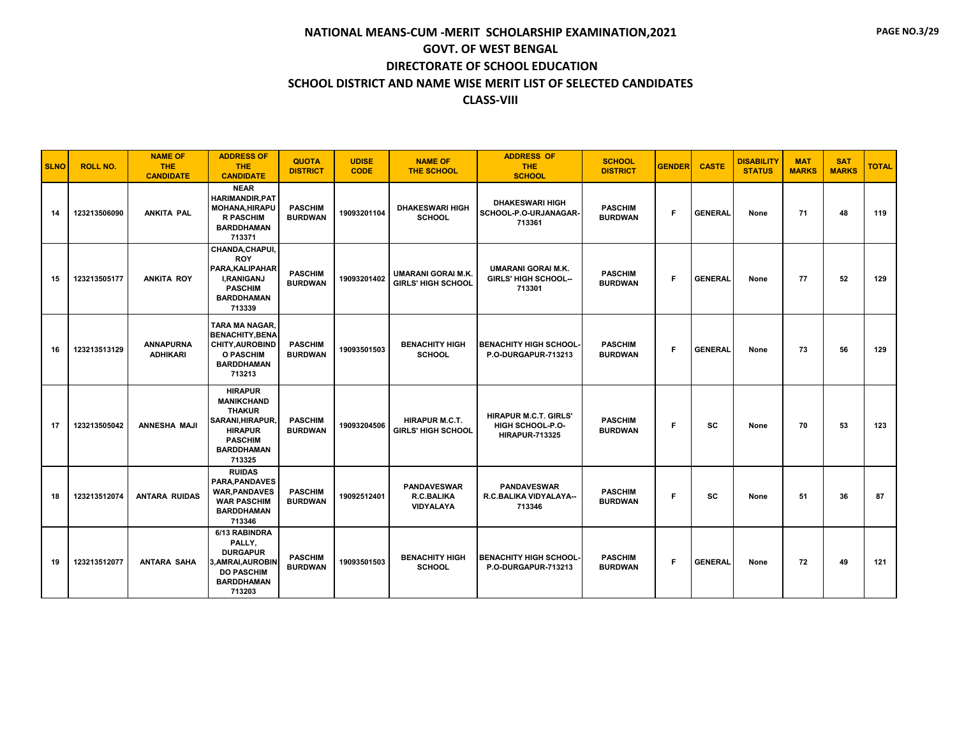| <b>SLNO</b> | <b>ROLL NO.</b> | <b>NAME OF</b><br><b>THE</b><br><b>CANDIDATE</b> | <b>ADDRESS OF</b><br><b>THE</b><br><b>CANDIDATE</b>                                                                                                | <b>QUOTA</b><br><b>DISTRICT</b>  | <b>UDISE</b><br><b>CODE</b> | <b>NAME OF</b><br><b>THE SCHOOL</b>                  | <b>ADDRESS OF</b><br><b>THE</b><br><b>SCHOOL</b>                                 | <b>SCHOOL</b><br><b>DISTRICT</b> | <b>GENDER</b> | <b>CASTE</b>   | <b>DISABILITY</b><br><b>STATUS</b> | <b>MAT</b><br><b>MARKS</b> | <b>SAT</b><br><b>MARKS</b> | <b>TOTAL</b> |
|-------------|-----------------|--------------------------------------------------|----------------------------------------------------------------------------------------------------------------------------------------------------|----------------------------------|-----------------------------|------------------------------------------------------|----------------------------------------------------------------------------------|----------------------------------|---------------|----------------|------------------------------------|----------------------------|----------------------------|--------------|
| 14          | 123213506090    | ANKITA PAL                                       | <b>NEAR</b><br><b>HARIMANDIR, PAT</b><br><b>MOHANA, HIRAPU</b><br><b>R PASCHIM</b><br><b>BARDDHAMAN</b><br>713371                                  | <b>PASCHIM</b><br><b>BURDWAN</b> | 19093201104                 | <b>DHAKESWARI HIGH</b><br><b>SCHOOL</b>              | <b>DHAKESWARI HIGH</b><br>SCHOOL-P.O-URJANAGAR-<br>713361                        | <b>PASCHIM</b><br><b>BURDWAN</b> | F             | <b>GENERAL</b> | None                               | 71                         | 48                         | 119          |
| 15          | 123213505177    | <b>ANKITA ROY</b>                                | CHANDA, CHAPUI,<br><b>ROY</b><br>PARA, KALIPAHAR<br><b>I,RANIGANJ</b><br><b>PASCHIM</b><br><b>BARDDHAMAN</b><br>713339                             | <b>PASCHIM</b><br><b>BURDWAN</b> | 19093201402                 | UMARANI GORAI M.K.<br><b>GIRLS' HIGH SCHOOL</b>      | <b>UMARANI GORAI M.K.</b><br><b>GIRLS' HIGH SCHOOL--</b><br>713301               | <b>PASCHIM</b><br><b>BURDWAN</b> | F.            | <b>GENERAL</b> | None                               | 77                         | 52                         | 129          |
| 16          | 123213513129    | <b>ANNAPURNA</b><br><b>ADHIKARI</b>              | TARA MA NAGAR,<br><b>BENACHITY, BENA</b><br><b>CHITY, AUROBIND</b><br><b>O PASCHIM</b><br><b>BARDDHAMAN</b><br>713213                              | <b>PASCHIM</b><br><b>BURDWAN</b> | 19093501503                 | <b>BENACHITY HIGH</b><br><b>SCHOOL</b>               | <b>BENACHITY HIGH SCHOOL</b><br><b>P.O-DURGAPUR-713213</b>                       | <b>PASCHIM</b><br><b>BURDWAN</b> | F.            | <b>GENERAL</b> | None                               | 73                         | 56                         | 129          |
| 17          | 123213505042    | <b>ANNESHA MAJI</b>                              | <b>HIRAPUR</b><br><b>MANIKCHAND</b><br><b>THAKUR</b><br><b>SARANI, HIRAPUR,</b><br><b>HIRAPUR</b><br><b>PASCHIM</b><br><b>BARDDHAMAN</b><br>713325 | <b>PASCHIM</b><br><b>BURDWAN</b> | 19093204506                 | <b>HIRAPUR M.C.T.</b><br><b>GIRLS' HIGH SCHOOL</b>   | <b>HIRAPUR M.C.T. GIRLS'</b><br><b>HIGH SCHOOL-P.O-</b><br><b>HIRAPUR-713325</b> | <b>PASCHIM</b><br><b>BURDWAN</b> | F.            | <b>SC</b>      | None                               | 70                         | 53                         | 123          |
| 18          | 123213512074    | <b>ANTARA RUIDAS</b>                             | <b>RUIDAS</b><br><b>PARA, PANDAVES</b><br><b>WAR, PANDAVES</b><br><b>WAR PASCHIM</b><br><b>BARDDHAMAN</b><br>713346                                | <b>PASCHIM</b><br><b>BURDWAN</b> | 19092512401                 | <b>PANDAVESWAR</b><br><b>R.C.BALIKA</b><br>VIDYALAYA | <b>PANDAVESWAR</b><br>R.C.BALIKA VIDYALAYA--<br>713346                           | <b>PASCHIM</b><br><b>BURDWAN</b> | F             | <b>SC</b>      | None                               | 51                         | 36                         | 87           |
| 19          | 123213512077    | <b>ANTARA SAHA</b>                               | 6/13 RABINDRA<br>PALLY,<br><b>DURGAPUR</b><br>3, AMRAI, AUROBIN<br><b>DO PASCHIM</b><br><b>BARDDHAMAN</b><br>713203                                | <b>PASCHIM</b><br><b>BURDWAN</b> | 19093501503                 | <b>BENACHITY HIGH</b><br><b>SCHOOL</b>               | <b>BENACHITY HIGH SCHOOL</b><br>P.O-DURGAPUR-713213                              | <b>PASCHIM</b><br><b>BURDWAN</b> | F             | <b>GENERAL</b> | None                               | 72                         | 49                         | 121          |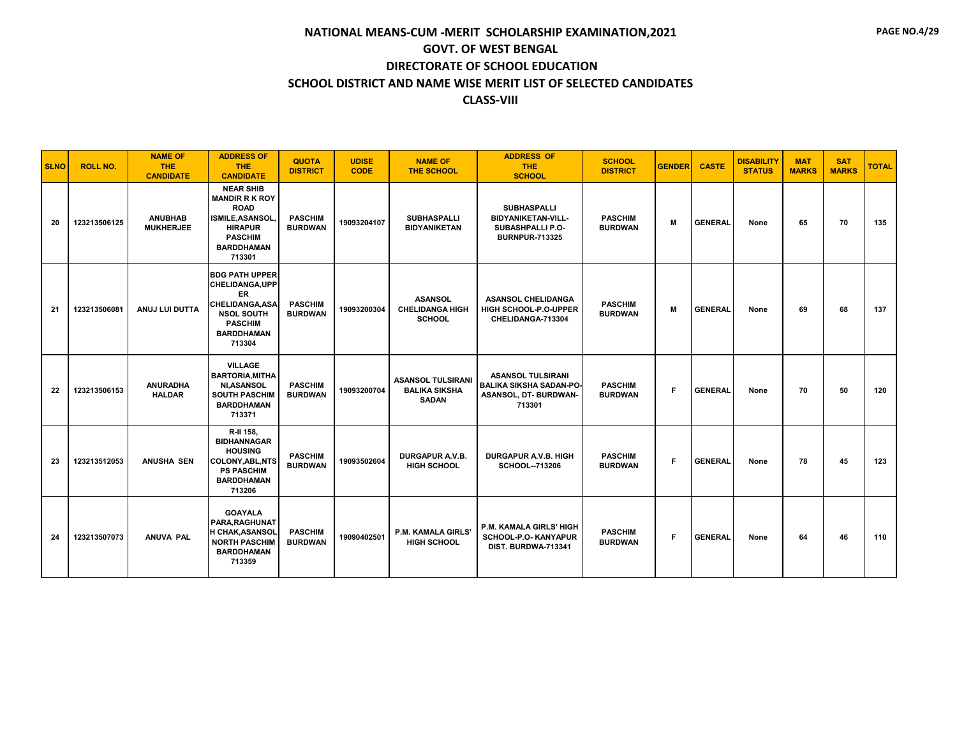| <b>SLNO</b> | <b>ROLL NO.</b> | <b>NAME OF</b><br>THE:<br><b>CANDIDATE</b> | <b>ADDRESS OF</b><br><b>THE</b><br><b>CANDIDATE</b>                                                                                             | <b>QUOTA</b><br><b>DISTRICT</b>  | <b>UDISE</b><br><b>CODE</b> | <b>NAME OF</b><br><b>THE SCHOOL</b>                              | <b>ADDRESS OF</b><br><b>THE</b><br><b>SCHOOL</b>                                              | <b>SCHOOL</b><br><b>DISTRICT</b> | <b>GENDER</b> | <b>CASTE</b>   | <b>DISABILITY</b><br><b>STATUS</b> | <b>MAT</b><br><b>MARKS</b> | <b>SAT</b><br><b>MARKS</b> | <b>TOTAL</b> |
|-------------|-----------------|--------------------------------------------|-------------------------------------------------------------------------------------------------------------------------------------------------|----------------------------------|-----------------------------|------------------------------------------------------------------|-----------------------------------------------------------------------------------------------|----------------------------------|---------------|----------------|------------------------------------|----------------------------|----------------------------|--------------|
| 20          | 123213506125    | <b>ANUBHAB</b><br><b>MUKHERJEE</b>         | <b>NEAR SHIB</b><br><b>MANDIR R K ROY</b><br><b>ROAD</b><br>ISMILE, ASANSOL,<br><b>HIRAPUR</b><br><b>PASCHIM</b><br><b>BARDDHAMAN</b><br>713301 | <b>PASCHIM</b><br><b>BURDWAN</b> | 19093204107                 | <b>SUBHASPALLI</b><br><b>BIDYANIKETAN</b>                        | <b>SUBHASPALLI</b><br><b>BIDYANIKETAN-VILL-</b><br>SUBASHPALLI P.O-<br><b>BURNPUR-713325</b>  | <b>PASCHIM</b><br><b>BURDWAN</b> | M             | <b>GENERAL</b> | None                               | 65                         | 70                         | 135          |
| 21          | 123213506081    | ANUJ LUI DUTTA                             | <b>BDG PATH UPPER</b><br>CHELIDANGA, UPP<br>ER<br><b>CHELIDANGA, ASA</b><br><b>NSOL SOUTH</b><br><b>PASCHIM</b><br><b>BARDDHAMAN</b><br>713304  | <b>PASCHIM</b><br><b>BURDWAN</b> | 19093200304                 | <b>ASANSOL</b><br><b>CHELIDANGA HIGH</b><br><b>SCHOOL</b>        | <b>ASANSOL CHELIDANGA</b><br>HIGH SCHOOL-P.O-UPPER<br>CHELIDANGA-713304                       | <b>PASCHIM</b><br><b>BURDWAN</b> | М             | <b>GENERAL</b> | None                               | 69                         | 68                         | 137          |
| 22          | 123213506153    | <b>ANURADHA</b><br><b>HALDAR</b>           | <b>VILLAGE</b><br><b>BARTORIA, MITHA</b><br><b>NI, ASANSOL</b><br><b>SOUTH PASCHIM</b><br><b>BARDDHAMAN</b><br>713371                           | <b>PASCHIM</b><br><b>BURDWAN</b> | 19093200704                 | <b>ASANSOL TULSIRANI</b><br><b>BALIKA SIKSHA</b><br><b>SADAN</b> | <b>ASANSOL TULSIRANI</b><br><b>BALIKA SIKSHA SADAN-PO-</b><br>ASANSOL, DT- BURDWAN-<br>713301 | <b>PASCHIM</b><br><b>BURDWAN</b> | F.            | <b>GENERAL</b> | None                               | 70                         | 50                         | 120          |
| 23          | 123213512053    | <b>ANUSHA SEN</b>                          | R-II 158,<br><b>BIDHANNAGAR</b><br><b>HOUSING</b><br>COLONY, ABL, NTS<br><b>PS PASCHIM</b><br><b>BARDDHAMAN</b><br>713206                       | <b>PASCHIM</b><br><b>BURDWAN</b> | 19093502604                 | DURGAPUR A.V.B.<br><b>HIGH SCHOOL</b>                            | <b>DURGAPUR A.V.B. HIGH</b><br><b>SCHOOL--713206</b>                                          | <b>PASCHIM</b><br><b>BURDWAN</b> | F.            | <b>GENERAL</b> | None                               | 78                         | 45                         | 123          |
| 24          | 123213507073    | <b>ANUVA PAL</b>                           | <b>GOAYALA</b><br>PARA, RAGHUNAT<br><b>H CHAK, ASANSOL</b><br><b>NORTH PASCHIM</b><br><b>BARDDHAMAN</b><br>713359                               | <b>PASCHIM</b><br><b>BURDWAN</b> | 19090402501                 | P.M. KAMALA GIRLS'<br><b>HIGH SCHOOL</b>                         | <b>P.M. KAMALA GIRLS' HIGH</b><br><b>SCHOOL-P.O- KANYAPUR</b><br>DIST. BURDWA-713341          | <b>PASCHIM</b><br><b>BURDWAN</b> | F             | <b>GENERAL</b> | None                               | 64                         | 46                         | 110          |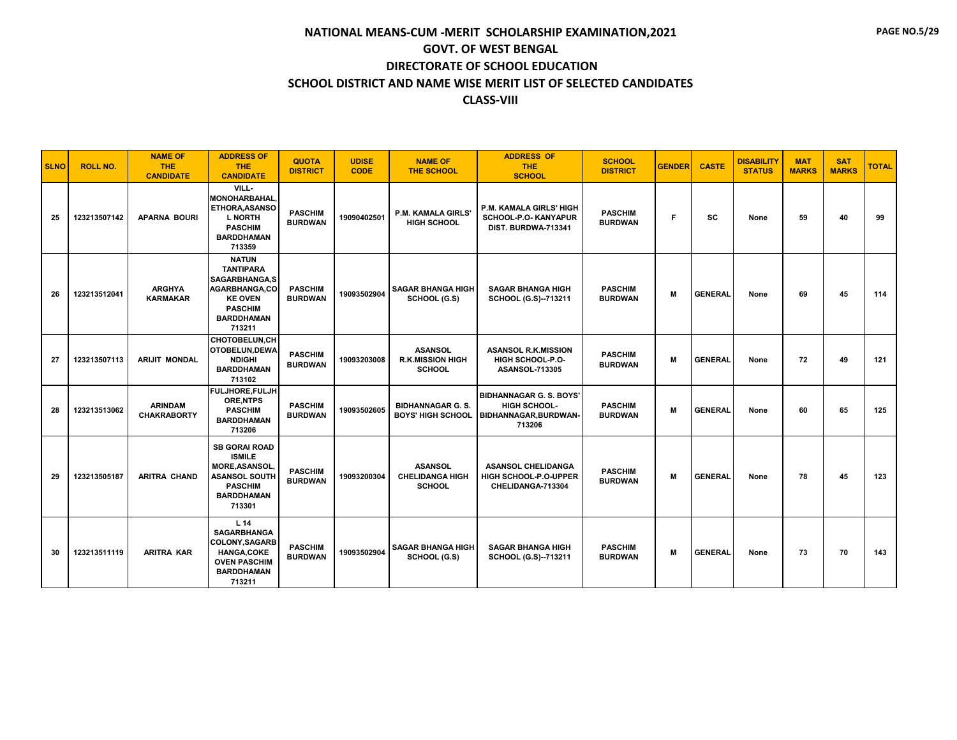| <b>SLNO</b> | <b>ROLL NO.</b> | <b>NAME OF</b><br><b>THE</b><br><b>CANDIDATE</b> | <b>ADDRESS OF</b><br><b>THE</b><br><b>CANDIDATE</b>                                                                                       | <b>QUOTA</b><br><b>DISTRICT</b>  | <b>UDISE</b><br><b>CODE</b> | <b>NAME OF</b><br><b>THE SCHOOL</b>                        | <b>ADDRESS OF</b><br><b>THE</b><br><b>SCHOOL</b>                                  | <b>SCHOOL</b><br><b>DISTRICT</b> | <b>GENDER</b> | <b>CASTE</b>   | <b>DISABILITY</b><br><b>STATUS</b> | <b>MAT</b><br><b>MARKS</b> | <b>SAT</b><br><b>MARKS</b> | <b>TOTAL</b> |
|-------------|-----------------|--------------------------------------------------|-------------------------------------------------------------------------------------------------------------------------------------------|----------------------------------|-----------------------------|------------------------------------------------------------|-----------------------------------------------------------------------------------|----------------------------------|---------------|----------------|------------------------------------|----------------------------|----------------------------|--------------|
| 25          | 123213507142    | <b>APARNA BOURI</b>                              | VILL-<br><b>MONOHARBAHAL</b><br>ETHORA, ASANSO<br><b>L NORTH</b><br><b>PASCHIM</b><br><b>BARDDHAMAN</b><br>713359                         | <b>PASCHIM</b><br><b>BURDWAN</b> | 19090402501                 | <b>P.M. KAMALA GIRLS'</b><br><b>HIGH SCHOOL</b>            | P.M. KAMALA GIRLS' HIGH<br>SCHOOL-P.O- KANYAPUR<br>DIST. BURDWA-713341            | <b>PASCHIM</b><br><b>BURDWAN</b> | F.            | <b>SC</b>      | None                               | 59                         | 40                         | 99           |
| 26          | 123213512041    | <b>ARGHYA</b><br><b>KARMAKAR</b>                 | <b>NATUN</b><br><b>TANTIPARA</b><br>SAGARBHANGA,S<br>AGARBHANGA,CO<br><b>KE OVEN</b><br><b>PASCHIM</b><br><b>BARDDHAMAN</b><br>713211     | <b>PASCHIM</b><br><b>BURDWAN</b> | 19093502904                 | <b>SAGAR BHANGA HIGH</b><br>SCHOOL (G.S)                   | <b>SAGAR BHANGA HIGH</b><br>SCHOOL (G.S)--713211                                  | <b>PASCHIM</b><br><b>BURDWAN</b> | M             | <b>GENERAL</b> | None                               | 69                         | 45                         | 114          |
| 27          | 123213507113    | <b>ARIJIT MONDAL</b>                             | CHOTOBELUN.CH<br>OTOBELUN, DEWA<br><b>NDIGHI</b><br><b>BARDDHAMAN</b><br>713102                                                           | <b>PASCHIM</b><br><b>BURDWAN</b> | 19093203008                 | <b>ASANSOL</b><br><b>R.K.MISSION HIGH</b><br><b>SCHOOL</b> | <b>ASANSOL R.K.MISSION</b><br>HIGH SCHOOL-P.O-<br><b>ASANSOL-713305</b>           | <b>PASCHIM</b><br><b>BURDWAN</b> | М             | <b>GENERAL</b> | None                               | 72                         | 49                         | 121          |
| 28          | 123213513062    | <b>ARINDAM</b><br><b>CHAKRABORTY</b>             | FULJHORE, FULJH<br><b>ORE, NTPS</b><br><b>PASCHIM</b><br><b>BARDDHAMAN</b><br>713206                                                      | <b>PASCHIM</b><br><b>BURDWAN</b> | 19093502605                 | <b>BIDHANNAGAR G.S.</b><br><b>BOYS' HIGH SCHOOL</b>        | <b>BIDHANNAGAR G. S. BOYS'</b><br>HIGH SCHOOL-<br>BIDHANNAGAR, BURDWAN-<br>713206 | <b>PASCHIM</b><br><b>BURDWAN</b> | M             | <b>GENERAL</b> | None                               | 60                         | 65                         | 125          |
| 29          | 123213505187    | <b>ARITRA CHAND</b>                              | <b>SB GORAI ROAD</b><br><b>ISMILE</b><br>MORE, ASANSOL,<br><b>ASANSOL SOUTH</b><br><b>PASCHIM</b><br><b>BARDDHAMAN</b><br>713301          | <b>PASCHIM</b><br><b>BURDWAN</b> | 19093200304                 | <b>ASANSOL</b><br><b>CHELIDANGA HIGH</b><br><b>SCHOOL</b>  | <b>ASANSOL CHELIDANGA</b><br>HIGH SCHOOL-P.O-UPPER<br>CHELIDANGA-713304           | <b>PASCHIM</b><br><b>BURDWAN</b> | M             | <b>GENERAL</b> | None                               | 78                         | 45                         | 123          |
| 30          | 123213511119    | <b>ARITRA KAR</b>                                | L <sub>14</sub><br><b>SAGARBHANGA</b><br><b>COLONY, SAGARB</b><br><b>HANGA,COKE</b><br><b>OVEN PASCHIM</b><br><b>BARDDHAMAN</b><br>713211 | <b>PASCHIM</b><br><b>BURDWAN</b> | 19093502904                 | <b>SAGAR BHANGA HIGH</b><br>SCHOOL (G.S)                   | <b>SAGAR BHANGA HIGH</b><br>SCHOOL (G.S)--713211                                  | <b>PASCHIM</b><br><b>BURDWAN</b> | M             | <b>GENERAL</b> | None                               | 73                         | 70                         | 143          |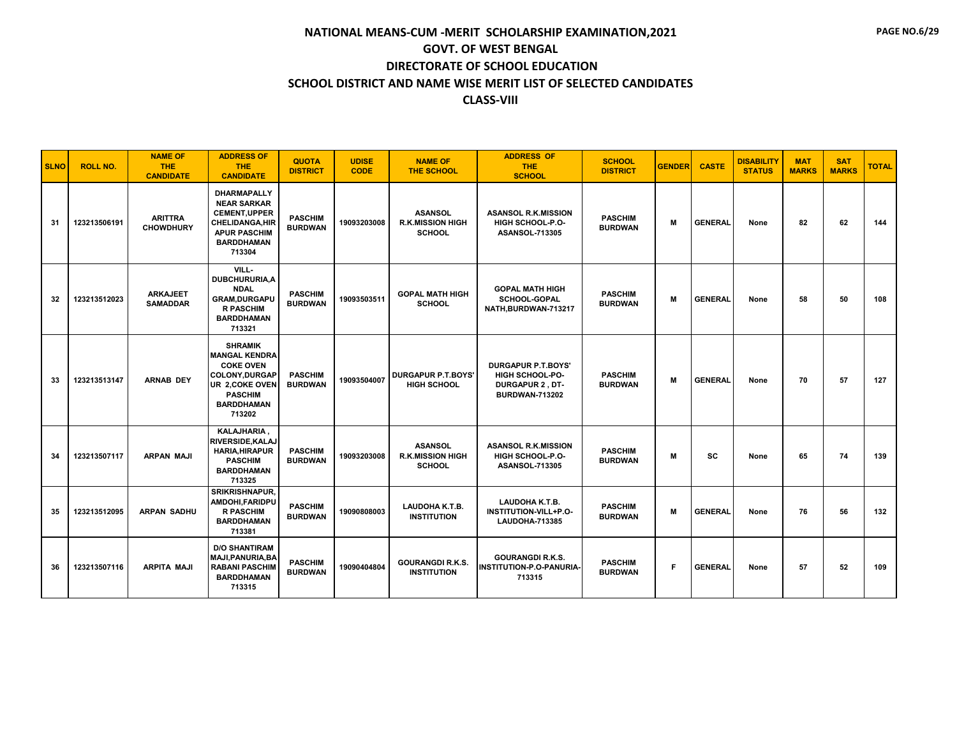| <b>SLNO</b> | <b>ROLL NO.</b> | <b>NAME OF</b><br><b>THE</b><br><b>CANDIDATE</b> | <b>ADDRESS OF</b><br><b>THE</b><br><b>CANDIDATE</b>                                                                                                     | <b>QUOTA</b><br><b>DISTRICT</b>  | <b>UDISE</b><br><b>CODE</b> | <b>NAME OF</b><br><b>THE SCHOOL</b>                        | <b>ADDRESS OF</b><br><b>THE</b><br><b>SCHOOL</b>                                                       | <b>SCHOOL</b><br><b>DISTRICT</b> | <b>GENDER</b> | <b>CASTE</b>   | <b>DISABILITY</b><br><b>STATUS</b> | <b>MAT</b><br><b>MARKS</b> | <b>SAT</b><br><b>MARKS</b> | <b>TOTAL</b> |
|-------------|-----------------|--------------------------------------------------|---------------------------------------------------------------------------------------------------------------------------------------------------------|----------------------------------|-----------------------------|------------------------------------------------------------|--------------------------------------------------------------------------------------------------------|----------------------------------|---------------|----------------|------------------------------------|----------------------------|----------------------------|--------------|
| 31          | 123213506191    | <b>ARITTRA</b><br><b>CHOWDHURY</b>               | <b>DHARMAPALLY</b><br><b>NEAR SARKAR</b><br><b>CEMENT, UPPER</b><br><b>CHELIDANGA, HIR</b><br><b>APUR PASCHIM</b><br><b>BARDDHAMAN</b><br>713304        | <b>PASCHIM</b><br><b>BURDWAN</b> | 19093203008                 | <b>ASANSOL</b><br><b>R.K.MISSION HIGH</b><br><b>SCHOOL</b> | <b>ASANSOL R.K.MISSION</b><br>HIGH SCHOOL-P.O-<br><b>ASANSOL-713305</b>                                | <b>PASCHIM</b><br><b>BURDWAN</b> | M             | <b>GENERAL</b> | None                               | 82                         | 62                         | 144          |
| 32          | 123213512023    | <b>ARKAJEET</b><br><b>SAMADDAR</b>               | VILL-<br><b>DUBCHURURIA, A</b><br><b>NDAL</b><br><b>GRAM,DURGAPU</b><br><b>R PASCHIM</b><br><b>BARDDHAMAN</b><br>713321                                 | <b>PASCHIM</b><br><b>BURDWAN</b> | 19093503511                 | <b>GOPAL MATH HIGH</b><br><b>SCHOOL</b>                    | <b>GOPAL MATH HIGH</b><br><b>SCHOOL-GOPAL</b><br>NATH, BURDWAN-713217                                  | <b>PASCHIM</b><br><b>BURDWAN</b> | М             | <b>GENERAL</b> | None                               | 58                         | 50                         | 108          |
| 33          | 123213513147    | <b>ARNAB DEY</b>                                 | <b>SHRAMIK</b><br><b>MANGAL KENDRA</b><br><b>COKE OVEN</b><br><b>COLONY, DURGAP</b><br>UR 2, COKE OVEN<br><b>PASCHIM</b><br><b>BARDDHAMAN</b><br>713202 | <b>PASCHIM</b><br><b>BURDWAN</b> | 19093504007                 | <b>DURGAPUR P.T.BOYS'</b><br><b>HIGH SCHOOL</b>            | <b>DURGAPUR P.T.BOYS'</b><br><b>HIGH SCHOOL-PO-</b><br><b>DURGAPUR 2, DT-</b><br><b>BURDWAN-713202</b> | <b>PASCHIM</b><br><b>BURDWAN</b> | M             | <b>GENERAL</b> | None                               | 70                         | 57                         | 127          |
| 34          | 123213507117    | <b>ARPAN MAJI</b>                                | KALAJHARIA,<br>RIVERSIDE, KALAJ<br><b>HARIA, HIRAPUR</b><br><b>PASCHIM</b><br><b>BARDDHAMAN</b><br>713325                                               | <b>PASCHIM</b><br><b>BURDWAN</b> | 19093203008                 | <b>ASANSOL</b><br><b>R.K.MISSION HIGH</b><br><b>SCHOOL</b> | <b>ASANSOL R.K.MISSION</b><br>HIGH SCHOOL-P.O-<br><b>ASANSOL-713305</b>                                | <b>PASCHIM</b><br><b>BURDWAN</b> | М             | <b>SC</b>      | None                               | 65                         | 74                         | 139          |
| 35          | 123213512095    | <b>ARPAN SADHU</b>                               | <b>SRIKRISHNAPUR.</b><br>AMDOHI, FARIDPU<br><b>R PASCHIM</b><br><b>BARDDHAMAN</b><br>713381                                                             | <b>PASCHIM</b><br><b>BURDWAN</b> | 19090808003                 | LAUDOHA K.T.B.<br><b>INSTITUTION</b>                       | LAUDOHA K.T.B.<br>INSTITUTION-VILL+P.O-<br><b>LAUDOHA-713385</b>                                       | <b>PASCHIM</b><br><b>BURDWAN</b> | M             | <b>GENERAL</b> | None                               | 76                         | 56                         | 132          |
| 36          | 123213507116    | <b>ARPITA MAJI</b>                               | <b>D/O SHANTIRAM</b><br><b>MAJI, PANURIA, BA</b><br><b>RABANI PASCHIM</b><br><b>BARDDHAMAN</b><br>713315                                                | <b>PASCHIM</b><br><b>BURDWAN</b> | 19090404804                 | <b>GOURANGDI R.K.S.</b><br><b>INSTITUTION</b>              | <b>GOURANGDI R.K.S.</b><br><b>INSTITUTION-P.O-PANURIA-</b><br>713315                                   | <b>PASCHIM</b><br><b>BURDWAN</b> | F             | <b>GENERAL</b> | None                               | 57                         | 52                         | 109          |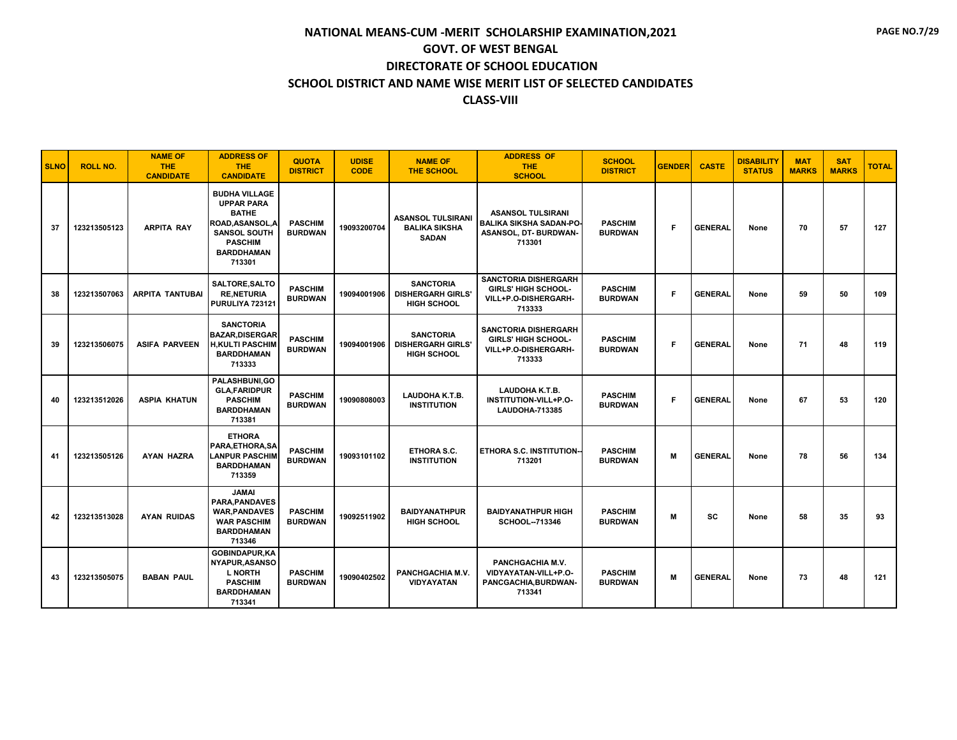| <b>SLNO</b> | <b>ROLL NO.</b> | <b>NAME OF</b><br>THE.<br><b>CANDIDATE</b> | <b>ADDRESS OF</b><br><b>THE</b><br><b>CANDIDATE</b>                                                                                                   | <b>QUOTA</b><br><b>DISTRICT</b>  | <b>UDISE</b><br><b>CODE</b> | <b>NAME OF</b><br>THE SCHOOL                                       | <b>ADDRESS OF</b><br><b>THE</b><br><b>SCHOOL</b>                                              | <b>SCHOOL</b><br><b>DISTRICT</b> | <b>GENDER</b> | <b>CASTE</b>   | <b>DISABILITY</b><br><b>STATUS</b> | <b>MAT</b><br><b>MARKS</b> | <b>SAT</b><br><b>MARKS</b> | <b>TOTAL</b> |
|-------------|-----------------|--------------------------------------------|-------------------------------------------------------------------------------------------------------------------------------------------------------|----------------------------------|-----------------------------|--------------------------------------------------------------------|-----------------------------------------------------------------------------------------------|----------------------------------|---------------|----------------|------------------------------------|----------------------------|----------------------------|--------------|
| 37          | 123213505123    | <b>ARPITA RAY</b>                          | <b>BUDHA VILLAGE</b><br><b>UPPAR PARA</b><br><b>BATHE</b><br>ROAD, ASANSOL, A<br><b>SANSOL SOUTH</b><br><b>PASCHIM</b><br><b>BARDDHAMAN</b><br>713301 | <b>PASCHIM</b><br><b>BURDWAN</b> | 19093200704                 | <b>ASANSOL TULSIRANI</b><br><b>BALIKA SIKSHA</b><br><b>SADAN</b>   | <b>ASANSOL TULSIRANI</b><br><b>BALIKA SIKSHA SADAN-PO-</b><br>ASANSOL, DT- BURDWAN-<br>713301 | <b>PASCHIM</b><br><b>BURDWAN</b> | F             | <b>GENERAL</b> | None                               | 70                         | 57                         | 127          |
| 38          | 123213507063    | <b>ARPITA TANTUBAI</b>                     | SALTORE, SALTO<br><b>RE.NETURIA</b><br>PURULIYA 723121                                                                                                | <b>PASCHIM</b><br><b>BURDWAN</b> | 19094001906                 | <b>SANCTORIA</b><br><b>DISHERGARH GIRLS'</b><br><b>HIGH SCHOOL</b> | <b>SANCTORIA DISHERGARH</b><br><b>GIRLS' HIGH SCHOOL-</b><br>VILL+P.O-DISHERGARH-<br>713333   | <b>PASCHIM</b><br><b>BURDWAN</b> | F             | <b>GENERAL</b> | None                               | 59                         | 50                         | 109          |
| 39          | 123213506075    | <b>ASIFA PARVEEN</b>                       | <b>SANCTORIA</b><br><b>BAZAR.DISERGAR</b><br><b>H.KULTI PASCHIM</b><br><b>BARDDHAMAN</b><br>713333                                                    | <b>PASCHIM</b><br><b>BURDWAN</b> | 19094001906                 | <b>SANCTORIA</b><br><b>DISHERGARH GIRLS'</b><br><b>HIGH SCHOOL</b> | <b>SANCTORIA DISHERGARH</b><br><b>GIRLS' HIGH SCHOOL-</b><br>VILL+P.O-DISHERGARH-<br>713333   | <b>PASCHIM</b><br><b>BURDWAN</b> | F             | <b>GENERAL</b> | None                               | 71                         | 48                         | 119          |
| 40          | 123213512026    | <b>ASPIA KHATUN</b>                        | PALASHBUNI.GO<br><b>GLA, FARIDPUR</b><br><b>PASCHIM</b><br><b>BARDDHAMAN</b><br>713381                                                                | <b>PASCHIM</b><br><b>BURDWAN</b> | 19090808003                 | LAUDOHA K.T.B.<br><b>INSTITUTION</b>                               | <b>LAUDOHA K.T.B.</b><br>INSTITUTION-VILL+P.O-<br><b>LAUDOHA-713385</b>                       | <b>PASCHIM</b><br><b>BURDWAN</b> | F             | <b>GENERAL</b> | None                               | 67                         | 53                         | 120          |
| 41          | 123213505126    | <b>AYAN HAZRA</b>                          | <b>ETHORA</b><br>PARA, ETHORA, SA<br><b>LANPUR PASCHIM</b><br><b>BARDDHAMAN</b><br>713359                                                             | <b>PASCHIM</b><br><b>BURDWAN</b> | 19093101102                 | <b>ETHORA S.C.</b><br><b>INSTITUTION</b>                           | ETHORA S.C. INSTITUTION-<br>713201                                                            | <b>PASCHIM</b><br><b>BURDWAN</b> | M             | <b>GENERAL</b> | None                               | 78                         | 56                         | 134          |
| 42          | 123213513028    | <b>AYAN RUIDAS</b>                         | <b>JAMAI</b><br>PARA, PANDAVES<br><b>WAR, PANDAVES</b><br><b>WAR PASCHIM</b><br><b>BARDDHAMAN</b><br>713346                                           | <b>PASCHIM</b><br><b>BURDWAN</b> | 19092511902                 | <b>BAIDYANATHPUR</b><br><b>HIGH SCHOOL</b>                         | <b>BAIDYANATHPUR HIGH</b><br>SCHOOL--713346                                                   | <b>PASCHIM</b><br><b>BURDWAN</b> | M             | <b>SC</b>      | None                               | 58                         | 35                         | 93           |
| 43          | 123213505075    | <b>BABAN PAUL</b>                          | <b>GOBINDAPUR,KA</b><br>NYAPUR.ASANSO<br><b>L NORTH</b><br><b>PASCHIM</b><br><b>BARDDHAMAN</b><br>713341                                              | <b>PASCHIM</b><br><b>BURDWAN</b> | 19090402502                 | PANCHGACHIA M.V.<br><b>VIDYAYATAN</b>                              | PANCHGACHIA M.V.<br>VIDYAYATAN-VILL+P.O-<br>PANCGACHIA, BURDWAN-<br>713341                    | <b>PASCHIM</b><br><b>BURDWAN</b> | M             | <b>GENERAL</b> | None                               | 73                         | 48                         | 121          |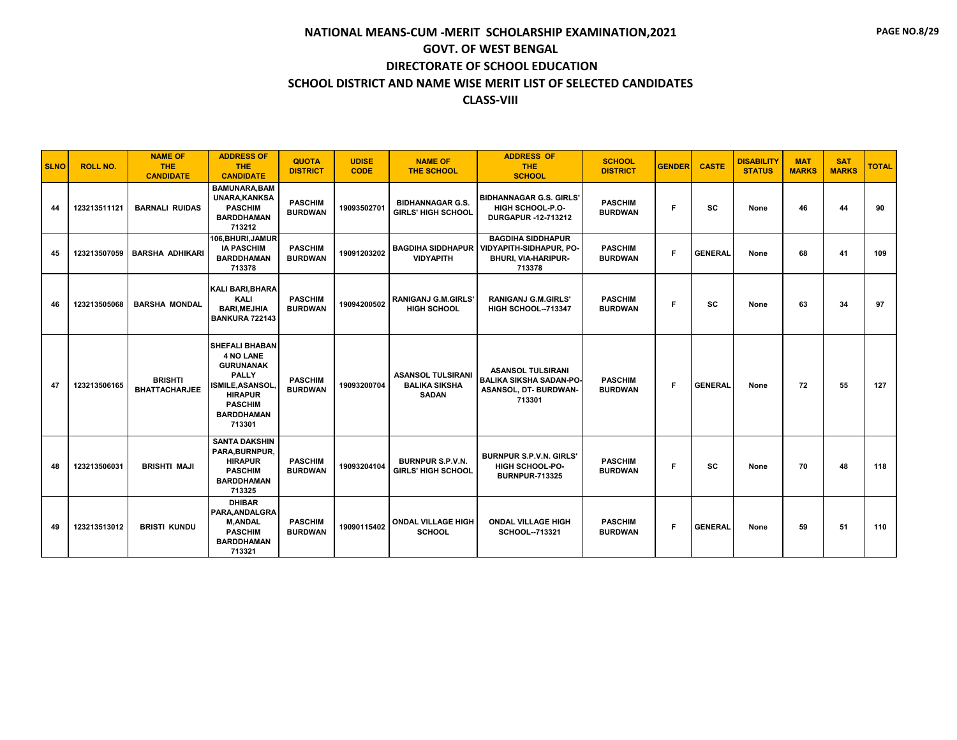| <b>SLNO</b> | <b>ROLL NO.</b> | <b>NAME OF</b><br>THE.<br><b>CANDIDATE</b> | <b>ADDRESS OF</b><br><b>THE</b><br><b>CANDIDATE</b>                                                                                                                  | <b>QUOTA</b><br><b>DISTRICT</b>  | <b>UDISE</b><br><b>CODE</b> | <b>NAME OF</b><br>THE SCHOOL                                     | <b>ADDRESS OF</b><br><b>THE</b><br><b>SCHOOL</b>                                                   | <b>SCHOOL</b><br><b>DISTRICT</b> | <b>GENDER</b> | <b>CASTE</b>   | <b>DISABILITY</b><br><b>STATUS</b> | <b>MAT</b><br><b>MARKS</b> | <b>SAT</b><br><b>MARKS</b> | <b>TOTAL</b> |
|-------------|-----------------|--------------------------------------------|----------------------------------------------------------------------------------------------------------------------------------------------------------------------|----------------------------------|-----------------------------|------------------------------------------------------------------|----------------------------------------------------------------------------------------------------|----------------------------------|---------------|----------------|------------------------------------|----------------------------|----------------------------|--------------|
| 44          | 123213511121    | <b>BARNALI RUIDAS</b>                      | <b>BAMUNARA, BAM</b><br>UNARA, KANKSA<br><b>PASCHIM</b><br><b>BARDDHAMAN</b><br>713212                                                                               | <b>PASCHIM</b><br><b>BURDWAN</b> | 19093502701                 | <b>BIDHANNAGAR G.S.</b><br><b>GIRLS' HIGH SCHOOL</b>             | <b>BIDHANNAGAR G.S. GIRLS'</b><br>HIGH SCHOOL-P.O-<br>DURGAPUR -12-713212                          | <b>PASCHIM</b><br><b>BURDWAN</b> | F.            | <b>SC</b>      | None                               | 46                         | 44                         | 90           |
| 45          | 123213507059    | <b>BARSHA ADHIKARI</b>                     | 106.BHURI.JAMUR<br><b>IA PASCHIM</b><br><b>BARDDHAMAN</b><br>713378                                                                                                  | <b>PASCHIM</b><br><b>BURDWAN</b> | 19091203202                 | <b>BAGDIHA SIDDHAPUR</b><br><b>VIDYAPITH</b>                     | <b>BAGDIHA SIDDHAPUR</b><br><b>VIDYAPITH-SIDHAPUR, PO-</b><br><b>BHURI, VIA-HARIPUR-</b><br>713378 | <b>PASCHIM</b><br><b>BURDWAN</b> | F.            | <b>GENERAL</b> | None                               | 68                         | 41                         | 109          |
| 46          | 123213505068    | <b>BARSHA MONDAL</b>                       | KALI BARI.BHARA<br>KALI<br><b>BARI, MEJHIA</b><br><b>BANKURA 722143</b>                                                                                              | <b>PASCHIM</b><br><b>BURDWAN</b> | 19094200502                 | <b>RANIGANJ G.M.GIRLS'</b><br><b>HIGH SCHOOL</b>                 | <b>RANIGANJ G.M.GIRLS'</b><br><b>HIGH SCHOOL--713347</b>                                           | <b>PASCHIM</b><br><b>BURDWAN</b> | F.            | <b>SC</b>      | None                               | 63                         | 34                         | 97           |
| 47          | 123213506165    | <b>BRISHTI</b><br><b>BHATTACHARJEE</b>     | <b>SHEFALI BHABAN</b><br><b>4 NO LANE</b><br><b>GURUNANAK</b><br><b>PALLY</b><br>ISMILE, ASANSOL.<br><b>HIRAPUR</b><br><b>PASCHIM</b><br><b>BARDDHAMAN</b><br>713301 | <b>PASCHIM</b><br><b>BURDWAN</b> | 19093200704                 | <b>ASANSOL TULSIRANI</b><br><b>BALIKA SIKSHA</b><br><b>SADAN</b> | <b>ASANSOL TULSIRANI</b><br><b>BALIKA SIKSHA SADAN-PO-</b><br>ASANSOL, DT- BURDWAN-<br>713301      | <b>PASCHIM</b><br><b>BURDWAN</b> | F.            | <b>GENERAL</b> | None                               | 72                         | 55                         | 127          |
| 48          | 123213506031    | <b>BRISHTI MAJI</b>                        | <b>SANTA DAKSHIN</b><br>PARA, BURNPUR,<br><b>HIRAPUR</b><br><b>PASCHIM</b><br><b>BARDDHAMAN</b><br>713325                                                            | <b>PASCHIM</b><br><b>BURDWAN</b> | 19093204104                 | <b>BURNPUR S.P.V.N.</b><br><b>GIRLS' HIGH SCHOOL</b>             | <b>BURNPUR S.P.V.N. GIRLS'</b><br><b>HIGH SCHOOL-PO-</b><br><b>BURNPUR-713325</b>                  | <b>PASCHIM</b><br><b>BURDWAN</b> | F.            | <b>SC</b>      | None                               | 70                         | 48                         | 118          |
| 49          | 123213513012    | <b>BRISTI KUNDU</b>                        | <b>DHIBAR</b><br>PARA.ANDALGRA<br><b>M,ANDAL</b><br><b>PASCHIM</b><br><b>BARDDHAMAN</b><br>713321                                                                    | <b>PASCHIM</b><br><b>BURDWAN</b> | 19090115402                 | <b>ONDAL VILLAGE HIGH</b><br><b>SCHOOL</b>                       | <b>ONDAL VILLAGE HIGH</b><br><b>SCHOOL--713321</b>                                                 | <b>PASCHIM</b><br><b>BURDWAN</b> | F.            | <b>GENERAL</b> | None                               | 59                         | 51                         | 110          |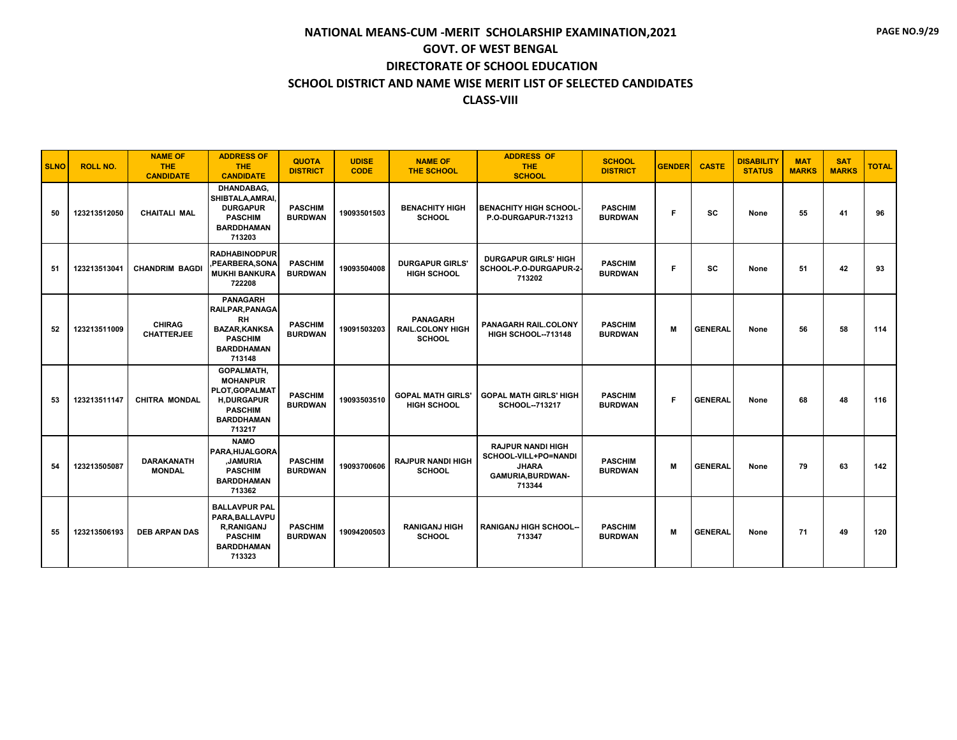| <b>SLNO</b> | <b>ROLL NO.</b> | <b>NAME OF</b><br><b>THE</b><br><b>CANDIDATE</b> | <b>ADDRESS OF</b><br><b>THE</b><br><b>CANDIDATE</b>                                                                         | <b>QUOTA</b><br><b>DISTRICT</b>  | <b>UDISE</b><br><b>CODE</b> | <b>NAME OF</b><br><b>THE SCHOOL</b>                         | <b>ADDRESS OF</b><br><b>THE</b><br><b>SCHOOL</b>                                                      | <b>SCHOOL</b><br><b>DISTRICT</b> | <b>GENDER</b> | <b>CASTE</b>   | <b>DISABILITY</b><br><b>STATUS</b> | <b>MAT</b><br><b>MARKS</b> | <b>SAT</b><br><b>MARKS</b> | <b>TOTAL</b> |
|-------------|-----------------|--------------------------------------------------|-----------------------------------------------------------------------------------------------------------------------------|----------------------------------|-----------------------------|-------------------------------------------------------------|-------------------------------------------------------------------------------------------------------|----------------------------------|---------------|----------------|------------------------------------|----------------------------|----------------------------|--------------|
| 50          | 123213512050    | <b>CHAITALI MAL</b>                              | DHANDABAG.<br>SHIBTALA, AMRAI,<br><b>DURGAPUR</b><br><b>PASCHIM</b><br><b>BARDDHAMAN</b><br>713203                          | <b>PASCHIM</b><br><b>BURDWAN</b> | 19093501503                 | <b>BENACHITY HIGH</b><br><b>SCHOOL</b>                      | <b>BENACHITY HIGH SCHOOL-</b><br>P.O-DURGAPUR-713213                                                  | <b>PASCHIM</b><br><b>BURDWAN</b> | F             | <b>SC</b>      | None                               | 55                         | 41                         | 96           |
| 51          | 123213513041    | <b>CHANDRIM BAGDI</b>                            | <b>RADHABINODPUR</b><br>,PEARBERA,SONA<br><b>MUKHI BANKURA</b><br>722208                                                    | <b>PASCHIM</b><br><b>BURDWAN</b> | 19093504008                 | <b>DURGAPUR GIRLS'</b><br><b>HIGH SCHOOL</b>                | <b>DURGAPUR GIRLS' HIGH</b><br>SCHOOL-P.O-DURGAPUR-2-<br>713202                                       | <b>PASCHIM</b><br><b>BURDWAN</b> | F             | <b>SC</b>      | None                               | 51                         | 42                         | 93           |
| 52          | 123213511009    | <b>CHIRAG</b><br><b>CHATTERJEE</b>               | <b>PANAGARH</b><br>RAILPAR, PANAGA<br><b>RH</b><br><b>BAZAR, KANKSA</b><br><b>PASCHIM</b><br><b>BARDDHAMAN</b><br>713148    | <b>PASCHIM</b><br><b>BURDWAN</b> | 19091503203                 | <b>PANAGARH</b><br><b>RAIL.COLONY HIGH</b><br><b>SCHOOL</b> | <b>PANAGARH RAIL.COLONY</b><br><b>HIGH SCHOOL--713148</b>                                             | <b>PASCHIM</b><br><b>BURDWAN</b> | М             | <b>GENERAL</b> | None                               | 56                         | 58                         | 114          |
| 53          | 123213511147    | <b>CHITRA MONDAL</b>                             | <b>GOPALMATH.</b><br><b>MOHANPUR</b><br>PLOT.GOPALMAT<br><b>H,DURGAPUR</b><br><b>PASCHIM</b><br><b>BARDDHAMAN</b><br>713217 | <b>PASCHIM</b><br><b>BURDWAN</b> | 19093503510                 | <b>GOPAL MATH GIRLS'</b><br><b>HIGH SCHOOL</b>              | <b>GOPAL MATH GIRLS' HIGH</b><br><b>SCHOOL--713217</b>                                                | <b>PASCHIM</b><br><b>BURDWAN</b> | F.            | <b>GENERAL</b> | None                               | 68                         | 48                         | 116          |
| 54          | 123213505087    | <b>DARAKANATH</b><br><b>MONDAL</b>               | <b>NAMO</b><br>PARA, HIJALGORA<br><b>JAMURIA</b><br><b>PASCHIM</b><br><b>BARDDHAMAN</b><br>713362                           | <b>PASCHIM</b><br><b>BURDWAN</b> | 19093700606                 | <b>RAJPUR NANDI HIGH</b><br><b>SCHOOL</b>                   | <b>RAJPUR NANDI HIGH</b><br>SCHOOL-VILL+PO=NANDI<br><b>JHARA</b><br><b>GAMURIA.BURDWAN-</b><br>713344 | <b>PASCHIM</b><br><b>BURDWAN</b> | М             | <b>GENERAL</b> | None                               | 79                         | 63                         | 142          |
| 55          | 123213506193    | <b>DEB ARPAN DAS</b>                             | <b>BALLAVPUR PAL</b><br>PARA, BALLAVPU<br><b>R.RANIGANJ</b><br><b>PASCHIM</b><br><b>BARDDHAMAN</b><br>713323                | <b>PASCHIM</b><br><b>BURDWAN</b> | 19094200503                 | <b>RANIGANJ HIGH</b><br><b>SCHOOL</b>                       | <b>RANIGANJ HIGH SCHOOL--</b><br>713347                                                               | <b>PASCHIM</b><br><b>BURDWAN</b> | M             | <b>GENERAL</b> | None                               | 71                         | 49                         | 120          |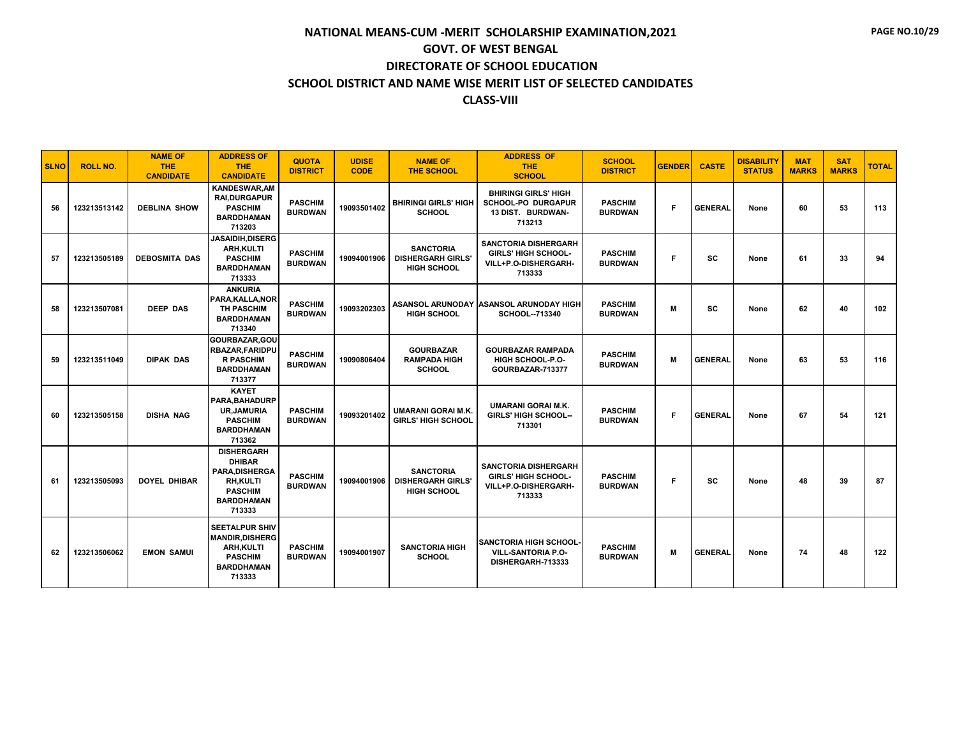| <b>SLNO</b> | <b>ROLL NO.</b> | <b>NAME OF</b><br>THE.<br><b>CANDIDATE</b> | <b>ADDRESS OF</b><br><b>THE</b><br><b>CANDIDATE</b>                                                                            | <b>QUOTA</b><br><b>DISTRICT</b>  | <b>UDISE</b><br><b>CODE</b> | <b>NAME OF</b><br><b>THE SCHOOL</b>                                | <b>ADDRESS OF</b><br><b>THE</b><br><b>SCHOOL</b>                                            | <b>SCHOOL</b><br><b>DISTRICT</b> | <b>GENDER</b> | <b>CASTE</b>   | <b>DISABILITY</b><br><b>STATUS</b> | <b>MAT</b><br><b>MARKS</b> | <b>SAT</b><br><b>MARKS</b> | <b>TOTAL</b> |
|-------------|-----------------|--------------------------------------------|--------------------------------------------------------------------------------------------------------------------------------|----------------------------------|-----------------------------|--------------------------------------------------------------------|---------------------------------------------------------------------------------------------|----------------------------------|---------------|----------------|------------------------------------|----------------------------|----------------------------|--------------|
| 56          | 123213513142    | <b>DEBLINA SHOW</b>                        | <b>KANDESWAR, AM</b><br><b>RAI,DURGAPUR</b><br><b>PASCHIM</b><br><b>BARDDHAMAN</b><br>713203                                   | <b>PASCHIM</b><br><b>BURDWAN</b> | 19093501402                 | <b>BHIRINGI GIRLS' HIGH</b><br><b>SCHOOL</b>                       | <b>BHIRINGI GIRLS' HIGH</b><br>SCHOOL-PO DURGAPUR<br>13 DIST. BURDWAN-<br>713213            | <b>PASCHIM</b><br><b>BURDWAN</b> | F             | <b>GENERAL</b> | None                               | 60                         | 53                         | 113          |
| 57          | 123213505189    | <b>DEBOSMITA DAS</b>                       | JASAIDIH, DISERG<br><b>ARH, KULTI</b><br><b>PASCHIM</b><br><b>BARDDHAMAN</b><br>713333                                         | <b>PASCHIM</b><br><b>BURDWAN</b> | 19094001906                 | <b>SANCTORIA</b><br><b>DISHERGARH GIRLS'</b><br><b>HIGH SCHOOL</b> | <b>SANCTORIA DISHERGARH</b><br><b>GIRLS' HIGH SCHOOL-</b><br>VILL+P.O-DISHERGARH-<br>713333 | <b>PASCHIM</b><br><b>BURDWAN</b> | F             | <b>SC</b>      | None                               | 61                         | 33                         | 94           |
| 58          | 123213507081    | <b>DEEP DAS</b>                            | <b>ANKURIA</b><br>PARA, KALLA, NOR<br><b>TH PASCHIM</b><br><b>BARDDHAMAN</b><br>713340                                         | <b>PASCHIM</b><br><b>BURDWAN</b> | 19093202303                 | <b>HIGH SCHOOL</b>                                                 | ASANSOL ARUNODAY ASANSOL ARUNODAY HIGH<br>SCHOOL--713340                                    | <b>PASCHIM</b><br><b>BURDWAN</b> | M             | <b>SC</b>      | None                               | 62                         | 40                         | 102          |
| 59          | 123213511049    | <b>DIPAK DAS</b>                           | GOURBAZAR.GOU<br><b>RBAZAR.FARIDPU</b><br><b>R PASCHIM</b><br><b>BARDDHAMAN</b><br>713377                                      | <b>PASCHIM</b><br><b>BURDWAN</b> | 19090806404                 | <b>GOURBAZAR</b><br><b>RAMPADA HIGH</b><br><b>SCHOOL</b>           | <b>GOURBAZAR RAMPADA</b><br>HIGH SCHOOL-P.O-<br>GOURBAZAR-713377                            | <b>PASCHIM</b><br><b>BURDWAN</b> | М             | <b>GENERAL</b> | None                               | 63                         | 53                         | 116          |
| 60          | 123213505158    | <b>DISHA NAG</b>                           | <b>KAYET</b><br>PARA.BAHADURP<br><b>UR, JAMURIA</b><br><b>PASCHIM</b><br><b>BARDDHAMAN</b><br>713362                           | <b>PASCHIM</b><br><b>BURDWAN</b> | 19093201402                 | <b>UMARANI GORAI M.K.</b><br><b>GIRLS' HIGH SCHOOL</b>             | <b>UMARANI GORAI M.K.</b><br><b>GIRLS' HIGH SCHOOL--</b><br>713301                          | <b>PASCHIM</b><br><b>BURDWAN</b> | F             | <b>GENERAL</b> | None                               | 67                         | 54                         | 121          |
| 61          | 123213505093    | DOYEL DHIBAR                               | <b>DISHERGARH</b><br><b>DHIBAR</b><br><b>PARA,DISHERGA</b><br><b>RH,KULTI</b><br><b>PASCHIM</b><br><b>BARDDHAMAN</b><br>713333 | <b>PASCHIM</b><br><b>BURDWAN</b> | 19094001906                 | <b>SANCTORIA</b><br><b>DISHERGARH GIRLS'</b><br><b>HIGH SCHOOL</b> | <b>SANCTORIA DISHERGARH</b><br><b>GIRLS' HIGH SCHOOL-</b><br>VILL+P.O-DISHERGARH-<br>713333 | <b>PASCHIM</b><br><b>BURDWAN</b> | F             | <b>SC</b>      | None                               | 48                         | 39                         | 87           |
| 62          | 123213506062    | <b>EMON SAMUI</b>                          | <b>SEETALPUR SHIV</b><br><b>MANDIR.DISHERG</b><br><b>ARH, KULTI</b><br><b>PASCHIM</b><br><b>BARDDHAMAN</b><br>713333           | <b>PASCHIM</b><br><b>BURDWAN</b> | 19094001907                 | <b>SANCTORIA HIGH</b><br><b>SCHOOL</b>                             | <b>SANCTORIA HIGH SCHOOL</b><br><b>VILL-SANTORIA P.O-</b><br>DISHERGARH-713333              | <b>PASCHIM</b><br><b>BURDWAN</b> | M             | <b>GENERAL</b> | None                               | 74                         | 48                         | 122          |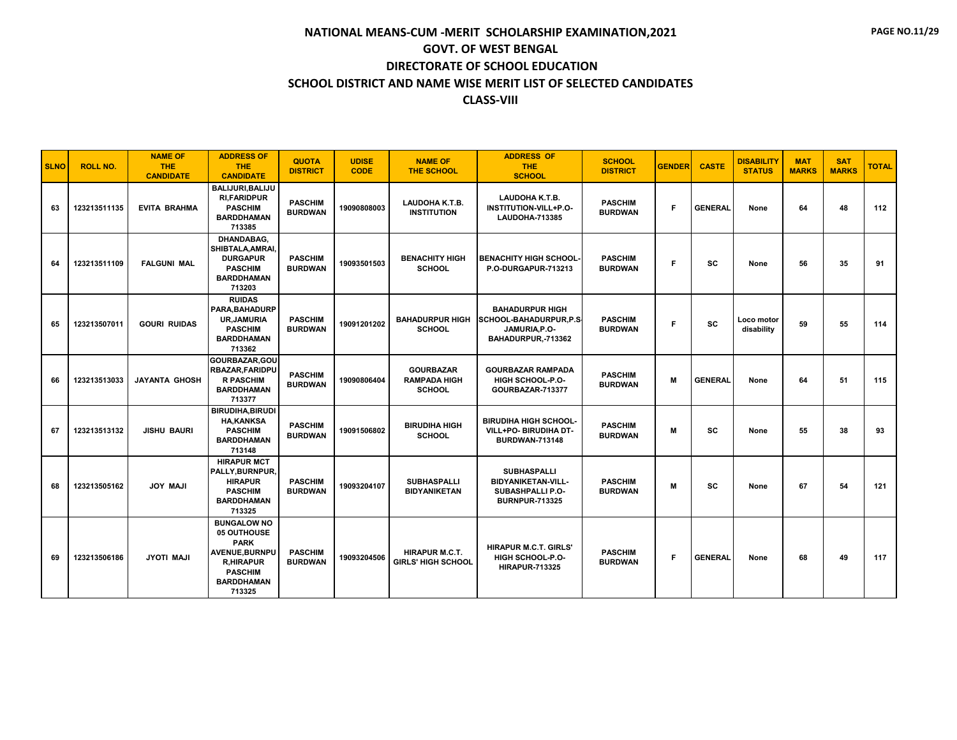| <b>SLNO</b> | <b>ROLL NO.</b> | <b>NAME OF</b><br><b>THE</b><br><b>CANDIDATE</b> | <b>ADDRESS OF</b><br><b>THE</b><br><b>CANDIDATE</b>                                                                                            | <b>QUOTA</b><br><b>DISTRICT</b>  | <b>UDISE</b><br><b>CODE</b> | <b>NAME OF</b><br><b>THE SCHOOL</b>                      | <b>ADDRESS OF</b><br><b>THE</b><br><b>SCHOOL</b>                                             | <b>SCHOOL</b><br><b>DISTRICT</b> | <b>GENDER</b> | <b>CASTE</b>   | <b>DISABILITY</b><br><b>STATUS</b> | <b>MAT</b><br><b>MARKS</b> | <b>SAT</b><br><b>MARKS</b> | <b>TOTAL</b> |
|-------------|-----------------|--------------------------------------------------|------------------------------------------------------------------------------------------------------------------------------------------------|----------------------------------|-----------------------------|----------------------------------------------------------|----------------------------------------------------------------------------------------------|----------------------------------|---------------|----------------|------------------------------------|----------------------------|----------------------------|--------------|
| 63          | 123213511135    | <b>EVITA BRAHMA</b>                              | BALIJURI, BALIJU<br><b>RI.FARIDPUR</b><br><b>PASCHIM</b><br><b>BARDDHAMAN</b><br>713385                                                        | <b>PASCHIM</b><br><b>BURDWAN</b> | 19090808003                 | <b>LAUDOHA K.T.B.</b><br><b>INSTITUTION</b>              | LAUDOHA K.T.B.<br>INSTITUTION-VILL+P.O-<br><b>LAUDOHA-713385</b>                             | <b>PASCHIM</b><br><b>BURDWAN</b> | F             | <b>GENERAL</b> | None                               | 64                         | 48                         | 112          |
| 64          | 123213511109    | <b>FALGUNI MAL</b>                               | DHANDABAG.<br>SHIBTALA, AMRAI,<br><b>DURGAPUR</b><br><b>PASCHIM</b><br><b>BARDDHAMAN</b><br>713203                                             | <b>PASCHIM</b><br><b>BURDWAN</b> | 19093501503                 | <b>BENACHITY HIGH</b><br><b>SCHOOL</b>                   | <b>BENACHITY HIGH SCHOOL</b><br>P.O-DURGAPUR-713213                                          | <b>PASCHIM</b><br><b>BURDWAN</b> | F             | <b>SC</b>      | None                               | 56                         | 35                         | 91           |
| 65          | 123213507011    | <b>GOURI RUIDAS</b>                              | <b>RUIDAS</b><br>PARA.BAHADURP<br><b>UR, JAMURIA</b><br><b>PASCHIM</b><br><b>BARDDHAMAN</b><br>713362                                          | <b>PASCHIM</b><br><b>BURDWAN</b> | 19091201202                 | <b>BAHADURPUR HIGH</b><br><b>SCHOOL</b>                  | <b>BAHADURPUR HIGH</b><br><b>SCHOOL-BAHADURPUR,P.S</b><br>JAMURIA.P.O-<br>BAHADURPUR,-713362 | <b>PASCHIM</b><br><b>BURDWAN</b> | F             | <b>SC</b>      | Loco motor<br>disability           | 59                         | 55                         | 114          |
| 66          | 123213513033    | <b>JAYANTA GHOSH</b>                             | GOURBAZAR, GOU<br><b>RBAZAR.FARIDPU</b><br><b>R PASCHIM</b><br><b>BARDDHAMAN</b><br>713377                                                     | <b>PASCHIM</b><br><b>BURDWAN</b> | 19090806404                 | <b>GOURBAZAR</b><br><b>RAMPADA HIGH</b><br><b>SCHOOL</b> | <b>GOURBAZAR RAMPADA</b><br>HIGH SCHOOL-P.O-<br>GOURBAZAR-713377                             | <b>PASCHIM</b><br><b>BURDWAN</b> | М             | <b>GENERAL</b> | None                               | 64                         | 51                         | 115          |
| 67          | 123213513132    | <b>JISHU BAURI</b>                               | <b>BIRUDIHA.BIRUDI</b><br><b>HA,KANKSA</b><br><b>PASCHIM</b><br><b>BARDDHAMAN</b><br>713148                                                    | <b>PASCHIM</b><br><b>BURDWAN</b> | 19091506802                 | <b>BIRUDIHA HIGH</b><br><b>SCHOOL</b>                    | <b>BIRUDIHA HIGH SCHOOL-</b><br>VILL+PO- BIRUDIHA DT-<br><b>BURDWAN-713148</b>               | <b>PASCHIM</b><br><b>BURDWAN</b> | M             | <b>SC</b>      | None                               | 55                         | 38                         | 93           |
| 68          | 123213505162    | <b>ILAM YOL</b>                                  | <b>HIRAPUR MCT</b><br>PALLY, BURNPUR,<br><b>HIRAPUR</b><br><b>PASCHIM</b><br><b>BARDDHAMAN</b><br>713325                                       | <b>PASCHIM</b><br><b>BURDWAN</b> | 19093204107                 | <b>SUBHASPALLI</b><br><b>BIDYANIKETAN</b>                | <b>SUBHASPALLI</b><br><b>BIDYANIKETAN-VILL-</b><br>SUBASHPALLI P.O-<br><b>BURNPUR-713325</b> | <b>PASCHIM</b><br><b>BURDWAN</b> | М             | sc             | None                               | 67                         | 54                         | 121          |
| 69          | 123213506186    | <b>ILAM ITOYL</b>                                | <b>BUNGALOW NO</b><br>05 OUTHOUSE<br><b>PARK</b><br><b>AVENUE, BURNPU</b><br><b>R,HIRAPUR</b><br><b>PASCHIM</b><br><b>BARDDHAMAN</b><br>713325 | <b>PASCHIM</b><br><b>BURDWAN</b> | 19093204506                 | <b>HIRAPUR M.C.T.</b><br><b>GIRLS' HIGH SCHOOL</b>       | <b>HIRAPUR M.C.T. GIRLS'</b><br>HIGH SCHOOL-P.O-<br><b>HIRAPUR-713325</b>                    | <b>PASCHIM</b><br><b>BURDWAN</b> | F.            | <b>GENERAL</b> | None                               | 68                         | 49                         | 117          |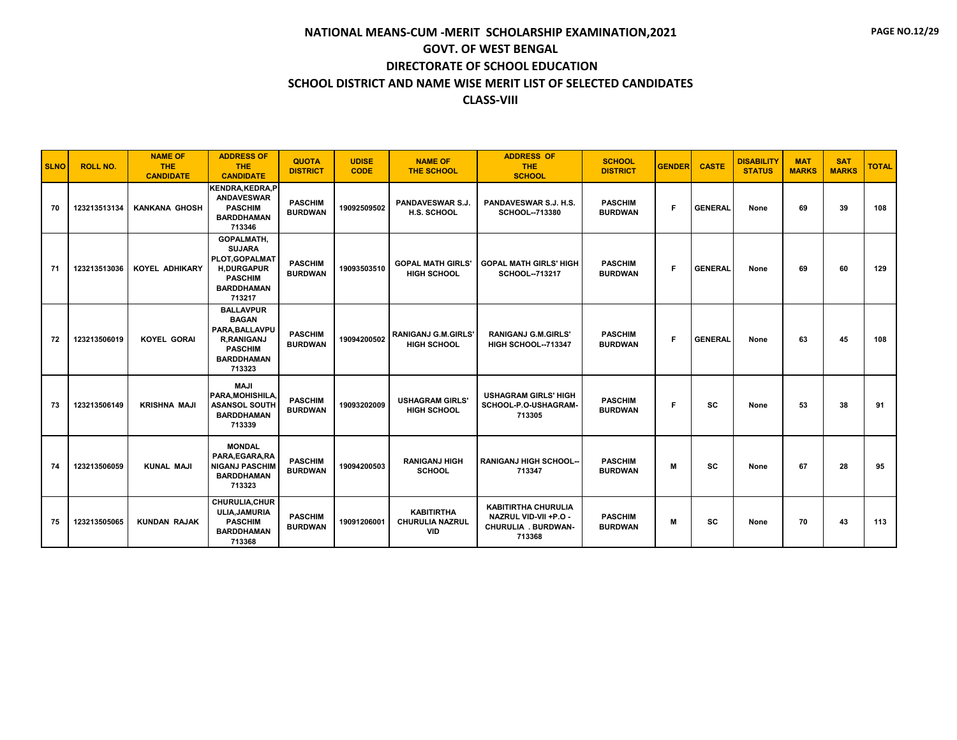| <b>SLNO</b> | <b>ROLL NO.</b> | <b>NAME OF</b><br><b>THE</b><br><b>CANDIDATE</b> | <b>ADDRESS OF</b><br><b>THE</b><br><b>CANDIDATE</b>                                                                       | <b>QUOTA</b><br><b>DISTRICT</b>  | <b>UDISE</b><br><b>CODE</b> | <b>NAME OF</b><br><b>THE SCHOOL</b>                | <b>ADDRESS OF</b><br><b>THE</b><br><b>SCHOOL</b>                                     | <b>SCHOOL</b><br><b>DISTRICT</b> | <b>GENDER</b> | <b>CASTE</b>   | <b>DISABILITY</b><br><b>STATUS</b> | <b>MAT</b><br><b>MARKS</b> | <b>SAT</b><br><b>MARKS</b> | <b>TOTAL</b> |
|-------------|-----------------|--------------------------------------------------|---------------------------------------------------------------------------------------------------------------------------|----------------------------------|-----------------------------|----------------------------------------------------|--------------------------------------------------------------------------------------|----------------------------------|---------------|----------------|------------------------------------|----------------------------|----------------------------|--------------|
| 70          | 123213513134    | <b>KANKANA GHOSH</b>                             | <b>KENDRA,KEDRA,P</b><br><b>ANDAVESWAR</b><br><b>PASCHIM</b><br><b>BARDDHAMAN</b><br>713346                               | <b>PASCHIM</b><br><b>BURDWAN</b> | 19092509502                 | PANDAVESWAR S.J.<br>H.S. SCHOOL                    | PANDAVESWAR S.J. H.S.<br>SCHOOL--713380                                              | <b>PASCHIM</b><br><b>BURDWAN</b> | F             | <b>GENERAL</b> | None                               | 69                         | 39                         | 108          |
| 71          | 123213513036    | <b>KOYEL ADHIKARY</b>                            | GOPALMATH,<br><b>SUJARA</b><br>PLOT.GOPALMAT<br><b>H.DURGAPUR</b><br><b>PASCHIM</b><br><b>BARDDHAMAN</b><br>713217        | <b>PASCHIM</b><br><b>BURDWAN</b> | 19093503510                 | <b>GOPAL MATH GIRLS'</b><br><b>HIGH SCHOOL</b>     | <b>GOPAL MATH GIRLS' HIGH</b><br>SCHOOL--713217                                      | <b>PASCHIM</b><br><b>BURDWAN</b> | Е             | <b>GENERAL</b> | None                               | 69                         | 60                         | 129          |
| 72          | 123213506019    | <b>KOYEL GORAI</b>                               | <b>BALLAVPUR</b><br><b>BAGAN</b><br>PARA, BALLAVPU<br><b>R, RANIGANJ</b><br><b>PASCHIM</b><br><b>BARDDHAMAN</b><br>713323 | <b>PASCHIM</b><br><b>BURDWAN</b> | 19094200502                 | <b>RANIGANJ G.M.GIRLS'</b><br><b>HIGH SCHOOL</b>   | <b>RANIGANJ G.M.GIRLS'</b><br><b>HIGH SCHOOL--713347</b>                             | <b>PASCHIM</b><br><b>BURDWAN</b> | F             | <b>GENERAL</b> | None                               | 63                         | 45                         | 108          |
| 73          | 123213506149    | <b>KRISHNA MAJI</b>                              | <b>MAJI</b><br><b>PARA, MOHISHILA</b><br><b>ASANSOL SOUTH</b><br><b>BARDDHAMAN</b><br>713339                              | <b>PASCHIM</b><br><b>BURDWAN</b> | 19093202009                 | <b>USHAGRAM GIRLS'</b><br><b>HIGH SCHOOL</b>       | <b>USHAGRAM GIRLS' HIGH</b><br>SCHOOL-P.O-USHAGRAM-<br>713305                        | <b>PASCHIM</b><br><b>BURDWAN</b> | F             | <b>SC</b>      | None                               | 53                         | 38                         | 91           |
| 74          | 123213506059    | <b>KUNAL MAJI</b>                                | <b>MONDAL</b><br>PARA, EGARA, RA<br><b>NIGANJ PASCHIM</b><br><b>BARDDHAMAN</b><br>713323                                  | <b>PASCHIM</b><br><b>BURDWAN</b> | 19094200503                 | <b>RANIGANJ HIGH</b><br><b>SCHOOL</b>              | <b>RANIGANJ HIGH SCHOOL-</b><br>713347                                               | <b>PASCHIM</b><br><b>BURDWAN</b> | м             | <b>SC</b>      | None                               | 67                         | 28                         | 95           |
| 75          | 123213505065    | <b>KUNDAN RAJAK</b>                              | CHURULIA, CHUR<br>ULIA, JAMURIA<br><b>PASCHIM</b><br><b>BARDDHAMAN</b><br>713368                                          | <b>PASCHIM</b><br><b>BURDWAN</b> | 19091206001                 | <b>KABITIRTHA</b><br>CHURULIA NAZRUL<br><b>VID</b> | <b>KABITIRTHA CHURULIA</b><br>NAZRUL VID-VII +P.O -<br>CHURULIA . BURDWAN-<br>713368 | <b>PASCHIM</b><br><b>BURDWAN</b> | M             | <b>SC</b>      | None                               | 70                         | 43                         | 113          |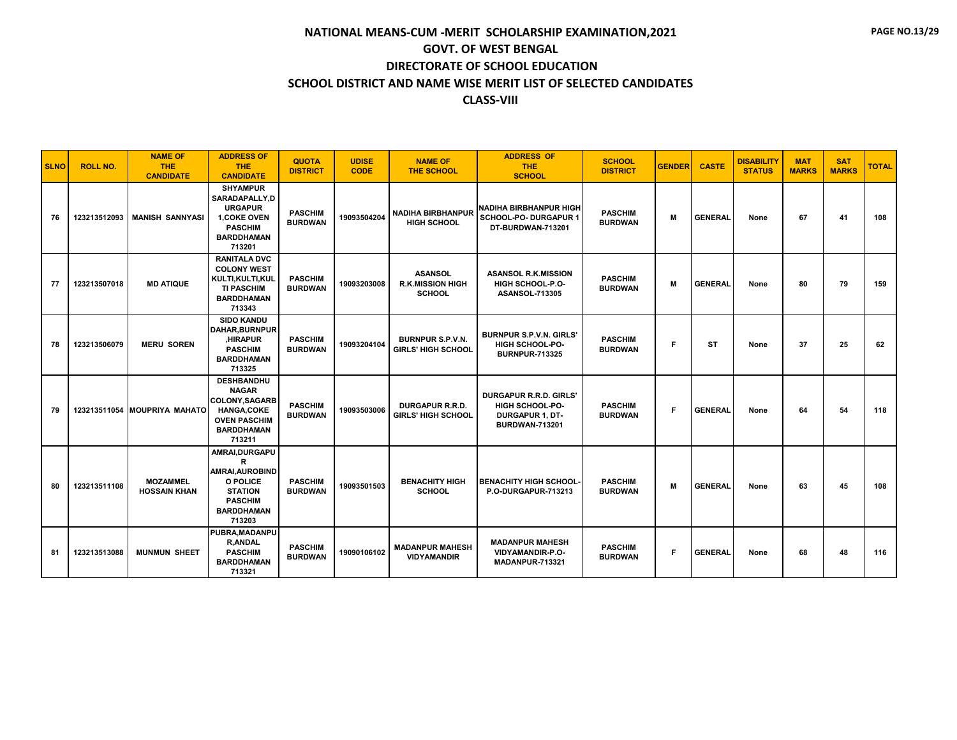| <b>SLNO</b> | <b>ROLL NO.</b> | <b>NAME OF</b><br>THE.<br><b>CANDIDATE</b> | <b>ADDRESS OF</b><br><b>THE</b><br><b>CANDIDATE</b>                                                                                   | <b>QUOTA</b><br><b>DISTRICT</b>  | <b>UDISE</b><br><b>CODE</b> | <b>NAME OF</b><br><b>THE SCHOOL</b>                        | <b>ADDRESS OF</b><br><b>THE</b><br><b>SCHOOL</b>                                                    | <b>SCHOOL</b><br><b>DISTRICT</b> | <b>GENDER</b> | <b>CASTE</b>   | <b>DISABILITY</b><br><b>STATUS</b> | <b>MAT</b><br><b>MARKS</b> | <b>SAT</b><br><b>MARKS</b> | <b>TOTAL</b> |
|-------------|-----------------|--------------------------------------------|---------------------------------------------------------------------------------------------------------------------------------------|----------------------------------|-----------------------------|------------------------------------------------------------|-----------------------------------------------------------------------------------------------------|----------------------------------|---------------|----------------|------------------------------------|----------------------------|----------------------------|--------------|
| 76          |                 | 123213512093   MANISH SANNYASI             | <b>SHYAMPUR</b><br>SARADAPALLY.D<br><b>URGAPUR</b><br><b>1,COKE OVEN</b><br><b>PASCHIM</b><br><b>BARDDHAMAN</b><br>713201             | <b>PASCHIM</b><br><b>BURDWAN</b> | 19093504204                 | <b>NADIHA BIRBHANPUR</b><br><b>HIGH SCHOOL</b>             | NADIHA BIRBHANPUR HIGH<br><b>SCHOOL-PO- DURGAPUR 1</b><br>DT-BURDWAN-713201                         | <b>PASCHIM</b><br><b>BURDWAN</b> | м             | <b>GENERAL</b> | None                               | 67                         | 41                         | 108          |
| 77          | 123213507018    | <b>MD ATIQUE</b>                           | <b>RANITALA DVC</b><br><b>COLONY WEST</b><br>KULTI, KULTI, KUL<br><b>TI PASCHIM</b><br><b>BARDDHAMAN</b><br>713343                    | <b>PASCHIM</b><br><b>BURDWAN</b> | 19093203008                 | <b>ASANSOL</b><br><b>R.K.MISSION HIGH</b><br><b>SCHOOL</b> | <b>ASANSOL R.K.MISSION</b><br>HIGH SCHOOL-P.O-<br><b>ASANSOL-713305</b>                             | <b>PASCHIM</b><br><b>BURDWAN</b> | м             | <b>GENERAL</b> | None                               | 80                         | 79                         | 159          |
| 78          | 123213506079    | <b>MERU SOREN</b>                          | <b>SIDO KANDU</b><br>DAHAR.BURNPUR<br>.HIRAPUR<br><b>PASCHIM</b><br><b>BARDDHAMAN</b><br>713325                                       | <b>PASCHIM</b><br><b>BURDWAN</b> | 19093204104                 | <b>BURNPUR S.P.V.N.</b><br><b>GIRLS' HIGH SCHOOL</b>       | <b>BURNPUR S.P.V.N. GIRLS'</b><br><b>HIGH SCHOOL-PO-</b><br><b>BURNPUR-713325</b>                   | <b>PASCHIM</b><br><b>BURDWAN</b> | F.            | ST             | None                               | 37                         | 25                         | 62           |
| 79          |                 | 123213511054 MOUPRIYA MAHATO               | <b>DESHBANDHU</b><br><b>NAGAR</b><br><b>COLONY, SAGARB</b><br><b>HANGA,COKE</b><br><b>OVEN PASCHIM</b><br><b>BARDDHAMAN</b><br>713211 | <b>PASCHIM</b><br><b>BURDWAN</b> | 19093503006                 | <b>DURGAPUR R.R.D.</b><br><b>GIRLS' HIGH SCHOOL</b>        | DURGAPUR R.R.D. GIRLS'<br><b>HIGH SCHOOL-PO-</b><br><b>DURGAPUR 1. DT-</b><br><b>BURDWAN-713201</b> | <b>PASCHIM</b><br><b>BURDWAN</b> | F             | <b>GENERAL</b> | None                               | 64                         | 54                         | 118          |
| 80          | 123213511108    | <b>MOZAMMEL</b><br><b>HOSSAIN KHAN</b>     | AMRAI.DURGAPU<br>R<br>AMRAI, AUROBIND<br>O POLICE<br><b>STATION</b><br><b>PASCHIM</b><br><b>BARDDHAMAN</b><br>713203                  | <b>PASCHIM</b><br><b>BURDWAN</b> | 19093501503                 | <b>BENACHITY HIGH</b><br><b>SCHOOL</b>                     | <b>BENACHITY HIGH SCHOOL</b><br><b>P.O-DURGAPUR-713213</b>                                          | <b>PASCHIM</b><br><b>BURDWAN</b> | M             | <b>GENERAL</b> | None                               | 63                         | 45                         | 108          |
| 81          | 123213513088    | <b>MUNMUN SHEET</b>                        | PUBRA.MADANPU<br><b>R,ANDAL</b><br><b>PASCHIM</b><br><b>BARDDHAMAN</b><br>713321                                                      | <b>PASCHIM</b><br><b>BURDWAN</b> | 19090106102                 | <b>MADANPUR MAHESH</b><br><b>VIDYAMANDIR</b>               | <b>MADANPUR MAHESH</b><br><b>VIDYAMANDIR-P.O-</b><br>MADANPUR-713321                                | <b>PASCHIM</b><br><b>BURDWAN</b> | F             | <b>GENERAL</b> | None                               | 68                         | 48                         | 116          |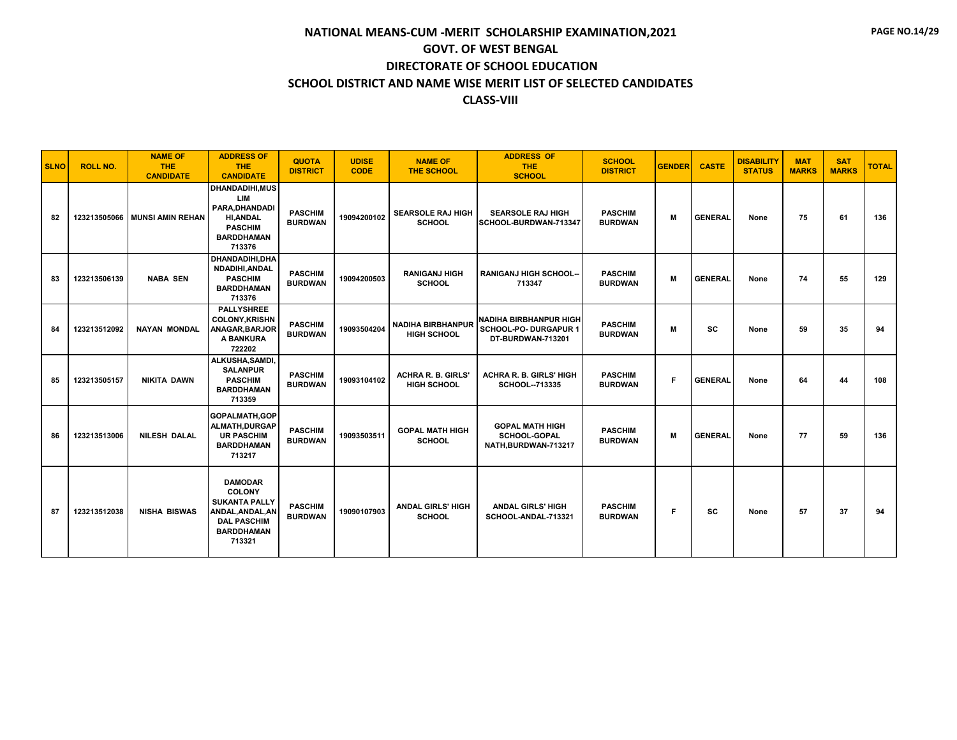| <b>SLNO</b> | <b>ROLL NO.</b> | <b>NAME OF</b><br><b>THE</b><br><b>CANDIDATE</b> | <b>ADDRESS OF</b><br><b>THE</b><br><b>CANDIDATE</b>                                                                              | <b>QUOTA</b><br><b>DISTRICT</b>  | <b>UDISE</b><br><b>CODE</b> | <b>NAME OF</b><br><b>THE SCHOOL</b>             | <b>ADDRESS OF</b><br><b>THE</b><br><b>SCHOOL</b>                                   | <b>SCHOOL</b><br><b>DISTRICT</b> | <b>GENDER</b> | <b>CASTE</b>   | <b>DISABILITY</b><br><b>STATUS</b> | <b>MAT</b><br><b>MARKS</b> | <b>SAT</b><br><b>MARKS</b> | <b>TOTAL</b> |
|-------------|-----------------|--------------------------------------------------|----------------------------------------------------------------------------------------------------------------------------------|----------------------------------|-----------------------------|-------------------------------------------------|------------------------------------------------------------------------------------|----------------------------------|---------------|----------------|------------------------------------|----------------------------|----------------------------|--------------|
| 82          |                 | 123213505066 MUNSI AMIN REHAN                    | DHANDADIHI, MUS<br>LIM<br>PARA, DHANDADI<br><b>HI, ANDAL</b><br><b>PASCHIM</b><br><b>BARDDHAMAN</b><br>713376                    | <b>PASCHIM</b><br><b>BURDWAN</b> | 19094200102                 | <b>SEARSOLE RAJ HIGH</b><br><b>SCHOOL</b>       | <b>SEARSOLE RAJ HIGH</b><br>SCHOOL-BURDWAN-713347                                  | <b>PASCHIM</b><br><b>BURDWAN</b> | M             | <b>GENERAL</b> | None                               | 75                         | 61                         | 136          |
| 83          | 123213506139    | <b>NABA SEN</b>                                  | DHANDADIHI, DHA<br><b>NDADIHI.ANDAL</b><br><b>PASCHIM</b><br><b>BARDDHAMAN</b><br>713376                                         | <b>PASCHIM</b><br><b>BURDWAN</b> | 19094200503                 | <b>RANIGANJ HIGH</b><br><b>SCHOOL</b>           | <b>RANIGANJ HIGH SCHOOL--</b><br>713347                                            | <b>PASCHIM</b><br><b>BURDWAN</b> | M             | <b>GENERAL</b> | None                               | 74                         | 55                         | 129          |
| 84          | 123213512092    | <b>NAYAN MONDAL</b>                              | <b>PALLYSHREE</b><br><b>COLONY, KRISHN</b><br><b>ANAGAR, BARJOR</b><br>A BANKURA<br>722202                                       | <b>PASCHIM</b><br><b>BURDWAN</b> | 19093504204                 | <b>NADIHA BIRBHANPUR</b><br><b>HIGH SCHOOL</b>  | <b>NADIHA BIRBHANPUR HIGH</b><br><b>SCHOOL-PO- DURGAPUR 1</b><br>DT-BURDWAN-713201 | <b>PASCHIM</b><br><b>BURDWAN</b> | M             | <b>SC</b>      | None                               | 59                         | 35                         | 94           |
| 85          | 123213505157    | <b>NIKITA DAWN</b>                               | ALKUSHA, SAMDI,<br><b>SALANPUR</b><br><b>PASCHIM</b><br><b>BARDDHAMAN</b><br>713359                                              | <b>PASCHIM</b><br><b>BURDWAN</b> | 19093104102                 | <b>ACHRA R. B. GIRLS'</b><br><b>HIGH SCHOOL</b> | <b>ACHRA R. B. GIRLS' HIGH</b><br><b>SCHOOL--713335</b>                            | <b>PASCHIM</b><br><b>BURDWAN</b> | Е             | <b>GENERAL</b> | None                               | 64                         | 44                         | 108          |
| 86          | 123213513006    | <b>NILESH DALAL</b>                              | GOPALMATH, GOP<br><b>ALMATH, DURGAP</b><br><b>UR PASCHIM</b><br><b>BARDDHAMAN</b><br>713217                                      | <b>PASCHIM</b><br><b>BURDWAN</b> | 19093503511                 | <b>GOPAL MATH HIGH</b><br><b>SCHOOL</b>         | <b>GOPAL MATH HIGH</b><br>SCHOOL-GOPAL<br>NATH, BURDWAN-713217                     | <b>PASCHIM</b><br><b>BURDWAN</b> | M             | <b>GENERAL</b> | None                               | 77                         | 59                         | 136          |
| 87          | 123213512038    | NISHA BISWAS                                     | <b>DAMODAR</b><br><b>COLONY</b><br><b>SUKANTA PALLY</b><br>ANDAL, ANDAL, AN<br><b>DAL PASCHIM</b><br><b>BARDDHAMAN</b><br>713321 | <b>PASCHIM</b><br><b>BURDWAN</b> | 19090107903                 | <b>ANDAL GIRLS' HIGH</b><br><b>SCHOOL</b>       | <b>ANDAL GIRLS' HIGH</b><br>SCHOOL-ANDAL-713321                                    | <b>PASCHIM</b><br><b>BURDWAN</b> | F             | sc             | None                               | 57                         | 37                         | 94           |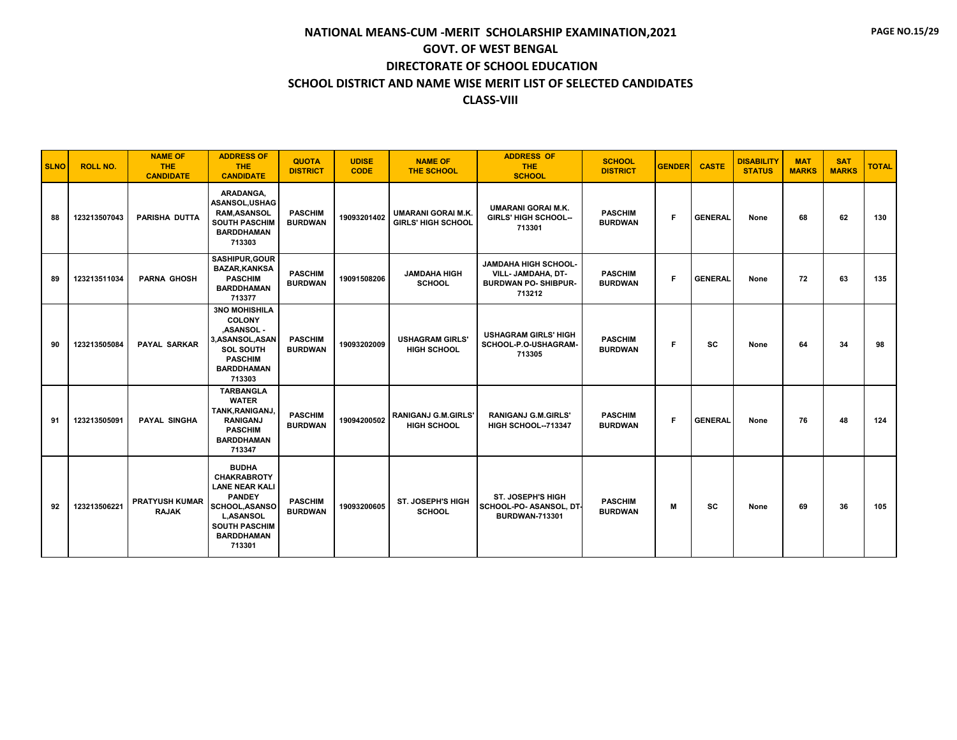| <b>SLNO</b> | <b>ROLL NO.</b> | <b>NAME OF</b><br><b>THE</b><br><b>CANDIDATE</b> | <b>ADDRESS OF</b><br><b>THE</b><br><b>CANDIDATE</b>                                                                                                                       | <b>QUOTA</b><br><b>DISTRICT</b>  | <b>UDISE</b><br><b>CODE</b> | <b>NAME OF</b><br><b>THE SCHOOL</b>                    | <b>ADDRESS OF</b><br><b>THE</b><br><b>SCHOOL</b>                                           | <b>SCHOOL</b><br><b>DISTRICT</b> | <b>GENDER</b> | <b>CASTE</b>   | <b>DISABILITY</b><br><b>STATUS</b> | <b>MAT</b><br><b>MARKS</b> | <b>SAT</b><br><b>MARKS</b> | <b>TOTAL</b> |
|-------------|-----------------|--------------------------------------------------|---------------------------------------------------------------------------------------------------------------------------------------------------------------------------|----------------------------------|-----------------------------|--------------------------------------------------------|--------------------------------------------------------------------------------------------|----------------------------------|---------------|----------------|------------------------------------|----------------------------|----------------------------|--------------|
| 88          | 123213507043    | <b>PARISHA DUTTA</b>                             | ARADANGA.<br>ASANSOL, USHAG<br><b>RAM, ASANSOL</b><br><b>SOUTH PASCHIM</b><br><b>BARDDHAMAN</b><br>713303                                                                 | <b>PASCHIM</b><br><b>BURDWAN</b> | 19093201402                 | <b>UMARANI GORAI M.K.</b><br><b>GIRLS' HIGH SCHOOL</b> | <b>UMARANI GORAI M.K.</b><br><b>GIRLS' HIGH SCHOOL--</b><br>713301                         | <b>PASCHIM</b><br><b>BURDWAN</b> | F             | <b>GENERAL</b> | None                               | 68                         | 62                         | 130          |
| 89          | 123213511034    | <b>PARNA GHOSH</b>                               | <b>SASHIPUR, GOUR</b><br><b>BAZAR,KANKSA</b><br><b>PASCHIM</b><br><b>BARDDHAMAN</b><br>713377                                                                             | <b>PASCHIM</b><br><b>BURDWAN</b> | 19091508206                 | <b>JAMDAHA HIGH</b><br><b>SCHOOL</b>                   | <b>JAMDAHA HIGH SCHOOL-</b><br>VILL- JAMDAHA. DT-<br><b>BURDWAN PO- SHIBPUR-</b><br>713212 | <b>PASCHIM</b><br><b>BURDWAN</b> | F             | <b>GENERAL</b> | None                               | 72                         | 63                         | 135          |
| 90          | 123213505084    | <b>PAYAL SARKAR</b>                              | <b>3NO MOHISHILA</b><br><b>COLONY</b><br>.ASANSOL -<br>3,ASANSOL,ASAN<br><b>SOL SOUTH</b><br><b>PASCHIM</b><br><b>BARDDHAMAN</b><br>713303                                | <b>PASCHIM</b><br><b>BURDWAN</b> | 19093202009                 | <b>USHAGRAM GIRLS'</b><br><b>HIGH SCHOOL</b>           | <b>USHAGRAM GIRLS' HIGH</b><br>SCHOOL-P.O-USHAGRAM-<br>713305                              | <b>PASCHIM</b><br><b>BURDWAN</b> | F             | <b>SC</b>      | None                               | 64                         | 34                         | 98           |
| 91          | 123213505091    | <b>PAYAL SINGHA</b>                              | <b>TARBANGLA</b><br><b>WATER</b><br>TANK, RANIGANJ,<br><b>RANIGANJ</b><br><b>PASCHIM</b><br><b>BARDDHAMAN</b><br>713347                                                   | <b>PASCHIM</b><br><b>BURDWAN</b> | 19094200502                 | <b>RANIGANJ G.M.GIRLS'</b><br><b>HIGH SCHOOL</b>       | <b>RANIGANJ G.M.GIRLS'</b><br><b>HIGH SCHOOL--713347</b>                                   | <b>PASCHIM</b><br><b>BURDWAN</b> | F             | <b>GENERAL</b> | None                               | 76                         | 48                         | 124          |
| 92          | 123213506221    | <b>PRATYUSH KUMAR</b><br><b>RAJAK</b>            | <b>BUDHA</b><br><b>CHAKRABROTY</b><br><b>LANE NEAR KALI</b><br><b>PANDEY</b><br>SCHOOL, ASANSO<br><b>L,ASANSOL</b><br><b>SOUTH PASCHIM</b><br><b>BARDDHAMAN</b><br>713301 | <b>PASCHIM</b><br><b>BURDWAN</b> | 19093200605                 | <b>ST. JOSEPH'S HIGH</b><br><b>SCHOOL</b>              | <b>ST. JOSEPH'S HIGH</b><br>SCHOOL-PO- ASANSOL, DT-<br><b>BURDWAN-713301</b>               | <b>PASCHIM</b><br><b>BURDWAN</b> | M             | <b>SC</b>      | None                               | 69                         | 36                         | 105          |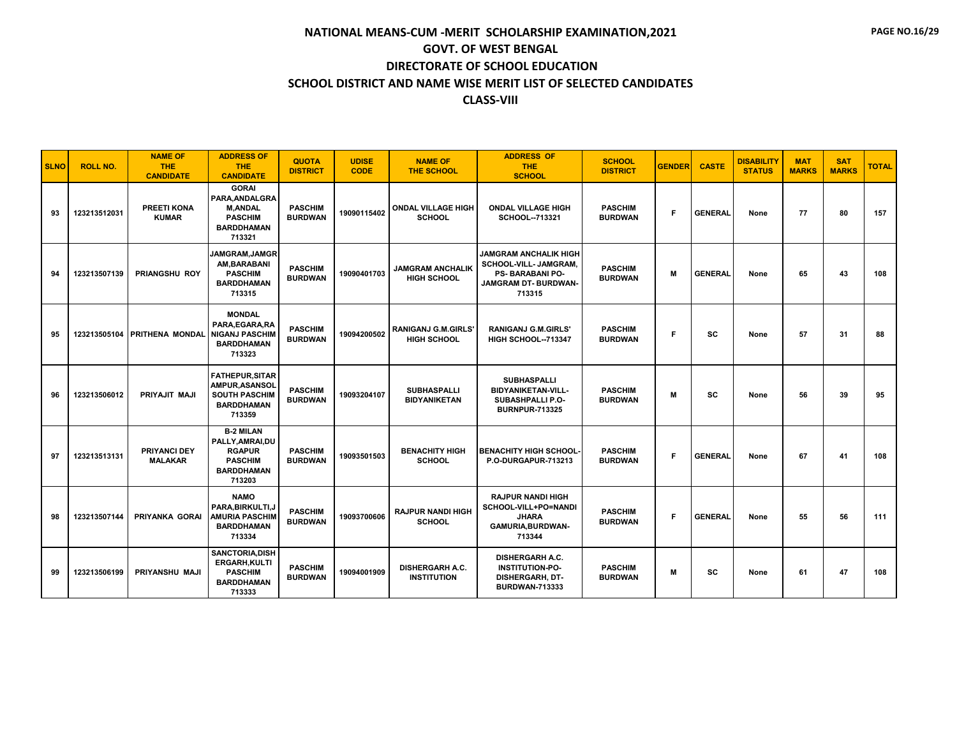| <b>SLNO</b> | <b>ROLL NO.</b> | <b>NAME OF</b><br><b>THE</b><br><b>CANDIDATE</b> | <b>ADDRESS OF</b><br><b>THE</b><br><b>CANDIDATE</b>                                                    | <b>QUOTA</b><br><b>DISTRICT</b>  | <b>UDISE</b><br><b>CODE</b> | <b>NAME OF</b><br><b>THE SCHOOL</b>              | <b>ADDRESS OF</b><br><b>THE</b><br><b>SCHOOL</b>                                                                  | <b>SCHOOL</b><br><b>DISTRICT</b> | <b>GENDER</b> | <b>CASTE</b>   | <b>DISABILITY</b><br><b>STATUS</b> | <b>MAT</b><br><b>MARKS</b> | <b>SAT</b><br><b>MARKS</b> | <b>TOTAL</b> |
|-------------|-----------------|--------------------------------------------------|--------------------------------------------------------------------------------------------------------|----------------------------------|-----------------------------|--------------------------------------------------|-------------------------------------------------------------------------------------------------------------------|----------------------------------|---------------|----------------|------------------------------------|----------------------------|----------------------------|--------------|
| 93          | 123213512031    | <b>PREETI KONA</b><br><b>KUMAR</b>               | <b>GORAI</b><br>PARA, ANDALGRA<br><b>M,ANDAL</b><br><b>PASCHIM</b><br><b>BARDDHAMAN</b><br>713321      | <b>PASCHIM</b><br><b>BURDWAN</b> | 19090115402                 | <b>ONDAL VILLAGE HIGH</b><br><b>SCHOOL</b>       | <b>ONDAL VILLAGE HIGH</b><br>SCHOOL--713321                                                                       | <b>PASCHIM</b><br><b>BURDWAN</b> | F             | <b>GENERAL</b> | None                               | 77                         | 80                         | 157          |
| 94          | 123213507139    | <b>PRIANGSHU ROY</b>                             | <b>JAMGRAM,JAMGR</b><br><b>AM.BARABANI</b><br><b>PASCHIM</b><br><b>BARDDHAMAN</b><br>713315            | <b>PASCHIM</b><br><b>BURDWAN</b> | 19090401703                 | <b>JAMGRAM ANCHALIK</b><br><b>HIGH SCHOOL</b>    | <b>JAMGRAM ANCHALIK HIGH</b><br>SCHOOL-VILL- JAMGRAM,<br><b>PS-BARABANI PO-</b><br>JAMGRAM DT- BURDWAN-<br>713315 | <b>PASCHIM</b><br><b>BURDWAN</b> | M             | <b>GENERAL</b> | None                               | 65                         | 43                         | 108          |
| 95          |                 | 123213505104 PRITHENA MONDAL                     | <b>MONDAL</b><br>PARA, EGARA, RA<br><b>NIGANJ PASCHIM</b><br><b>BARDDHAMAN</b><br>713323               | <b>PASCHIM</b><br><b>BURDWAN</b> | 19094200502                 | <b>RANIGANJ G.M.GIRLS'</b><br><b>HIGH SCHOOL</b> | <b>RANIGANJ G.M.GIRLS'</b><br>HIGH SCHOOL--713347                                                                 | <b>PASCHIM</b><br><b>BURDWAN</b> | F             | <b>SC</b>      | None                               | 57                         | 31                         | 88           |
| 96          | 123213506012    | PRIYAJIT MAJI                                    | <b>FATHEPUR, SITAR</b><br>AMPUR, ASANSOL<br><b>SOUTH PASCHIM</b><br><b>BARDDHAMAN</b><br>713359        | <b>PASCHIM</b><br><b>BURDWAN</b> | 19093204107                 | <b>SUBHASPALLI</b><br><b>BIDYANIKETAN</b>        | <b>SUBHASPALLI</b><br><b>BIDYANIKETAN-VILL-</b><br><b>SUBASHPALLI P.O-</b><br><b>BURNPUR-713325</b>               | <b>PASCHIM</b><br><b>BURDWAN</b> | M             | <b>SC</b>      | None                               | 56                         | 39                         | 95           |
| 97          | 123213513131    | <b>PRIYANCI DEY</b><br><b>MALAKAR</b>            | <b>B-2 MILAN</b><br>PALLY, AMRAI, DU<br><b>RGAPUR</b><br><b>PASCHIM</b><br><b>BARDDHAMAN</b><br>713203 | <b>PASCHIM</b><br><b>BURDWAN</b> | 19093501503                 | <b>BENACHITY HIGH</b><br><b>SCHOOL</b>           | <b>BENACHITY HIGH SCHOOL</b><br>P.O-DURGAPUR-713213                                                               | <b>PASCHIM</b><br><b>BURDWAN</b> | F             | <b>GENERAL</b> | None                               | 67                         | 41                         | 108          |
| 98          | 123213507144    | PRIYANKA GORAI                                   | <b>NAMO</b><br>PARA, BIRKULTI, J<br><b>AMURIA PASCHIM</b><br><b>BARDDHAMAN</b><br>713334               | <b>PASCHIM</b><br><b>BURDWAN</b> | 19093700606                 | <b>RAJPUR NANDI HIGH</b><br><b>SCHOOL</b>        | <b>RAJPUR NANDI HIGH</b><br>SCHOOL-VILL+PO=NANDI<br><b>JHARA</b><br><b>GAMURIA.BURDWAN-</b><br>713344             | <b>PASCHIM</b><br><b>BURDWAN</b> | F             | <b>GENERAL</b> | None                               | 55                         | 56                         | 111          |
| 99          | 123213506199    | PRIYANSHU MAJI                                   | SANCTORIA, DISH<br><b>ERGARH.KULTI</b><br><b>PASCHIM</b><br><b>BARDDHAMAN</b><br>713333                | <b>PASCHIM</b><br><b>BURDWAN</b> | 19094001909                 | <b>DISHERGARH A.C.</b><br><b>INSTITUTION</b>     | <b>DISHERGARH A.C.</b><br><b>INSTITUTION-PO-</b><br><b>DISHERGARH, DT-</b><br><b>BURDWAN-713333</b>               | <b>PASCHIM</b><br><b>BURDWAN</b> | M             | <b>SC</b>      | None                               | 61                         | 47                         | 108          |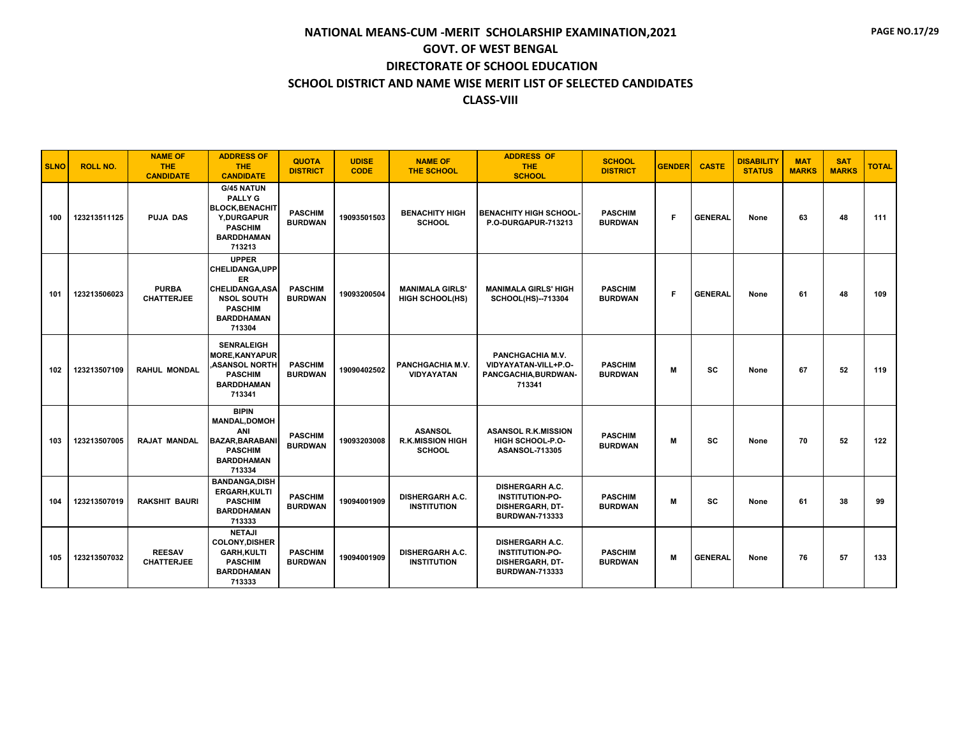| <b>SLNO</b> | <b>ROLL NO.</b> | <b>NAME OF</b><br><b>THE</b><br><b>CANDIDATE</b> | <b>ADDRESS OF</b><br><b>THE</b><br><b>CANDIDATE</b>                                                                                         | <b>QUOTA</b><br><b>DISTRICT</b>  | <b>UDISE</b><br><b>CODE</b> | <b>NAME OF</b><br><b>THE SCHOOL</b>                        | <b>ADDRESS OF</b><br><b>THE</b><br><b>SCHOOL</b>                                                    | <b>SCHOOL</b><br><b>DISTRICT</b> | <b>GENDER</b> | <b>CASTE</b>   | <b>DISABILITY</b><br><b>STATUS</b> | <b>MAT</b><br><b>MARKS</b> | <b>SAT</b><br><b>MARKS</b> | <b>TOTAL</b> |
|-------------|-----------------|--------------------------------------------------|---------------------------------------------------------------------------------------------------------------------------------------------|----------------------------------|-----------------------------|------------------------------------------------------------|-----------------------------------------------------------------------------------------------------|----------------------------------|---------------|----------------|------------------------------------|----------------------------|----------------------------|--------------|
| 100         | 123213511125    | <b>PUJA DAS</b>                                  | <b>G/45 NATUN</b><br><b>PALLY G</b><br><b>BLOCK, BENACHIT</b><br><b>Y.DURGAPUR</b><br><b>PASCHIM</b><br><b>BARDDHAMAN</b><br>713213         | <b>PASCHIM</b><br><b>BURDWAN</b> | 19093501503                 | <b>BENACHITY HIGH</b><br><b>SCHOOL</b>                     | <b>BENACHITY HIGH SCHOOL-</b><br><b>P.O-DURGAPUR-713213</b>                                         | <b>PASCHIM</b><br><b>BURDWAN</b> | F.            | <b>GENERAL</b> | None                               | 63                         | 48                         | 111          |
| 101         | 123213506023    | <b>PURBA</b><br><b>CHATTERJEE</b>                | <b>UPPER</b><br>CHELIDANGA, UPP<br><b>ER</b><br><b>CHELIDANGA.ASA</b><br><b>NSOL SOUTH</b><br><b>PASCHIM</b><br><b>BARDDHAMAN</b><br>713304 | <b>PASCHIM</b><br><b>BURDWAN</b> | 19093200504                 | <b>MANIMALA GIRLS'</b><br><b>HIGH SCHOOL(HS)</b>           | <b>MANIMALA GIRLS' HIGH</b><br>SCHOOL(HS)--713304                                                   | <b>PASCHIM</b><br><b>BURDWAN</b> | F.            | <b>GENERAL</b> | None                               | 61                         | 48                         | 109          |
| 102         | 123213507109    | <b>RAHUL MONDAL</b>                              | <b>SENRALEIGH</b><br><b>MORE, KANYAPUR</b><br><b>ASANSOL NORTH</b><br><b>PASCHIM</b><br><b>BARDDHAMAN</b><br>713341                         | <b>PASCHIM</b><br><b>BURDWAN</b> | 19090402502                 | PANCHGACHIA M.V.<br><b>VIDYAYATAN</b>                      | PANCHGACHIA M.V.<br>VIDYAYATAN-VILL+P.O-<br>PANCGACHIA, BURDWAN-<br>713341                          | <b>PASCHIM</b><br><b>BURDWAN</b> | M             | <b>SC</b>      | None                               | 67                         | 52                         | 119          |
| 103         | 123213507005    | <b>RAJAT MANDAL</b>                              | <b>BIPIN</b><br><b>MANDAL, DOMOH</b><br>ANI<br><b>BAZAR, BARABANI</b><br><b>PASCHIM</b><br><b>BARDDHAMAN</b><br>713334                      | <b>PASCHIM</b><br><b>BURDWAN</b> | 19093203008                 | <b>ASANSOL</b><br><b>R.K.MISSION HIGH</b><br><b>SCHOOL</b> | <b>ASANSOL R.K.MISSION</b><br>HIGH SCHOOL-P.O-<br><b>ASANSOL-713305</b>                             | <b>PASCHIM</b><br><b>BURDWAN</b> | M             | <b>SC</b>      | None                               | 70                         | 52                         | 122          |
| 104         | 123213507019    | <b>RAKSHIT BAURI</b>                             | <b>BANDANGA,DISH</b><br>ERGARH, KULTI<br><b>PASCHIM</b><br><b>BARDDHAMAN</b><br>713333                                                      | <b>PASCHIM</b><br><b>BURDWAN</b> | 19094001909                 | <b>DISHERGARH A.C.</b><br><b>INSTITUTION</b>               | <b>DISHERGARH A.C.</b><br><b>INSTITUTION-PO-</b><br><b>DISHERGARH, DT-</b><br><b>BURDWAN-713333</b> | <b>PASCHIM</b><br><b>BURDWAN</b> | M             | <b>SC</b>      | None                               | 61                         | 38                         | 99           |
| 105         | 123213507032    | <b>REESAV</b><br><b>CHATTERJEE</b>               | <b>NETAJI</b><br><b>COLONY, DISHER</b><br><b>GARH,KULTI</b><br><b>PASCHIM</b><br><b>BARDDHAMAN</b><br>713333                                | <b>PASCHIM</b><br><b>BURDWAN</b> | 19094001909                 | <b>DISHERGARH A.C.</b><br><b>INSTITUTION</b>               | <b>DISHERGARH A.C.</b><br><b>INSTITUTION-PO-</b><br>DISHERGARH, DT-<br><b>BURDWAN-713333</b>        | <b>PASCHIM</b><br><b>BURDWAN</b> | М             | <b>GENERAL</b> | None                               | 76                         | 57                         | 133          |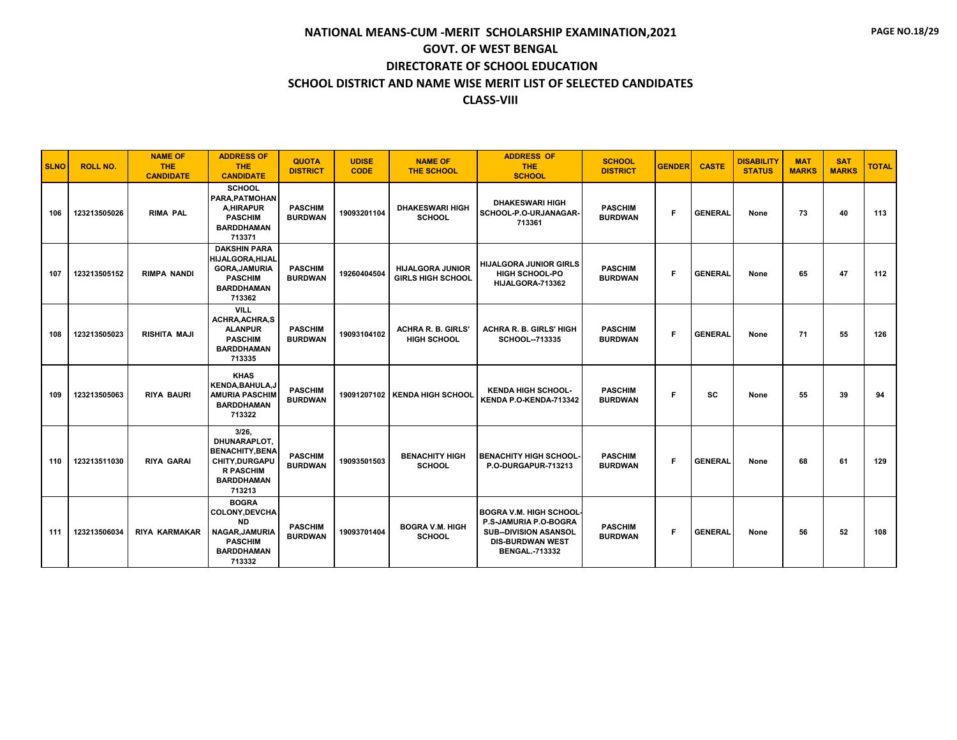| <b>SLNO</b> | <b>ROLL NO.</b> | <b>NAME OF</b><br><b>THE</b><br><b>CANDIDATE</b> | <b>ADDRESS OF</b><br><b>THE</b><br><b>CANDIDATE</b>                                                                     | <b>QUOTA</b><br><b>DISTRICT</b>  | <b>UDISE</b><br><b>CODE</b> | <b>NAME OF</b><br><b>THE SCHOOL</b>                 | <b>ADDRESS OF</b><br><b>THE</b><br><b>SCHOOL</b>                                                                                           | <b>SCHOOL</b><br><b>DISTRICT</b> | <b>GENDER</b> | <b>CASTE</b>   | <b>DISABILITY</b><br><b>STATUS</b> | <b>MAT</b><br><b>MARKS</b> | <b>SAT</b><br><b>MARKS</b> | <b>TOTAL</b> |
|-------------|-----------------|--------------------------------------------------|-------------------------------------------------------------------------------------------------------------------------|----------------------------------|-----------------------------|-----------------------------------------------------|--------------------------------------------------------------------------------------------------------------------------------------------|----------------------------------|---------------|----------------|------------------------------------|----------------------------|----------------------------|--------------|
| 106         | 123213505026    | <b>RIMA PAL</b>                                  | <b>SCHOOL</b><br>PARA, PATMOHAN<br>A.HIRAPUR<br><b>PASCHIM</b><br><b>BARDDHAMAN</b><br>713371                           | <b>PASCHIM</b><br><b>BURDWAN</b> | 19093201104                 | <b>DHAKESWARI HIGH</b><br><b>SCHOOL</b>             | <b>DHAKESWARI HIGH</b><br>SCHOOL-P.O-URJANAGAR-<br>713361                                                                                  | <b>PASCHIM</b><br><b>BURDWAN</b> | F             | <b>GENERAL</b> | None                               | 73                         | 40                         | 113          |
| 107         | 123213505152    | <b>RIMPA NANDI</b>                               | <b>DAKSHIN PARA</b><br><b>HIJALGORA, HIJAL</b><br><b>GORA, JAMURIA</b><br><b>PASCHIM</b><br><b>BARDDHAMAN</b><br>713362 | <b>PASCHIM</b><br><b>BURDWAN</b> | 19260404504                 | <b>HIJALGORA JUNIOR</b><br><b>GIRLS HIGH SCHOOL</b> | <b>HIJALGORA JUNIOR GIRLS</b><br>HIGH SCHOOL-PO<br>HIJALGORA-713362                                                                        | <b>PASCHIM</b><br><b>BURDWAN</b> | F             | <b>GENERAL</b> | None                               | 65                         | 47                         | 112          |
| 108         | 123213505023    | <b>RISHITA MAJI</b>                              | <b>VILL</b><br><b>ACHRA, ACHRA, S</b><br><b>ALANPUR</b><br><b>PASCHIM</b><br><b>BARDDHAMAN</b><br>713335                | <b>PASCHIM</b><br><b>BURDWAN</b> | 19093104102                 | <b>ACHRA R. B. GIRLS'</b><br><b>HIGH SCHOOL</b>     | <b>ACHRA R. B. GIRLS' HIGH</b><br><b>SCHOOL--713335</b>                                                                                    | <b>PASCHIM</b><br><b>BURDWAN</b> | F.            | <b>GENERAL</b> | None                               | 71                         | 55                         | 126          |
| 109         | 123213505063    | <b>RIYA BAURI</b>                                | <b>KHAS</b><br>KENDA, BAHULA, J<br><b>AMURIA PASCHIM</b><br><b>BARDDHAMAN</b><br>713322                                 | <b>PASCHIM</b><br><b>BURDWAN</b> |                             | 19091207102 KENDA HIGH SCHOOL                       | <b>KENDA HIGH SCHOOL-</b><br>KENDA P.O-KENDA-713342                                                                                        | <b>PASCHIM</b><br><b>BURDWAN</b> | F.            | SC             | None                               | 55                         | 39                         | 94           |
| 110         | 123213511030    | <b>RIYA GARAI</b>                                | $3/26$ ,<br>DHUNARAPLOT.<br><b>BENACHITY, BENA</b><br>CHITY, DURGAPU<br><b>R PASCHIM</b><br><b>BARDDHAMAN</b><br>713213 | <b>PASCHIM</b><br><b>BURDWAN</b> | 19093501503                 | <b>BENACHITY HIGH</b><br><b>SCHOOL</b>              | <b>BENACHITY HIGH SCHOOL-</b><br>P.O-DURGAPUR-713213                                                                                       | <b>PASCHIM</b><br><b>BURDWAN</b> | F.            | <b>GENERAL</b> | None                               | 68                         | 61                         | 129          |
| 111         | 123213506034    | <b>RIYA KARMAKAR</b>                             | <b>BOGRA</b><br><b>COLONY, DEVCHA</b><br><b>ND</b><br>NAGAR, JAMURIA<br><b>PASCHIM</b><br><b>BARDDHAMAN</b><br>713332   | <b>PASCHIM</b><br><b>BURDWAN</b> | 19093701404                 | <b>BOGRA V.M. HIGH</b><br><b>SCHOOL</b>             | <b>BOGRA V.M. HIGH SCHOOL</b><br>P.S-JAMURIA P.O-BOGRA<br><b>SUB--DIVISION ASANSOL</b><br><b>DIS-BURDWAN WEST</b><br><b>BENGAL.-713332</b> | <b>PASCHIM</b><br><b>BURDWAN</b> | F.            | <b>GENERAL</b> | None                               | 56                         | 52                         | 108          |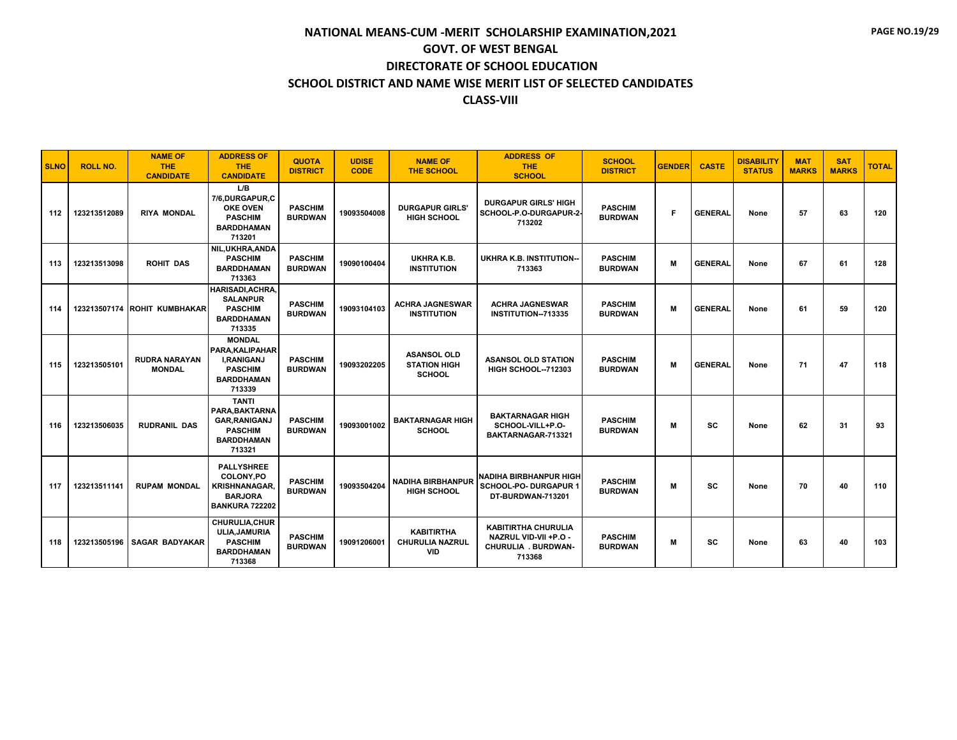| <b>SLNO</b> | <b>ROLL NO.</b> | <b>NAME OF</b><br><b>THE</b><br><b>CANDIDATE</b> | <b>ADDRESS OF</b><br><b>THE</b><br><b>CANDIDATE</b>                                                    | <b>QUOTA</b><br><b>DISTRICT</b>  | <b>UDISE</b><br><b>CODE</b> | <b>NAME OF</b><br><b>THE SCHOOL</b>                        | <b>ADDRESS OF</b><br><b>THE</b><br><b>SCHOOL</b>                                     | <b>SCHOOL</b><br><b>DISTRICT</b> | <b>GENDER</b> | <b>CASTE</b>   | <b>DISABILITY</b><br><b>STATUS</b> | <b>MAT</b><br><b>MARKS</b> | <b>SAT</b><br><b>MARKS</b> | <b>TOTAL</b> |
|-------------|-----------------|--------------------------------------------------|--------------------------------------------------------------------------------------------------------|----------------------------------|-----------------------------|------------------------------------------------------------|--------------------------------------------------------------------------------------|----------------------------------|---------------|----------------|------------------------------------|----------------------------|----------------------------|--------------|
| 112         | 123213512089    | <b>RIYA MONDAL</b>                               | L/B<br>7/6,DURGAPUR,C<br><b>OKE OVEN</b><br><b>PASCHIM</b><br><b>BARDDHAMAN</b><br>713201              | <b>PASCHIM</b><br><b>BURDWAN</b> | 19093504008                 | <b>DURGAPUR GIRLS'</b><br><b>HIGH SCHOOL</b>               | <b>DURGAPUR GIRLS' HIGH</b><br>SCHOOL-P.O-DURGAPUR-2-<br>713202                      | <b>PASCHIM</b><br><b>BURDWAN</b> | Е             | <b>GENERAL</b> | None                               | 57                         | 63                         | 120          |
| 113         | 123213513098    | <b>ROHIT DAS</b>                                 | NIL, UKHRA, ANDA<br><b>PASCHIM</b><br><b>BARDDHAMAN</b><br>713363                                      | <b>PASCHIM</b><br><b>BURDWAN</b> | 19090100404                 | <b>UKHRAK.B.</b><br><b>INSTITUTION</b>                     | <b>UKHRA K.B. INSTITUTION-</b><br>713363                                             | <b>PASCHIM</b><br><b>BURDWAN</b> | M             | <b>GENERAL</b> | None                               | 67                         | 61                         | 128          |
| 114         |                 | 123213507174 ROHIT KUMBHAKAR                     | <b>HARISADI, ACHRA,</b><br><b>SALANPUR</b><br><b>PASCHIM</b><br><b>BARDDHAMAN</b><br>713335            | <b>PASCHIM</b><br><b>BURDWAN</b> | 19093104103                 | <b>ACHRA JAGNESWAR</b><br><b>INSTITUTION</b>               | <b>ACHRA JAGNESWAR</b><br>INSTITUTION--713335                                        | <b>PASCHIM</b><br><b>BURDWAN</b> | M             | <b>GENERAL</b> | None                               | 61                         | 59                         | 120          |
| 115         | 123213505101    | <b>RUDRA NARAYAN</b><br><b>MONDAL</b>            | <b>MONDAL</b><br>PARA, KALIPAHAR<br><b>I.RANIGANJ</b><br><b>PASCHIM</b><br><b>BARDDHAMAN</b><br>713339 | <b>PASCHIM</b><br><b>BURDWAN</b> | 19093202205                 | <b>ASANSOL OLD</b><br><b>STATION HIGH</b><br><b>SCHOOL</b> | <b>ASANSOL OLD STATION</b><br><b>HIGH SCHOOL--712303</b>                             | <b>PASCHIM</b><br><b>BURDWAN</b> | M             | <b>GENERAL</b> | None                               | 71                         | 47                         | 118          |
| 116         | 123213506035    | <b>RUDRANIL DAS</b>                              | <b>TANTI</b><br>PARA.BAKTARNA<br><b>GAR.RANIGANJ</b><br><b>PASCHIM</b><br><b>BARDDHAMAN</b><br>713321  | <b>PASCHIM</b><br><b>BURDWAN</b> | 19093001002                 | <b>BAKTARNAGAR HIGH</b><br><b>SCHOOL</b>                   | <b>BAKTARNAGAR HIGH</b><br>SCHOOL-VILL+P.O-<br>BAKTARNAGAR-713321                    | <b>PASCHIM</b><br><b>BURDWAN</b> | м             | <b>SC</b>      | None                               | 62                         | 31                         | 93           |
| 117         | 123213511141    | <b>RUPAM MONDAL</b>                              | <b>PALLYSHREE</b><br>COLONY.PO<br><b>KRISHNANAGAR.</b><br><b>BARJORA</b><br>BANKURA 722202             | <b>PASCHIM</b><br><b>BURDWAN</b> | 19093504204                 | <b>NADIHA BIRBHANPUR</b><br><b>HIGH SCHOOL</b>             | <b>NADIHA BIRBHANPUR HIGH</b><br>SCHOOL-PO- DURGAPUR 1<br>DT-BURDWAN-713201          | <b>PASCHIM</b><br><b>BURDWAN</b> | м             | <b>SC</b>      | None                               | 70                         | 40                         | 110          |
| 118         | 123213505196    | <b>SAGAR BADYAKAR</b>                            | CHURULIA, CHUR<br>ULIA, JAMURIA<br><b>PASCHIM</b><br><b>BARDDHAMAN</b><br>713368                       | <b>PASCHIM</b><br><b>BURDWAN</b> | 19091206001                 | <b>KABITIRTHA</b><br><b>CHURULIA NAZRUL</b><br><b>VID</b>  | <b>KABITIRTHA CHURULIA</b><br>NAZRUL VID-VII +P.O -<br>CHURULIA . BURDWAN-<br>713368 | <b>PASCHIM</b><br><b>BURDWAN</b> | м             | <b>SC</b>      | None                               | 63                         | 40                         | 103          |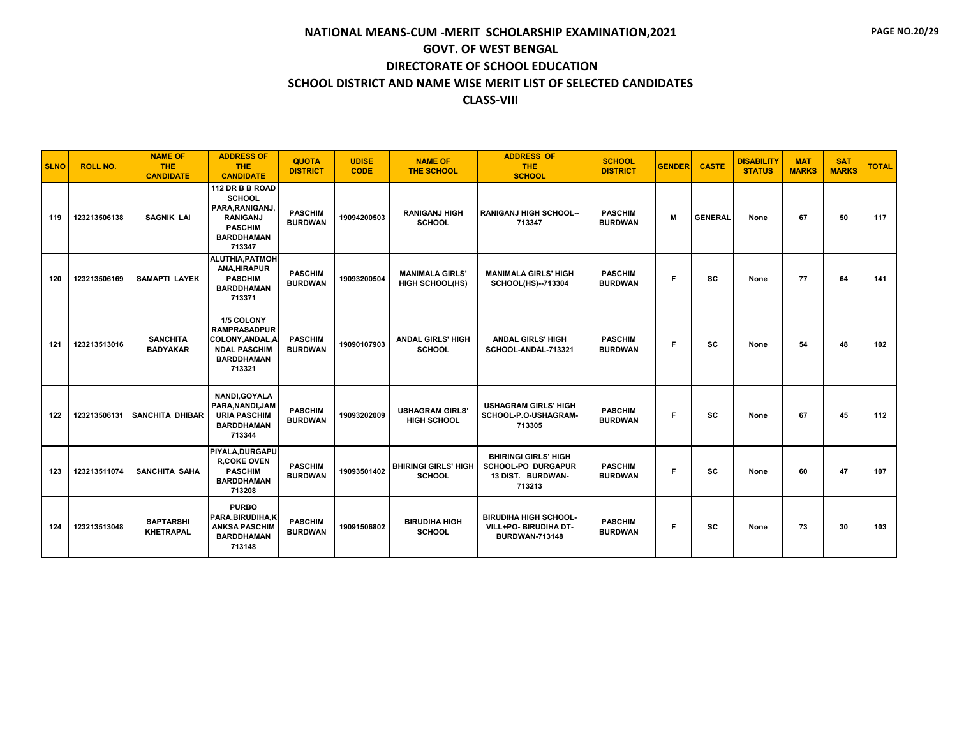| <b>SLNO</b> | <b>ROLL NO.</b> | <b>NAME OF</b><br><b>THE</b><br><b>CANDIDATE</b> | <b>ADDRESS OF</b><br><b>THE</b><br><b>CANDIDATE</b>                                                                     | <b>QUOTA</b><br><b>DISTRICT</b>  | <b>UDISE</b><br><b>CODE</b> | <b>NAME OF</b><br><b>THE SCHOOL</b>              | <b>ADDRESS OF</b><br><b>THE</b><br><b>SCHOOL</b>                                 | <b>SCHOOL</b><br><b>DISTRICT</b> | <b>GENDER</b> | <b>CASTE</b>   | <b>DISABILITY</b><br><b>STATUS</b> | <b>MAT</b><br><b>MARKS</b> | <b>SAT</b><br><b>MARKS</b> | <b>TOTAL</b> |
|-------------|-----------------|--------------------------------------------------|-------------------------------------------------------------------------------------------------------------------------|----------------------------------|-----------------------------|--------------------------------------------------|----------------------------------------------------------------------------------|----------------------------------|---------------|----------------|------------------------------------|----------------------------|----------------------------|--------------|
| 119         | 123213506138    | <b>SAGNIK LAI</b>                                | 112 DR B B ROAD<br><b>SCHOOL</b><br>PARA, RANIGANJ.<br><b>RANIGANJ</b><br><b>PASCHIM</b><br><b>BARDDHAMAN</b><br>713347 | <b>PASCHIM</b><br><b>BURDWAN</b> | 19094200503                 | <b>RANIGANJ HIGH</b><br><b>SCHOOL</b>            | <b>RANIGANJ HIGH SCHOOL--</b><br>713347                                          | <b>PASCHIM</b><br><b>BURDWAN</b> | M             | <b>GENERAL</b> | None                               | 67                         | 50                         | 117          |
| 120         | 123213506169    | <b>SAMAPTI LAYEK</b>                             | <b>ALUTHIA, PATMOH</b><br><b>ANA, HIRAPUR</b><br><b>PASCHIM</b><br><b>BARDDHAMAN</b><br>713371                          | <b>PASCHIM</b><br><b>BURDWAN</b> | 19093200504                 | <b>MANIMALA GIRLS'</b><br><b>HIGH SCHOOL(HS)</b> | <b>MANIMALA GIRLS' HIGH</b><br>SCHOOL(HS)--713304                                | <b>PASCHIM</b><br><b>BURDWAN</b> | F             | <b>SC</b>      | None                               | 77                         | 64                         | 141          |
| 121         | 123213513016    | <b>SANCHITA</b><br><b>BADYAKAR</b>               | <b>1/5 COLONY</b><br><b>RAMPRASADPUR</b><br>COLONY, ANDAL, A<br><b>NDAL PASCHIM</b><br><b>BARDDHAMAN</b><br>713321      | <b>PASCHIM</b><br><b>BURDWAN</b> | 19090107903                 | <b>ANDAL GIRLS' HIGH</b><br><b>SCHOOL</b>        | <b>ANDAL GIRLS' HIGH</b><br>SCHOOL-ANDAL-713321                                  | <b>PASCHIM</b><br><b>BURDWAN</b> | F             | <b>SC</b>      | None                               | 54                         | 48                         | 102          |
| 122         | 123213506131    | <b>SANCHITA DHIBAR</b>                           | <b>NANDI.GOYALA</b><br>PARA, NANDI, JAM<br><b>URIA PASCHIM</b><br><b>BARDDHAMAN</b><br>713344                           | <b>PASCHIM</b><br><b>BURDWAN</b> | 19093202009                 | <b>USHAGRAM GIRLS'</b><br><b>HIGH SCHOOL</b>     | <b>USHAGRAM GIRLS' HIGH</b><br>SCHOOL-P.O-USHAGRAM-<br>713305                    | <b>PASCHIM</b><br><b>BURDWAN</b> | F             | <b>SC</b>      | None                               | 67                         | 45                         | 112          |
| 123         | 123213511074    | <b>SANCHITA SAHA</b>                             | PIYALA.DURGAPU<br><b>R.COKE OVEN</b><br><b>PASCHIM</b><br><b>BARDDHAMAN</b><br>713208                                   | <b>PASCHIM</b><br><b>BURDWAN</b> | 19093501402                 | <b>BHIRINGI GIRLS' HIGH</b><br><b>SCHOOL</b>     | <b>BHIRINGI GIRLS' HIGH</b><br>SCHOOL-PO DURGAPUR<br>13 DIST. BURDWAN-<br>713213 | <b>PASCHIM</b><br><b>BURDWAN</b> | F.            | <b>SC</b>      | None                               | 60                         | 47                         | 107          |
| 124         | 123213513048    | <b>SAPTARSHI</b><br><b>KHETRAPAL</b>             | <b>PURBO</b><br>PARA, BIRUDIHA, K<br><b>ANKSA PASCHIM</b><br><b>BARDDHAMAN</b><br>713148                                | <b>PASCHIM</b><br><b>BURDWAN</b> | 19091506802                 | <b>BIRUDIHA HIGH</b><br><b>SCHOOL</b>            | <b>BIRUDIHA HIGH SCHOOL-</b><br>VILL+PO- BIRUDIHA DT-<br><b>BURDWAN-713148</b>   | <b>PASCHIM</b><br><b>BURDWAN</b> | F.            | <b>SC</b>      | None                               | 73                         | 30                         | 103          |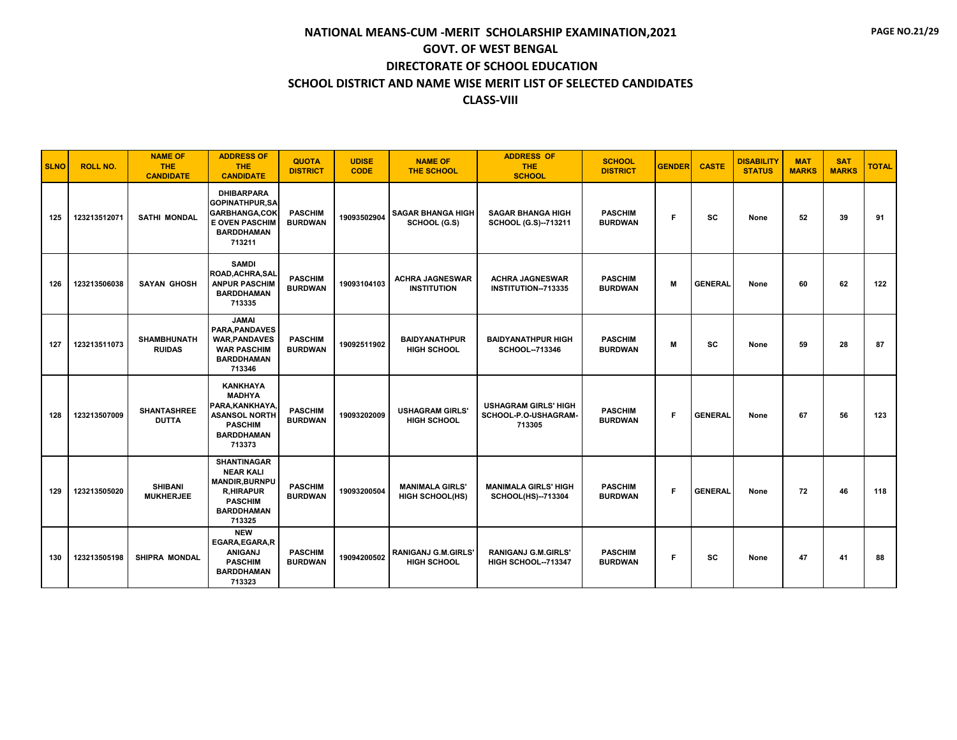| <b>SLNO</b> | <b>ROLL NO.</b> | <b>NAME OF</b><br>THE.<br><b>CANDIDATE</b> | <b>ADDRESS OF</b><br><b>THE</b><br><b>CANDIDATE</b>                                                                                  | <b>QUOTA</b><br><b>DISTRICT</b>  | <b>UDISE</b><br><b>CODE</b> | <b>NAME OF</b><br><b>THE SCHOOL</b>              | <b>ADDRESS OF</b><br><b>THE</b><br><b>SCHOOL</b>              | <b>SCHOOL</b><br><b>DISTRICT</b> | <b>GENDER</b> | <b>CASTE</b>   | <b>DISABILITY</b><br><b>STATUS</b> | <b>MAT</b><br><b>MARKS</b> | <b>SAT</b><br><b>MARKS</b> | <b>TOTAL</b> |
|-------------|-----------------|--------------------------------------------|--------------------------------------------------------------------------------------------------------------------------------------|----------------------------------|-----------------------------|--------------------------------------------------|---------------------------------------------------------------|----------------------------------|---------------|----------------|------------------------------------|----------------------------|----------------------------|--------------|
| 125         | 123213512071    | <b>SATHI MONDAL</b>                        | <b>DHIBARPARA</b><br><b>GOPINATHPUR,SA</b><br><b>GARBHANGA,COK</b><br><b>E OVEN PASCHIM</b><br><b>BARDDHAMAN</b><br>713211           | <b>PASCHIM</b><br><b>BURDWAN</b> | 19093502904                 | <b>SAGAR BHANGA HIGH</b><br>SCHOOL (G.S)         | <b>SAGAR BHANGA HIGH</b><br>SCHOOL (G.S)--713211              | <b>PASCHIM</b><br><b>BURDWAN</b> | F             | <b>SC</b>      | None                               | 52                         | 39                         | 91           |
| 126         | 123213506038    | <b>SAYAN GHOSH</b>                         | SAMDI<br>ROAD, ACHRA, SAL<br><b>ANPUR PASCHIM</b><br><b>BARDDHAMAN</b><br>713335                                                     | <b>PASCHIM</b><br><b>BURDWAN</b> | 19093104103                 | <b>ACHRA JAGNESWAR</b><br><b>INSTITUTION</b>     | <b>ACHRA JAGNESWAR</b><br>INSTITUTION--713335                 | <b>PASCHIM</b><br><b>BURDWAN</b> | M             | <b>GENERAL</b> | None                               | 60                         | 62                         | 122          |
| 127         | 123213511073    | <b>SHAMBHUNATH</b><br><b>RUIDAS</b>        | <b>JAMAI</b><br>PARA, PANDAVES<br><b>WAR, PANDAVES</b><br><b>WAR PASCHIM</b><br><b>BARDDHAMAN</b><br>713346                          | <b>PASCHIM</b><br><b>BURDWAN</b> | 19092511902                 | <b>BAIDYANATHPUR</b><br><b>HIGH SCHOOL</b>       | <b>BAIDYANATHPUR HIGH</b><br>SCHOOL--713346                   | <b>PASCHIM</b><br><b>BURDWAN</b> | M             | <b>SC</b>      | None                               | 59                         | 28                         | 87           |
| 128         | 123213507009    | <b>SHANTASHREE</b><br><b>DUTTA</b>         | <b>KANKHAYA</b><br><b>MADHYA</b><br>PARA, KANKHAYA,<br><b>ASANSOL NORTH</b><br><b>PASCHIM</b><br><b>BARDDHAMAN</b><br>713373         | <b>PASCHIM</b><br><b>BURDWAN</b> | 19093202009                 | <b>USHAGRAM GIRLS'</b><br><b>HIGH SCHOOL</b>     | <b>USHAGRAM GIRLS' HIGH</b><br>SCHOOL-P.O-USHAGRAM-<br>713305 | <b>PASCHIM</b><br><b>BURDWAN</b> | F             | <b>GENERAL</b> | None                               | 67                         | 56                         | 123          |
| 129         | 123213505020    | <b>SHIBANI</b><br><b>MUKHERJEE</b>         | <b>SHANTINAGAR</b><br><b>NEAR KALI</b><br><b>MANDIR, BURNPU</b><br><b>R,HIRAPUR</b><br><b>PASCHIM</b><br><b>BARDDHAMAN</b><br>713325 | <b>PASCHIM</b><br><b>BURDWAN</b> | 19093200504                 | <b>MANIMALA GIRLS'</b><br><b>HIGH SCHOOL(HS)</b> | <b>MANIMALA GIRLS' HIGH</b><br>SCHOOL(HS)--713304             | <b>PASCHIM</b><br><b>BURDWAN</b> | F             | <b>GENERAL</b> | None                               | 72                         | 46                         | 118          |
| 130         | 123213505198    | <b>SHIPRA MONDAL</b>                       | <b>NEW</b><br>EGARA, EGARA, R<br><b>ANIGANJ</b><br><b>PASCHIM</b><br><b>BARDDHAMAN</b><br>713323                                     | <b>PASCHIM</b><br><b>BURDWAN</b> | 19094200502                 | <b>RANIGANJ G.M.GIRLS'</b><br><b>HIGH SCHOOL</b> | <b>RANIGANJ G.M.GIRLS'</b><br>HIGH SCHOOL--713347             | <b>PASCHIM</b><br><b>BURDWAN</b> | F             | sc             | None                               | 47                         | 41                         | 88           |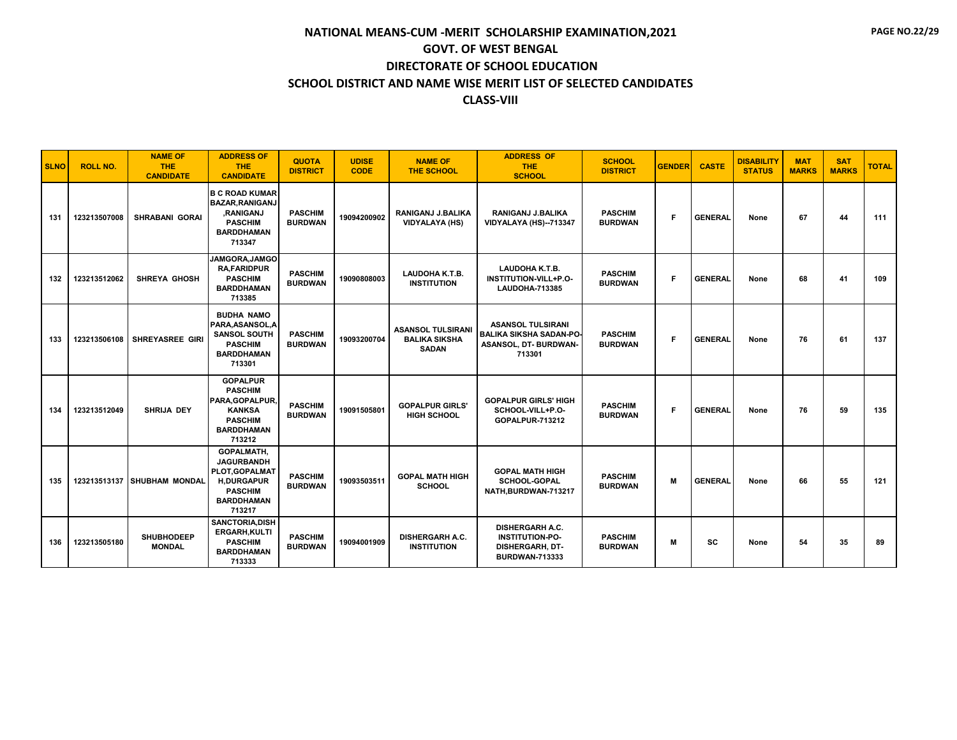| <b>SLNO</b> | <b>ROLL NO.</b> | <b>NAME OF</b><br><b>THE</b><br><b>CANDIDATE</b> | <b>ADDRESS OF</b><br><b>THE</b><br><b>CANDIDATE</b>                                                                           | <b>QUOTA</b><br><b>DISTRICT</b>  | <b>UDISE</b><br><b>CODE</b> | <b>NAME OF</b><br><b>THE SCHOOL</b>                              | <b>ADDRESS OF</b><br><b>THE</b><br><b>SCHOOL</b>                                                    | <b>SCHOOL</b><br><b>DISTRICT</b> | <b>GENDER</b> | <b>CASTE</b>   | <b>DISABILITY</b><br><b>STATUS</b> | <b>MAT</b><br><b>MARKS</b> | <b>SAT</b><br><b>MARKS</b> | <b>TOTAL</b> |
|-------------|-----------------|--------------------------------------------------|-------------------------------------------------------------------------------------------------------------------------------|----------------------------------|-----------------------------|------------------------------------------------------------------|-----------------------------------------------------------------------------------------------------|----------------------------------|---------------|----------------|------------------------------------|----------------------------|----------------------------|--------------|
| 131         | 123213507008    | <b>SHRABANI GORAI</b>                            | <b>B C ROAD KUMAR</b><br><b>BAZAR, RANIGANJ</b><br>RANIGANJ,<br><b>PASCHIM</b><br><b>BARDDHAMAN</b><br>713347                 | <b>PASCHIM</b><br><b>BURDWAN</b> | 19094200902                 | <b>RANIGANJ J.BALIKA</b><br><b>VIDYALAYA (HS)</b>                | RANIGANJ J.BALIKA<br>VIDYALAYA (HS)--713347                                                         | <b>PASCHIM</b><br><b>BURDWAN</b> | F             | <b>GENERAL</b> | None                               | 67                         | 44                         | 111          |
| 132         | 123213512062    | <b>SHREYA GHOSH</b>                              | JAMGORA, JAMGO<br><b>RA,FARIDPUR</b><br><b>PASCHIM</b><br><b>BARDDHAMAN</b><br>713385                                         | <b>PASCHIM</b><br><b>BURDWAN</b> | 19090808003                 | LAUDOHA K.T.B.<br><b>INSTITUTION</b>                             | LAUDOHA K.T.B.<br>INSTITUTION-VILL+P.O-<br><b>LAUDOHA-713385</b>                                    | <b>PASCHIM</b><br><b>BURDWAN</b> | F             | <b>GENERAL</b> | None                               | 68                         | 41                         | 109          |
| 133         | 123213506108    | <b>SHREYASREE GIRI</b>                           | <b>BUDHA NAMO</b><br>PARA, ASANSOL, A<br><b>SANSOL SOUTH</b><br><b>PASCHIM</b><br><b>BARDDHAMAN</b><br>713301                 | <b>PASCHIM</b><br><b>BURDWAN</b> | 19093200704                 | <b>ASANSOL TULSIRANI</b><br><b>BALIKA SIKSHA</b><br><b>SADAN</b> | <b>ASANSOL TULSIRANI</b><br><b>BALIKA SIKSHA SADAN-PO-</b><br>ASANSOL, DT- BURDWAN-<br>713301       | <b>PASCHIM</b><br><b>BURDWAN</b> | F             | <b>GENERAL</b> | None                               | 76                         | 61                         | 137          |
| 134         | 123213512049    | SHRIJA DEY                                       | <b>GOPALPUR</b><br><b>PASCHIM</b><br>PARA, GOPALPUR,<br><b>KANKSA</b><br><b>PASCHIM</b><br><b>BARDDHAMAN</b><br>713212        | <b>PASCHIM</b><br><b>BURDWAN</b> | 19091505801                 | <b>GOPALPUR GIRLS'</b><br><b>HIGH SCHOOL</b>                     | <b>GOPALPUR GIRLS' HIGH</b><br>SCHOOL-VILL+P.O-<br><b>GOPALPUR-713212</b>                           | <b>PASCHIM</b><br><b>BURDWAN</b> | F             | <b>GENERAL</b> | None                               | 76                         | 59                         | 135          |
| 135         |                 | 123213513137 SHUBHAM MONDAL                      | <b>GOPALMATH.</b><br><b>JAGURBANDH</b><br>PLOT.GOPALMAT<br><b>H.DURGAPUR</b><br><b>PASCHIM</b><br><b>BARDDHAMAN</b><br>713217 | <b>PASCHIM</b><br><b>BURDWAN</b> | 19093503511                 | <b>GOPAL MATH HIGH</b><br><b>SCHOOL</b>                          | <b>GOPAL MATH HIGH</b><br>SCHOOL-GOPAL<br>NATH, BURDWAN-713217                                      | <b>PASCHIM</b><br><b>BURDWAN</b> | M             | <b>GENERAL</b> | None                               | 66                         | 55                         | 121          |
| 136         | 123213505180    | <b>SHUBHODEEP</b><br><b>MONDAL</b>               | SANCTORIA, DISH<br><b>ERGARH.KULTI</b><br><b>PASCHIM</b><br><b>BARDDHAMAN</b><br>713333                                       | <b>PASCHIM</b><br><b>BURDWAN</b> | 19094001909                 | <b>DISHERGARH A.C.</b><br><b>INSTITUTION</b>                     | <b>DISHERGARH A.C.</b><br><b>INSTITUTION-PO-</b><br><b>DISHERGARH, DT-</b><br><b>BURDWAN-713333</b> | <b>PASCHIM</b><br><b>BURDWAN</b> | M             | SC             | None                               | 54                         | 35                         | 89           |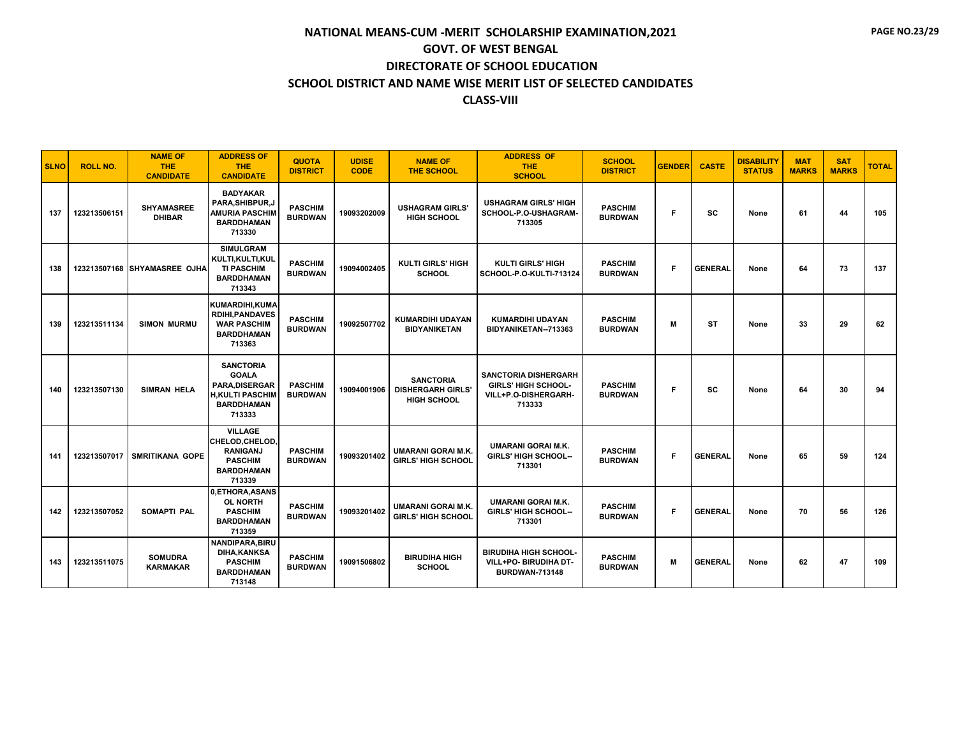| <b>SLNO</b> | <b>ROLL NO.</b> | <b>NAME OF</b><br>THE.<br><b>CANDIDATE</b> | <b>ADDRESS OF</b><br><b>THE</b><br><b>CANDIDATE</b>                                                               | <b>QUOTA</b><br><b>DISTRICT</b>  | <b>UDISE</b><br><b>CODE</b> | <b>NAME OF</b><br><b>THE SCHOOL</b>                                | <b>ADDRESS OF</b><br><b>THE</b><br><b>SCHOOL</b>                                            | <b>SCHOOL</b><br><b>DISTRICT</b> | <b>GENDER</b> | <b>CASTE</b>   | <b>DISABILITY</b><br><b>STATUS</b> | <b>MAT</b><br><b>MARKS</b> | <b>SAT</b><br><b>MARKS</b> | <b>TOTAL</b> |
|-------------|-----------------|--------------------------------------------|-------------------------------------------------------------------------------------------------------------------|----------------------------------|-----------------------------|--------------------------------------------------------------------|---------------------------------------------------------------------------------------------|----------------------------------|---------------|----------------|------------------------------------|----------------------------|----------------------------|--------------|
| 137         | 123213506151    | <b>SHYAMASREE</b><br><b>DHIBAR</b>         | <b>BADYAKAR</b><br>PARA, SHIBPUR, J<br>AMURIA PASCHIM<br><b>BARDDHAMAN</b><br>713330                              | <b>PASCHIM</b><br><b>BURDWAN</b> | 19093202009                 | <b>USHAGRAM GIRLS'</b><br><b>HIGH SCHOOL</b>                       | <b>USHAGRAM GIRLS' HIGH</b><br>SCHOOL-P.O-USHAGRAM-<br>713305                               | <b>PASCHIM</b><br><b>BURDWAN</b> | F.            | <b>SC</b>      | None                               | 61                         | 44                         | 105          |
| 138         |                 | 123213507168 SHYAMASREE OJHA               | <b>SIMULGRAM</b><br>KULTI, KULTI, KUL<br><b>TI PASCHIM</b><br><b>BARDDHAMAN</b><br>713343                         | <b>PASCHIM</b><br><b>BURDWAN</b> | 19094002405                 | <b>KULTI GIRLS' HIGH</b><br><b>SCHOOL</b>                          | <b>KULTI GIRLS' HIGH</b><br>SCHOOL-P.O-KULTI-713124                                         | <b>PASCHIM</b><br><b>BURDWAN</b> | F.            | <b>GENERAL</b> | None                               | 64                         | 73                         | 137          |
| 139         | 123213511134    | <b>SIMON MURMU</b>                         | KUMARDIHI, KUMA<br><b>RDIHI, PANDAVES</b><br><b>WAR PASCHIM</b><br><b>BARDDHAMAN</b><br>713363                    | <b>PASCHIM</b><br><b>BURDWAN</b> | 19092507702                 | <b>KUMARDIHI UDAYAN</b><br><b>BIDYANIKETAN</b>                     | <b>KUMARDIHI UDAYAN</b><br>BIDYANIKETAN--713363                                             | <b>PASCHIM</b><br><b>BURDWAN</b> | М             | ST             | None                               | 33                         | 29                         | 62           |
| 140         | 123213507130    | <b>SIMRAN HELA</b>                         | <b>SANCTORIA</b><br><b>GOALA</b><br><b>PARA.DISERGAR</b><br><b>H,KULTI PASCHIM</b><br><b>BARDDHAMAN</b><br>713333 | <b>PASCHIM</b><br><b>BURDWAN</b> | 19094001906                 | <b>SANCTORIA</b><br><b>DISHERGARH GIRLS'</b><br><b>HIGH SCHOOL</b> | <b>SANCTORIA DISHERGARH</b><br><b>GIRLS' HIGH SCHOOL-</b><br>VILL+P.O-DISHERGARH-<br>713333 | <b>PASCHIM</b><br><b>BURDWAN</b> | F.            | <b>SC</b>      | None                               | 64                         | 30                         | 94           |
| 141         | 123213507017    | <b>SMRITIKANA GOPE</b>                     | <b>VILLAGE</b><br>CHELOD.CHELOD.<br><b>RANIGANJ</b><br><b>PASCHIM</b><br><b>BARDDHAMAN</b><br>713339              | <b>PASCHIM</b><br><b>BURDWAN</b> | 19093201402                 | UMARANI GORAI M.K.<br><b>GIRLS' HIGH SCHOOL</b>                    | <b>UMARANI GORAI M.K.</b><br><b>GIRLS' HIGH SCHOOL--</b><br>713301                          | <b>PASCHIM</b><br><b>BURDWAN</b> | F.            | <b>GENERAL</b> | None                               | 65                         | 59                         | 124          |
| 142         | 123213507052    | <b>SOMAPTI PAL</b>                         | 0, ETHORA, ASANS<br><b>OL NORTH</b><br><b>PASCHIM</b><br><b>BARDDHAMAN</b><br>713359                              | <b>PASCHIM</b><br><b>BURDWAN</b> | 19093201402                 | UMARANI GORAI M.K.<br><b>GIRLS' HIGH SCHOOL</b>                    | <b>UMARANI GORAI M.K.</b><br><b>GIRLS' HIGH SCHOOL--</b><br>713301                          | <b>PASCHIM</b><br><b>BURDWAN</b> | F.            | <b>GENERAL</b> | None                               | 70                         | 56                         | 126          |
| 143         | 123213511075    | <b>SOMUDRA</b><br><b>KARMAKAR</b>          | NANDIPARA.BIRU<br><b>DIHA.KANKSA</b><br><b>PASCHIM</b><br><b>BARDDHAMAN</b><br>713148                             | <b>PASCHIM</b><br><b>BURDWAN</b> | 19091506802                 | <b>BIRUDIHA HIGH</b><br><b>SCHOOL</b>                              | <b>BIRUDIHA HIGH SCHOOL-</b><br><b>VILL+PO- BIRUDIHA DT-</b><br><b>BURDWAN-713148</b>       | <b>PASCHIM</b><br><b>BURDWAN</b> | м             | <b>GENERAL</b> | None                               | 62                         | 47                         | 109          |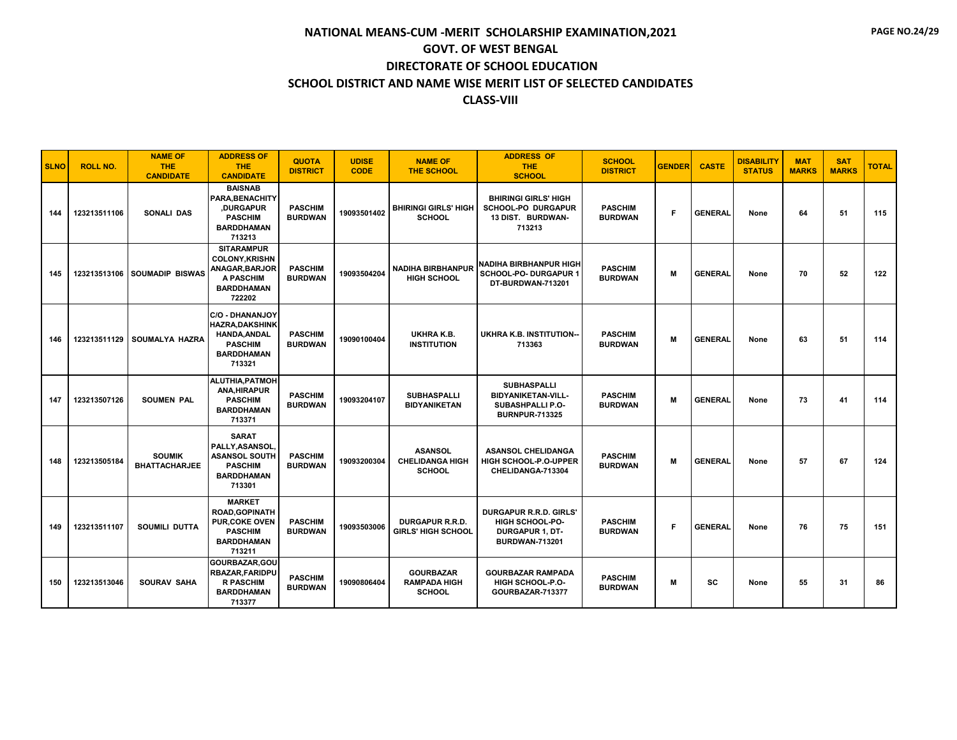| <b>SLNO</b> | <b>ROLL NO.</b> | <b>NAME OF</b><br><b>THE</b><br><b>CANDIDATE</b> | <b>ADDRESS OF</b><br><b>THE</b><br><b>CANDIDATE</b>                                                                   | <b>QUOTA</b><br><b>DISTRICT</b>  | <b>UDISE</b><br><b>CODE</b> | <b>NAME OF</b><br><b>THE SCHOOL</b>                       | <b>ADDRESS OF</b><br><b>THE</b><br><b>SCHOOL</b>                                                           | <b>SCHOOL</b><br><b>DISTRICT</b> | <b>GENDER</b> | <b>CASTE</b>   | <b>DISABILITY</b><br><b>STATUS</b> | <b>MAT</b><br><b>MARKS</b> | <b>SAT</b><br><b>MARKS</b> | <b>TOTAL</b> |
|-------------|-----------------|--------------------------------------------------|-----------------------------------------------------------------------------------------------------------------------|----------------------------------|-----------------------------|-----------------------------------------------------------|------------------------------------------------------------------------------------------------------------|----------------------------------|---------------|----------------|------------------------------------|----------------------------|----------------------------|--------------|
| 144         | 123213511106    | <b>SONALI DAS</b>                                | <b>BAISNAB</b><br>PARA, BENACHITY<br>,DURGAPUR<br><b>PASCHIM</b><br><b>BARDDHAMAN</b><br>713213                       | <b>PASCHIM</b><br><b>BURDWAN</b> | 19093501402                 | <b>BHIRINGI GIRLS' HIGH</b><br><b>SCHOOL</b>              | <b>BHIRINGI GIRLS' HIGH</b><br><b>SCHOOL-PO DURGAPUR</b><br>13 DIST. BURDWAN-<br>713213                    | <b>PASCHIM</b><br><b>BURDWAN</b> | F             | <b>GENERAL</b> | None                               | 64                         | 51                         | 115          |
| 145         |                 | 123213513106 SOUMADIP BISWAS                     | <b>SITARAMPUR</b><br><b>COLONY.KRISHN</b><br><b>ANAGAR, BARJOR</b><br><b>A PASCHIM</b><br><b>BARDDHAMAN</b><br>722202 | <b>PASCHIM</b><br><b>BURDWAN</b> | 19093504204                 | <b>NADIHA BIRBHANPUR</b><br><b>HIGH SCHOOL</b>            | NADIHA BIRBHANPUR HIGH<br><b>SCHOOL-PO- DURGAPUR 1</b><br>DT-BURDWAN-713201                                | <b>PASCHIM</b><br><b>BURDWAN</b> | M             | <b>GENERAL</b> | None                               | 70                         | 52                         | 122          |
| 146         |                 | 123213511129   SOUMALYA HAZRA                    | <b>C/O - DHANANJOY</b><br><b>HAZRA.DAKSHINK</b><br>HANDA, ANDAL<br><b>PASCHIM</b><br><b>BARDDHAMAN</b><br>713321      | <b>PASCHIM</b><br><b>BURDWAN</b> | 19090100404                 | <b>UKHRAK.B.</b><br><b>INSTITUTION</b>                    | <b>UKHRA K.B. INSTITUTION--</b><br>713363                                                                  | <b>PASCHIM</b><br><b>BURDWAN</b> | M             | <b>GENERAL</b> | None                               | 63                         | 51                         | 114          |
| 147         | 123213507126    | <b>SOUMEN PAL</b>                                | ALUTHIA, PATMOH<br><b>ANA.HIRAPUR</b><br><b>PASCHIM</b><br><b>BARDDHAMAN</b><br>713371                                | <b>PASCHIM</b><br><b>BURDWAN</b> | 19093204107                 | <b>SUBHASPALLI</b><br><b>BIDYANIKETAN</b>                 | <b>SUBHASPALLI</b><br><b>BIDYANIKETAN-VILL-</b><br>SUBASHPALLI P.O-<br><b>BURNPUR-713325</b>               | <b>PASCHIM</b><br><b>BURDWAN</b> | M             | <b>GENERAL</b> | None                               | 73                         | 41                         | 114          |
| 148         | 123213505184    | <b>SOUMIK</b><br><b>BHATTACHARJEE</b>            | <b>SARAT</b><br>PALLY, ASANSOL.<br><b>ASANSOL SOUTH</b><br><b>PASCHIM</b><br><b>BARDDHAMAN</b><br>713301              | <b>PASCHIM</b><br><b>BURDWAN</b> | 19093200304                 | <b>ASANSOL</b><br><b>CHELIDANGA HIGH</b><br><b>SCHOOL</b> | <b>ASANSOL CHELIDANGA</b><br>HIGH SCHOOL-P.O-UPPER<br>CHELIDANGA-713304                                    | <b>PASCHIM</b><br><b>BURDWAN</b> | M             | <b>GENERAL</b> | None                               | 57                         | 67                         | 124          |
| 149         | 123213511107    | <b>SOUMILI DUTTA</b>                             | <b>MARKET</b><br>ROAD, GOPINATH<br><b>PUR.COKE OVEN</b><br><b>PASCHIM</b><br><b>BARDDHAMAN</b><br>713211              | <b>PASCHIM</b><br><b>BURDWAN</b> | 19093503006                 | DURGAPUR R.R.D.<br><b>GIRLS' HIGH SCHOOL</b>              | <b>DURGAPUR R.R.D. GIRLS'</b><br><b>HIGH SCHOOL-PO-</b><br><b>DURGAPUR 1, DT-</b><br><b>BURDWAN-713201</b> | <b>PASCHIM</b><br><b>BURDWAN</b> | F             | <b>GENERAL</b> | None                               | 76                         | 75                         | 151          |
| 150         | 123213513046    | <b>SOURAV SAHA</b>                               | GOURBAZAR.GOU<br><b>RBAZAR, FARIDPU</b><br><b>R PASCHIM</b><br><b>BARDDHAMAN</b><br>713377                            | <b>PASCHIM</b><br><b>BURDWAN</b> | 19090806404                 | <b>GOURBAZAR</b><br><b>RAMPADA HIGH</b><br><b>SCHOOL</b>  | <b>GOURBAZAR RAMPADA</b><br><b>HIGH SCHOOL-P.O-</b><br>GOURBAZAR-713377                                    | <b>PASCHIM</b><br><b>BURDWAN</b> | м             | <b>SC</b>      | None                               | 55                         | 31                         | 86           |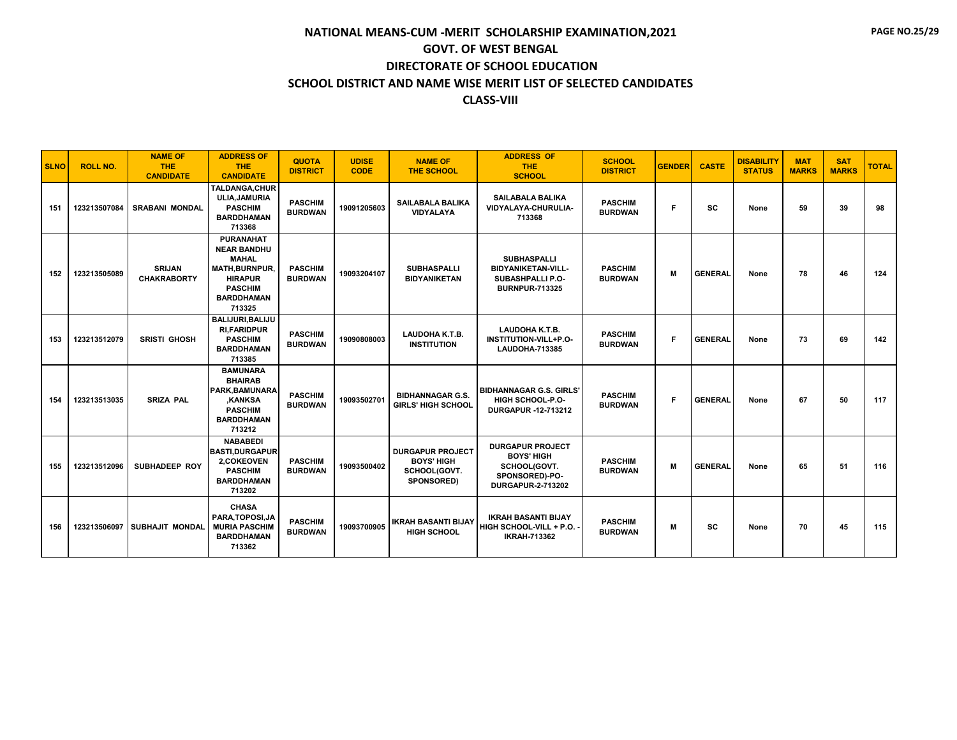| <b>SLNO</b> | <b>ROLL NO.</b> | <b>NAME OF</b><br><b>THE</b><br><b>CANDIDATE</b> | <b>ADDRESS OF</b><br><b>THE</b><br><b>CANDIDATE</b>                                                                                                | <b>QUOTA</b><br><b>DISTRICT</b>  | <b>UDISE</b><br><b>CODE</b> | <b>NAME OF</b><br><b>THE SCHOOL</b>                                        | <b>ADDRESS OF</b><br><b>THE</b><br><b>SCHOOL</b>                                                           | <b>SCHOOL</b><br><b>DISTRICT</b> | <b>GENDER</b> | <b>CASTE</b>   | <b>DISABILITY</b><br><b>STATUS</b> | <b>MAT</b><br><b>MARKS</b> | <b>SAT</b><br><b>MARKS</b> | <b>TOTAL</b> |
|-------------|-----------------|--------------------------------------------------|----------------------------------------------------------------------------------------------------------------------------------------------------|----------------------------------|-----------------------------|----------------------------------------------------------------------------|------------------------------------------------------------------------------------------------------------|----------------------------------|---------------|----------------|------------------------------------|----------------------------|----------------------------|--------------|
| 151         | 123213507084    | <b>SRABANI MONDAL</b>                            | TALDANGA, CHUR<br>ULIA, JAMURIA<br><b>PASCHIM</b><br><b>BARDDHAMAN</b><br>713368                                                                   | <b>PASCHIM</b><br><b>BURDWAN</b> | 19091205603                 | <b>SAILABALA BALIKA</b><br><b>VIDYALAYA</b>                                | <b>SAILABALA BALIKA</b><br>VIDYALAYA-CHURULIA-<br>713368                                                   | <b>PASCHIM</b><br><b>BURDWAN</b> | F             | <b>SC</b>      | None                               | 59                         | 39                         | 98           |
| 152         | 123213505089    | <b>SRIJAN</b><br><b>CHAKRABORTY</b>              | <b>PURANAHAT</b><br><b>NEAR BANDHU</b><br><b>MAHAL</b><br><b>MATH, BURNPUR,</b><br><b>HIRAPUR</b><br><b>PASCHIM</b><br><b>BARDDHAMAN</b><br>713325 | <b>PASCHIM</b><br><b>BURDWAN</b> | 19093204107                 | <b>SUBHASPALLI</b><br><b>BIDYANIKETAN</b>                                  | <b>SUBHASPALLI</b><br><b>BIDYANIKETAN-VILL-</b><br><b>SUBASHPALLI P.O-</b><br><b>BURNPUR-713325</b>        | <b>PASCHIM</b><br><b>BURDWAN</b> | М             | <b>GENERAL</b> | None                               | 78                         | 46                         | 124          |
| 153         | 123213512079    | <b>SRISTI GHOSH</b>                              | BALIJURI, BALIJU<br><b>RI.FARIDPUR</b><br><b>PASCHIM</b><br><b>BARDDHAMAN</b><br>713385                                                            | <b>PASCHIM</b><br><b>BURDWAN</b> | 19090808003                 | LAUDOHA K.T.B.<br><b>INSTITUTION</b>                                       | LAUDOHA K.T.B.<br>INSTITUTION-VILL+P.O-<br><b>LAUDOHA-713385</b>                                           | <b>PASCHIM</b><br><b>BURDWAN</b> | F.            | <b>GENERAL</b> | None                               | 73                         | 69                         | 142          |
| 154         | 123213513035    | <b>SRIZA PAL</b>                                 | <b>BAMUNARA</b><br><b>BHAIRAB</b><br><b>PARK.BAMUNARA</b><br><b>KANKSA</b><br><b>PASCHIM</b><br><b>BARDDHAMAN</b><br>713212                        | <b>PASCHIM</b><br><b>BURDWAN</b> | 19093502701                 | <b>BIDHANNAGAR G.S.</b><br><b>GIRLS' HIGH SCHOOL</b>                       | <b>BIDHANNAGAR G.S. GIRLS'</b><br>HIGH SCHOOL-P.O-<br><b>DURGAPUR -12-713212</b>                           | <b>PASCHIM</b><br><b>BURDWAN</b> | F             | <b>GENERAL</b> | None                               | 67                         | 50                         | 117          |
| 155         | 123213512096    | <b>SUBHADEEP ROY</b>                             | <b>NABABEDI</b><br><b>BASTI,DURGAPUR</b><br>2.COKEOVEN<br><b>PASCHIM</b><br><b>BARDDHAMAN</b><br>713202                                            | <b>PASCHIM</b><br><b>BURDWAN</b> | 19093500402                 | <b>DURGAPUR PROJECT</b><br><b>BOYS' HIGH</b><br>SCHOOL(GOVT.<br>SPONSORED) | <b>DURGAPUR PROJECT</b><br><b>BOYS' HIGH</b><br>SCHOOL(GOVT.<br>SPONSORED)-PO-<br><b>DURGAPUR-2-713202</b> | <b>PASCHIM</b><br><b>BURDWAN</b> | M             | <b>GENERAL</b> | None                               | 65                         | 51                         | 116          |
| 156         | 123213506097    | <b>SUBHAJIT MONDAL</b>                           | <b>CHASA</b><br>PARA, TOPOSI, JA<br><b>MURIA PASCHIM</b><br><b>BARDDHAMAN</b><br>713362                                                            | <b>PASCHIM</b><br><b>BURDWAN</b> | 19093700905                 | <b>IKRAH BASANTI BIJAY</b><br><b>HIGH SCHOOL</b>                           | <b>IKRAH BASANTI BIJAY</b><br>HIGH SCHOOL-VILL + P.O.<br><b>IKRAH-713362</b>                               | <b>PASCHIM</b><br><b>BURDWAN</b> | М             | <b>SC</b>      | None                               | 70                         | 45                         | 115          |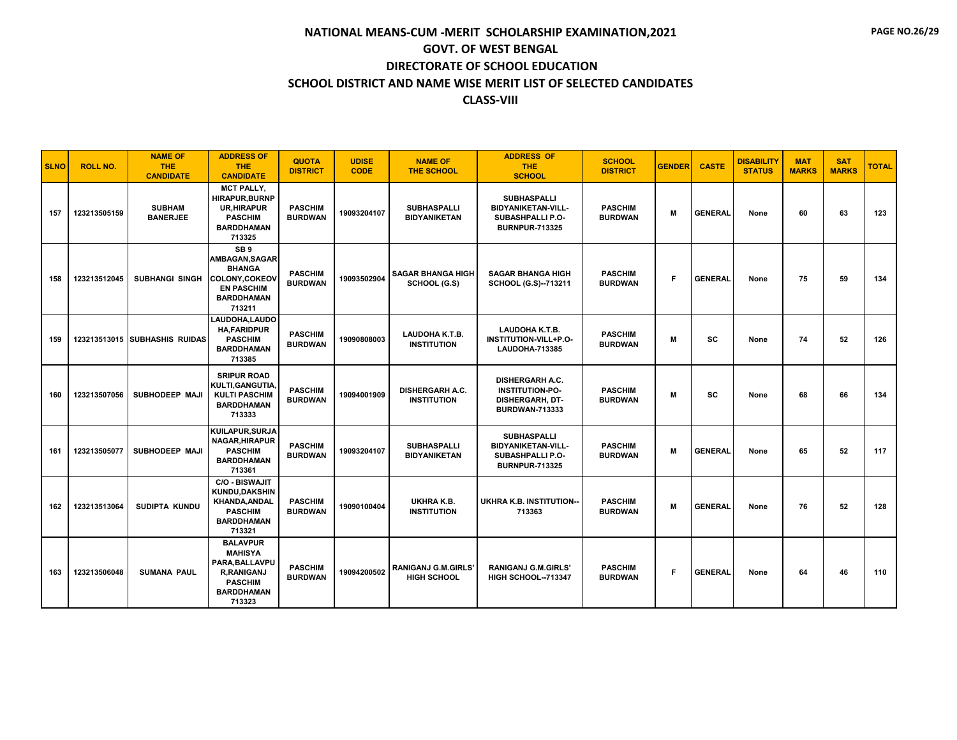| <b>SLNO</b> | <b>ROLL NO.</b> | <b>NAME OF</b><br><b>THE</b><br><b>CANDIDATE</b> | <b>ADDRESS OF</b><br><b>THE</b><br><b>CANDIDATE</b>                                                                            | <b>QUOTA</b><br><b>DISTRICT</b>  | <b>UDISE</b><br><b>CODE</b> | <b>NAME OF</b><br><b>THE SCHOOL</b>              | <b>ADDRESS OF</b><br><b>THE</b><br><b>SCHOOL</b>                                             | <b>SCHOOL</b><br><b>DISTRICT</b> | <b>GENDER</b> | <b>CASTE</b>   | <b>DISABILITY</b><br><b>STATUS</b> | <b>MAT</b><br><b>MARKS</b> | <b>SAT</b><br><b>MARKS</b> | <b>TOTAL</b> |
|-------------|-----------------|--------------------------------------------------|--------------------------------------------------------------------------------------------------------------------------------|----------------------------------|-----------------------------|--------------------------------------------------|----------------------------------------------------------------------------------------------|----------------------------------|---------------|----------------|------------------------------------|----------------------------|----------------------------|--------------|
| 157         | 123213505159    | <b>SUBHAM</b><br><b>BANERJEE</b>                 | <b>MCT PALLY,</b><br><b>HIRAPUR, BURNP</b><br><b>UR,HIRAPUR</b><br><b>PASCHIM</b><br><b>BARDDHAMAN</b><br>713325               | <b>PASCHIM</b><br><b>BURDWAN</b> | 19093204107                 | <b>SUBHASPALLI</b><br><b>BIDYANIKETAN</b>        | <b>SUBHASPALLI</b><br>BIDYANIKETAN-VILL-<br>SUBASHPALLI P.O-<br><b>BURNPUR-713325</b>        | <b>PASCHIM</b><br><b>BURDWAN</b> | M             | <b>GENERAL</b> | None                               | 60                         | 63                         | 123          |
| 158         | 123213512045    | <b>SUBHANGI SINGH</b>                            | SB <sub>9</sub><br>AMBAGAN, SAGAR<br><b>BHANGA</b><br><b>COLONY,COKEOV</b><br><b>EN PASCHIM</b><br><b>BARDDHAMAN</b><br>713211 | <b>PASCHIM</b><br><b>BURDWAN</b> | 19093502904                 | <b>SAGAR BHANGA HIGH</b><br>SCHOOL (G.S)         | <b>SAGAR BHANGA HIGH</b><br>SCHOOL (G.S)--713211                                             | <b>PASCHIM</b><br><b>BURDWAN</b> | F             | <b>GENERAL</b> | None                               | 75                         | 59                         | 134          |
| 159         |                 | <b>123213513015 SUBHASHIS RUIDAS</b>             | LAUDOHA, LAUDO<br><b>HA,FARIDPUR</b><br><b>PASCHIM</b><br><b>BARDDHAMAN</b><br>713385                                          | <b>PASCHIM</b><br><b>BURDWAN</b> | 19090808003                 | LAUDOHA K.T.B.<br><b>INSTITUTION</b>             | <b>LAUDOHA K.T.B.</b><br>INSTITUTION-VILL+P.O-<br><b>LAUDOHA-713385</b>                      | <b>PASCHIM</b><br><b>BURDWAN</b> | м             | <b>SC</b>      | None                               | 74                         | 52                         | 126          |
| 160         | 123213507056    | <b>SUBHODEEP MAJI</b>                            | <b>SRIPUR ROAD</b><br>KULTI, GANGUTIA,<br><b>KULTI PASCHIM</b><br><b>BARDDHAMAN</b><br>713333                                  | <b>PASCHIM</b><br><b>BURDWAN</b> | 19094001909                 | <b>DISHERGARH A.C.</b><br><b>INSTITUTION</b>     | <b>DISHERGARH A.C.</b><br><b>INSTITUTION-PO-</b><br>DISHERGARH, DT-<br><b>BURDWAN-713333</b> | <b>PASCHIM</b><br><b>BURDWAN</b> | M             | <b>SC</b>      | None                               | 68                         | 66                         | 134          |
| 161         | 123213505077    | SUBHODEEP MAJI                                   | KUILAPUR, SURJA<br><b>NAGAR.HIRAPUR</b><br><b>PASCHIM</b><br><b>BARDDHAMAN</b><br>713361                                       | <b>PASCHIM</b><br><b>BURDWAN</b> | 19093204107                 | <b>SUBHASPALLI</b><br><b>BIDYANIKETAN</b>        | <b>SUBHASPALLI</b><br><b>BIDYANIKETAN-VILL-</b><br>SUBASHPALLI P.O-<br><b>BURNPUR-713325</b> | <b>PASCHIM</b><br><b>BURDWAN</b> | M             | <b>GENERAL</b> | None                               | 65                         | 52                         | 117          |
| 162         | 123213513064    | <b>SUDIPTA KUNDU</b>                             | <b>C/O - BISWAJIT</b><br>KUNDU, DAKSHIN<br>KHANDA, ANDAL<br><b>PASCHIM</b><br><b>BARDDHAMAN</b><br>713321                      | <b>PASCHIM</b><br><b>BURDWAN</b> | 19090100404                 | <b>UKHRAK.B.</b><br><b>INSTITUTION</b>           | UKHRA K.B. INSTITUTION-<br>713363                                                            | <b>PASCHIM</b><br><b>BURDWAN</b> | M             | <b>GENERAL</b> | None                               | 76                         | 52                         | 128          |
| 163         | 123213506048    | <b>SUMANA PAUL</b>                               | <b>BALAVPUR</b><br><b>MAHISYA</b><br>PARA, BALLAVPU<br><b>R.RANIGANJ</b><br><b>PASCHIM</b><br><b>BARDDHAMAN</b><br>713323      | <b>PASCHIM</b><br><b>BURDWAN</b> | 19094200502                 | <b>RANIGANJ G.M.GIRLS'</b><br><b>HIGH SCHOOL</b> | <b>RANIGANJ G.M.GIRLS'</b><br><b>HIGH SCHOOL--713347</b>                                     | <b>PASCHIM</b><br><b>BURDWAN</b> | F             | <b>GENERAL</b> | None                               | 64                         | 46                         | 110          |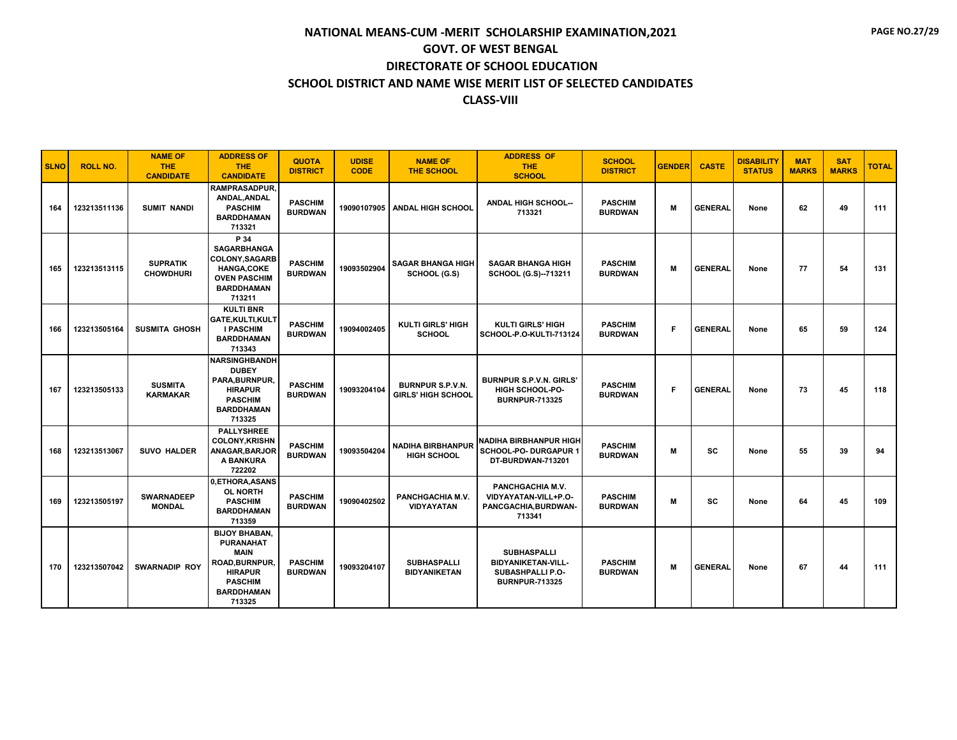| <b>SLNO</b> | <b>ROLL NO.</b> | <b>NAME OF</b><br>THE.<br><b>CANDIDATE</b> | <b>ADDRESS OF</b><br><b>THE</b><br><b>CANDIDATE</b>                                                                                          | <b>QUOTA</b><br><b>DISTRICT</b>  | <b>UDISE</b><br><b>CODE</b> | <b>NAME OF</b><br><b>THE SCHOOL</b>                  | <b>ADDRESS OF</b><br><b>THE</b><br><b>SCHOOL</b>                                      | <b>SCHOOL</b><br><b>DISTRICT</b> | <b>GENDER</b> | <b>CASTE</b>   | <b>DISABILITY</b><br><b>STATUS</b> | <b>MAT</b><br><b>MARKS</b> | <b>SAT</b><br><b>MARKS</b> | <b>TOTAL</b> |
|-------------|-----------------|--------------------------------------------|----------------------------------------------------------------------------------------------------------------------------------------------|----------------------------------|-----------------------------|------------------------------------------------------|---------------------------------------------------------------------------------------|----------------------------------|---------------|----------------|------------------------------------|----------------------------|----------------------------|--------------|
| 164         | 123213511136    | <b>SUMIT NANDI</b>                         | <b>RAMPRASADPUR.</b><br>ANDAL, ANDAL<br><b>PASCHIM</b><br><b>BARDDHAMAN</b><br>713321                                                        | <b>PASCHIM</b><br><b>BURDWAN</b> | 19090107905                 | <b>ANDAL HIGH SCHOOL</b>                             | ANDAL HIGH SCHOOL--<br>713321                                                         | <b>PASCHIM</b><br><b>BURDWAN</b> | М             | <b>GENERAL</b> | None                               | 62                         | 49                         | 111          |
| 165         | 123213513115    | <b>SUPRATIK</b><br><b>CHOWDHURI</b>        | P 34<br><b>SAGARBHANGA</b><br><b>COLONY, SAGARB</b><br><b>HANGA,COKE</b><br><b>OVEN PASCHIM</b><br><b>BARDDHAMAN</b><br>713211               | <b>PASCHIM</b><br><b>BURDWAN</b> | 19093502904                 | <b>SAGAR BHANGA HIGH</b><br>SCHOOL (G.S)             | <b>SAGAR BHANGA HIGH</b><br>SCHOOL (G.S)--713211                                      | <b>PASCHIM</b><br><b>BURDWAN</b> | M             | <b>GENERAL</b> | None                               | 77                         | 54                         | 131          |
| 166         | 123213505164    | <b>SUSMITA GHOSH</b>                       | <b>KULTI BNR</b><br>GATE, KULTI, KULT<br><b>I PASCHIM</b><br><b>BARDDHAMAN</b><br>713343                                                     | <b>PASCHIM</b><br><b>BURDWAN</b> | 19094002405                 | <b>KULTI GIRLS' HIGH</b><br><b>SCHOOL</b>            | <b>KULTI GIRLS' HIGH</b><br>SCHOOL-P.O-KULTI-713124                                   | <b>PASCHIM</b><br><b>BURDWAN</b> | Е             | <b>GENERAL</b> | None                               | 65                         | 59                         | 124          |
| 167         | 123213505133    | <b>SUSMITA</b><br><b>KARMAKAR</b>          | <b>NARSINGHBANDH</b><br><b>DUBEY</b><br>PARA, BURNPUR,<br><b>HIRAPUR</b><br><b>PASCHIM</b><br><b>BARDDHAMAN</b><br>713325                    | <b>PASCHIM</b><br><b>BURDWAN</b> | 19093204104                 | <b>BURNPUR S.P.V.N.</b><br><b>GIRLS' HIGH SCHOOL</b> | <b>BURNPUR S.P.V.N. GIRLS'</b><br><b>HIGH SCHOOL-PO-</b><br><b>BURNPUR-713325</b>     | <b>PASCHIM</b><br><b>BURDWAN</b> | Е             | <b>GENERAL</b> | None                               | 73                         | 45                         | 118          |
| 168         | 123213513067    | <b>SUVO HALDER</b>                         | <b>PALLYSHREE</b><br><b>COLONY.KRISHN</b><br>ANAGAR, BARJOR<br>A BANKURA<br>722202                                                           | <b>PASCHIM</b><br><b>BURDWAN</b> | 19093504204                 | <b>NADIHA BIRBHANPUR</b><br><b>HIGH SCHOOL</b>       | NADIHA BIRBHANPUR HIGH<br><b>SCHOOL-PO- DURGAPUR 1</b><br>DT-BURDWAN-713201           | <b>PASCHIM</b><br><b>BURDWAN</b> | M             | <b>SC</b>      | None                               | 55                         | 39                         | 94           |
| 169         | 123213505197    | <b>SWARNADEEP</b><br><b>MONDAL</b>         | 0, ETHORA, ASANS<br><b>OL NORTH</b><br><b>PASCHIM</b><br><b>BARDDHAMAN</b><br>713359                                                         | <b>PASCHIM</b><br><b>BURDWAN</b> | 19090402502                 | PANCHGACHIA M.V.<br><b>VIDYAYATAN</b>                | PANCHGACHIA M.V.<br>VIDYAYATAN-VILL+P.O-<br>PANCGACHIA, BURDWAN-<br>713341            | <b>PASCHIM</b><br><b>BURDWAN</b> | M             | <b>SC</b>      | None                               | 64                         | 45                         | 109          |
| 170         | 123213507042    | <b>SWARNADIP ROY</b>                       | <b>BIJOY BHABAN,</b><br><b>PURANAHAT</b><br><b>MAIN</b><br>ROAD, BURNPUR,<br><b>HIRAPUR</b><br><b>PASCHIM</b><br><b>BARDDHAMAN</b><br>713325 | <b>PASCHIM</b><br><b>BURDWAN</b> | 19093204107                 | <b>SUBHASPALLI</b><br><b>BIDYANIKETAN</b>            | SUBHASPALLI<br><b>BIDYANIKETAN-VILL-</b><br>SUBASHPALLI P.O-<br><b>BURNPUR-713325</b> | <b>PASCHIM</b><br><b>BURDWAN</b> | M             | <b>GENERAL</b> | None                               | 67                         | 44                         | 111          |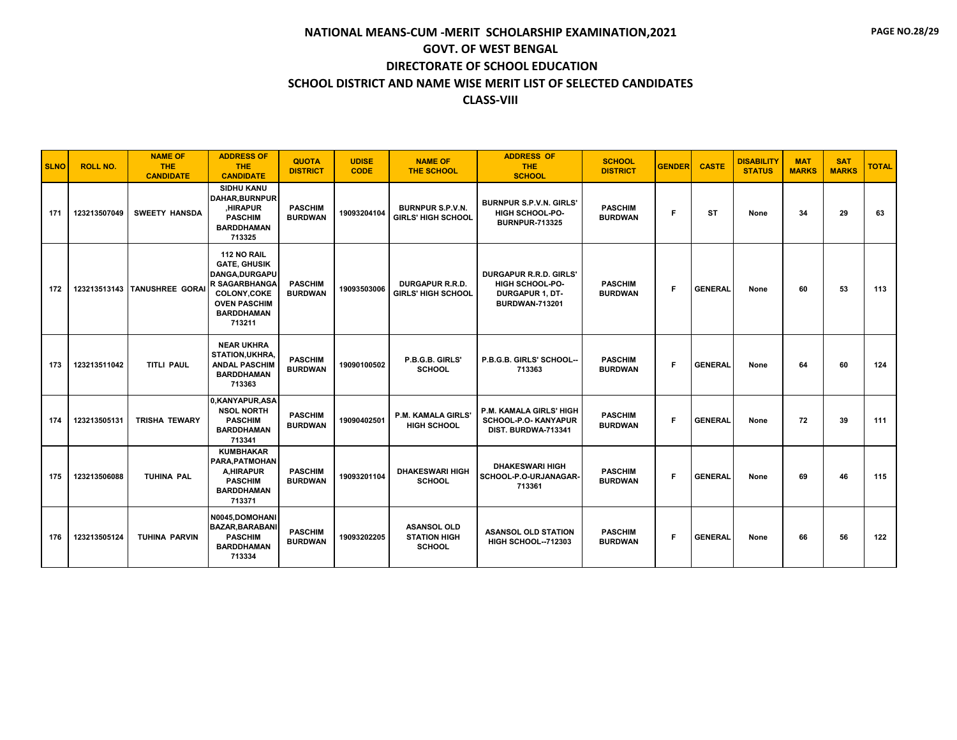| <b>SLNO</b> | <b>ROLL NO.</b> | <b>NAME OF</b><br><b>THE</b><br><b>CANDIDATE</b> | <b>ADDRESS OF</b><br><b>THE</b><br><b>CANDIDATE</b>                                                                                              | <b>QUOTA</b><br><b>DISTRICT</b>  | <b>UDISE</b><br><b>CODE</b> | <b>NAME OF</b><br><b>THE SCHOOL</b>                        | <b>ADDRESS OF</b><br><b>THE</b><br><b>SCHOOL</b>                                                           | <b>SCHOOL</b><br><b>DISTRICT</b> | <b>GENDER</b> | <b>CASTE</b>   | <b>DISABILITY</b><br><b>STATUS</b> | <b>MAT</b><br><b>MARKS</b> | <b>SAT</b><br><b>MARKS</b> | <b>TOTAL</b> |
|-------------|-----------------|--------------------------------------------------|--------------------------------------------------------------------------------------------------------------------------------------------------|----------------------------------|-----------------------------|------------------------------------------------------------|------------------------------------------------------------------------------------------------------------|----------------------------------|---------------|----------------|------------------------------------|----------------------------|----------------------------|--------------|
| 171         | 123213507049    | <b>SWEETY HANSDA</b>                             | <b>SIDHU KANU</b><br>DAHAR, BURNPUR<br><b>HIRAPUR</b><br><b>PASCHIM</b><br><b>BARDDHAMAN</b><br>713325                                           | <b>PASCHIM</b><br><b>BURDWAN</b> | 19093204104                 | <b>BURNPUR S.P.V.N.</b><br><b>GIRLS' HIGH SCHOOL</b>       | <b>BURNPUR S.P.V.N. GIRLS'</b><br><b>HIGH SCHOOL-PO-</b><br><b>BURNPUR-713325</b>                          | <b>PASCHIM</b><br><b>BURDWAN</b> | F             | <b>ST</b>      | None                               | 34                         | 29                         | 63           |
| 172         |                 | 123213513143 TANUSHREE GORAL                     | 112 NO RAIL<br><b>GATE, GHUSIK</b><br>DANGA.DURGAPU<br><b>R SAGARBHANGA</b><br>COLONY,COKE<br><b>OVEN PASCHIM</b><br><b>BARDDHAMAN</b><br>713211 | <b>PASCHIM</b><br><b>BURDWAN</b> | 19093503006                 | <b>DURGAPUR R.R.D.</b><br><b>GIRLS' HIGH SCHOOL</b>        | <b>DURGAPUR R.R.D. GIRLS'</b><br><b>HIGH SCHOOL-PO-</b><br><b>DURGAPUR 1, DT-</b><br><b>BURDWAN-713201</b> | <b>PASCHIM</b><br><b>BURDWAN</b> | F.            | <b>GENERAL</b> | None                               | 60                         | 53                         | 113          |
| 173         | 123213511042    | <b>TITLI PAUL</b>                                | <b>NEAR UKHRA</b><br><b>STATION, UKHRA,</b><br><b>ANDAL PASCHIM</b><br><b>BARDDHAMAN</b><br>713363                                               | <b>PASCHIM</b><br><b>BURDWAN</b> | 19090100502                 | P.B.G.B. GIRLS'<br><b>SCHOOL</b>                           | P.B.G.B. GIRLS' SCHOOL--<br>713363                                                                         | <b>PASCHIM</b><br><b>BURDWAN</b> | F.            | <b>GENERAL</b> | None                               | 64                         | 60                         | 124          |
| 174         | 123213505131    | <b>TRISHA TEWARY</b>                             | 0.KANYAPUR.ASA<br><b>NSOL NORTH</b><br><b>PASCHIM</b><br><b>BARDDHAMAN</b><br>713341                                                             | <b>PASCHIM</b><br><b>BURDWAN</b> | 19090402501                 | P.M. KAMALA GIRLS'<br><b>HIGH SCHOOL</b>                   | <b>P.M. KAMALA GIRLS' HIGH</b><br><b>SCHOOL-P.O- KANYAPUR</b><br>DIST. BURDWA-713341                       | <b>PASCHIM</b><br><b>BURDWAN</b> | F.            | <b>GENERAL</b> | None                               | 72                         | 39                         | 111          |
| 175         | 123213506088    | <b>TUHINA PAL</b>                                | <b>KUMBHAKAR</b><br>PARA, PATMOHAN<br>A, HIRAPUR<br><b>PASCHIM</b><br><b>BARDDHAMAN</b><br>713371                                                | <b>PASCHIM</b><br><b>BURDWAN</b> | 19093201104                 | <b>DHAKESWARI HIGH</b><br><b>SCHOOL</b>                    | <b>DHAKESWARI HIGH</b><br>SCHOOL-P.O-URJANAGAR-<br>713361                                                  | <b>PASCHIM</b><br><b>BURDWAN</b> | F.            | <b>GENERAL</b> | None                               | 69                         | 46                         | 115          |
| 176         | 123213505124    | <b>TUHINA PARVIN</b>                             | N0045.DOMOHANI<br><b>BAZAR, BARABANI</b><br><b>PASCHIM</b><br><b>BARDDHAMAN</b><br>713334                                                        | <b>PASCHIM</b><br><b>BURDWAN</b> | 19093202205                 | <b>ASANSOL OLD</b><br><b>STATION HIGH</b><br><b>SCHOOL</b> | <b>ASANSOL OLD STATION</b><br><b>HIGH SCHOOL--712303</b>                                                   | <b>PASCHIM</b><br><b>BURDWAN</b> | F.            | <b>GENERAL</b> | None                               | 66                         | 56                         | 122          |